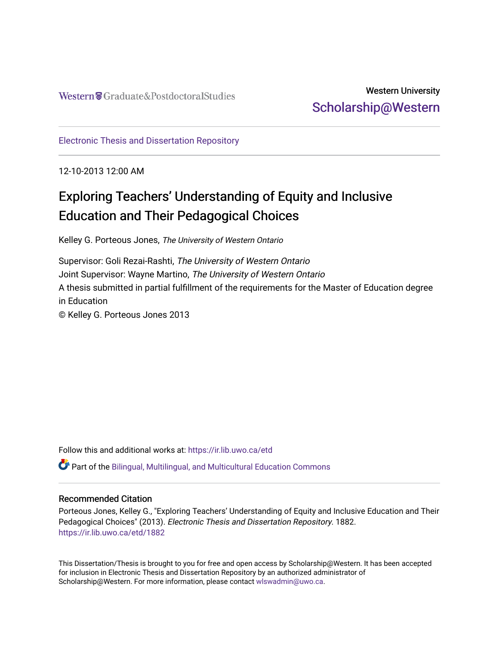# Western University [Scholarship@Western](https://ir.lib.uwo.ca/)

[Electronic Thesis and Dissertation Repository](https://ir.lib.uwo.ca/etd)

12-10-2013 12:00 AM

# Exploring Teachers' Understanding of Equity and Inclusive Education and Their Pedagogical Choices

Kelley G. Porteous Jones, The University of Western Ontario

Supervisor: Goli Rezai-Rashti, The University of Western Ontario Joint Supervisor: Wayne Martino, The University of Western Ontario A thesis submitted in partial fulfillment of the requirements for the Master of Education degree in Education © Kelley G. Porteous Jones 2013

Follow this and additional works at: [https://ir.lib.uwo.ca/etd](https://ir.lib.uwo.ca/etd?utm_source=ir.lib.uwo.ca%2Fetd%2F1882&utm_medium=PDF&utm_campaign=PDFCoverPages) 

Part of the [Bilingual, Multilingual, and Multicultural Education Commons](http://network.bepress.com/hgg/discipline/785?utm_source=ir.lib.uwo.ca%2Fetd%2F1882&utm_medium=PDF&utm_campaign=PDFCoverPages) 

#### Recommended Citation

Porteous Jones, Kelley G., "Exploring Teachers' Understanding of Equity and Inclusive Education and Their Pedagogical Choices" (2013). Electronic Thesis and Dissertation Repository. 1882. [https://ir.lib.uwo.ca/etd/1882](https://ir.lib.uwo.ca/etd/1882?utm_source=ir.lib.uwo.ca%2Fetd%2F1882&utm_medium=PDF&utm_campaign=PDFCoverPages)

This Dissertation/Thesis is brought to you for free and open access by Scholarship@Western. It has been accepted for inclusion in Electronic Thesis and Dissertation Repository by an authorized administrator of Scholarship@Western. For more information, please contact [wlswadmin@uwo.ca.](mailto:wlswadmin@uwo.ca)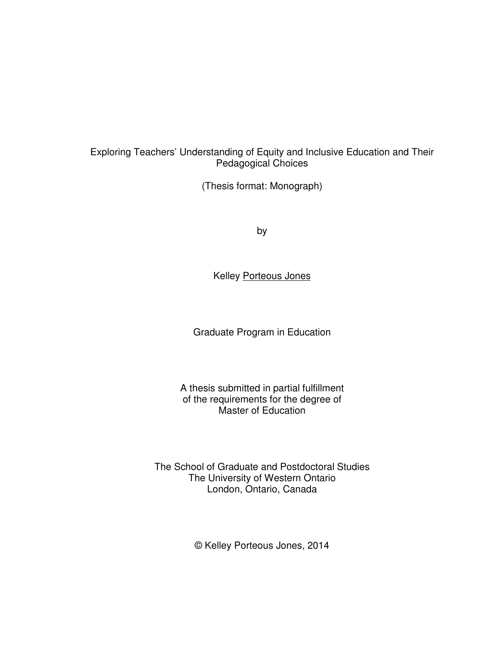#### Exploring Teachers' Understanding of Equity and Inclusive Education and Their Pedagogical Choices

(Thesis format: Monograph)

by

Kelley Porteous Jones

Graduate Program in Education

A thesis submitted in partial fulfillment of the requirements for the degree of Master of Education

The School of Graduate and Postdoctoral Studies The University of Western Ontario London, Ontario, Canada

© Kelley Porteous Jones, 2014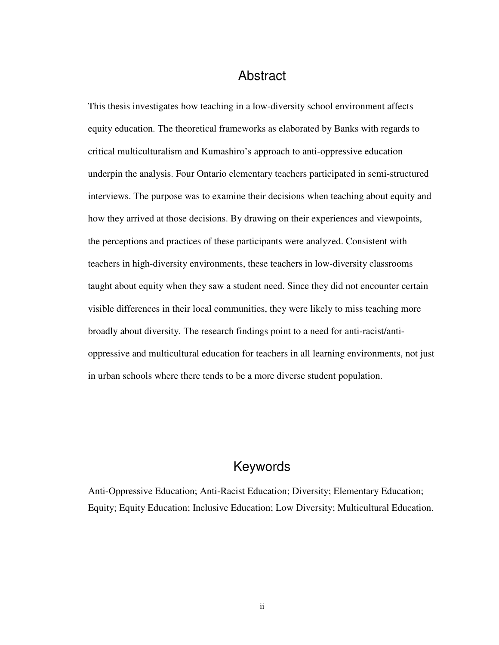## Abstract

This thesis investigates how teaching in a low-diversity school environment affects equity education. The theoretical frameworks as elaborated by Banks with regards to critical multiculturalism and Kumashiro's approach to anti-oppressive education underpin the analysis. Four Ontario elementary teachers participated in semi-structured interviews. The purpose was to examine their decisions when teaching about equity and how they arrived at those decisions. By drawing on their experiences and viewpoints, the perceptions and practices of these participants were analyzed. Consistent with teachers in high-diversity environments, these teachers in low-diversity classrooms taught about equity when they saw a student need. Since they did not encounter certain visible differences in their local communities, they were likely to miss teaching more broadly about diversity. The research findings point to a need for anti-racist/antioppressive and multicultural education for teachers in all learning environments, not just in urban schools where there tends to be a more diverse student population.

# Keywords

Anti-Oppressive Education; Anti-Racist Education; Diversity; Elementary Education; Equity; Equity Education; Inclusive Education; Low Diversity; Multicultural Education.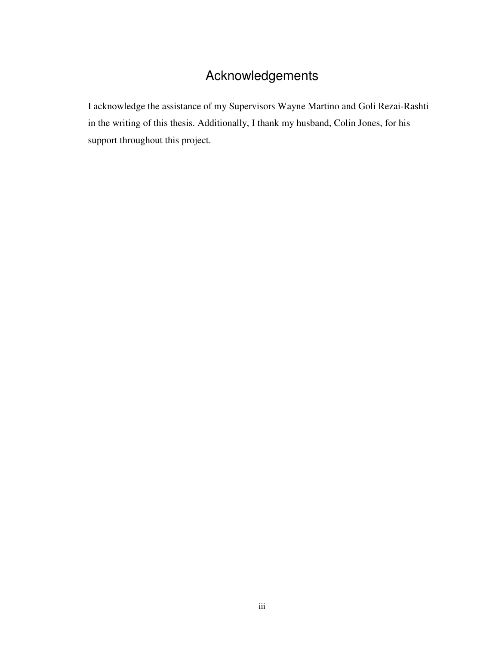# Acknowledgements

I acknowledge the assistance of my Supervisors Wayne Martino and Goli Rezai-Rashti in the writing of this thesis. Additionally, I thank my husband, Colin Jones, for his support throughout this project.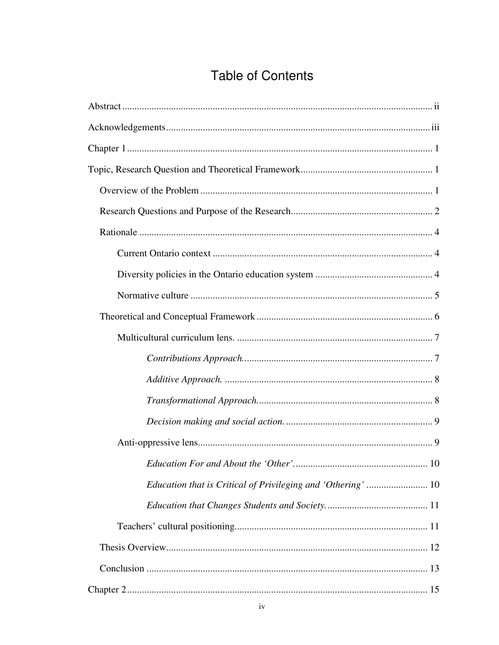# **Table of Contents**

| Education that is Critical of Privileging and 'Othering'  10 |
|--------------------------------------------------------------|
|                                                              |
|                                                              |
|                                                              |
|                                                              |
|                                                              |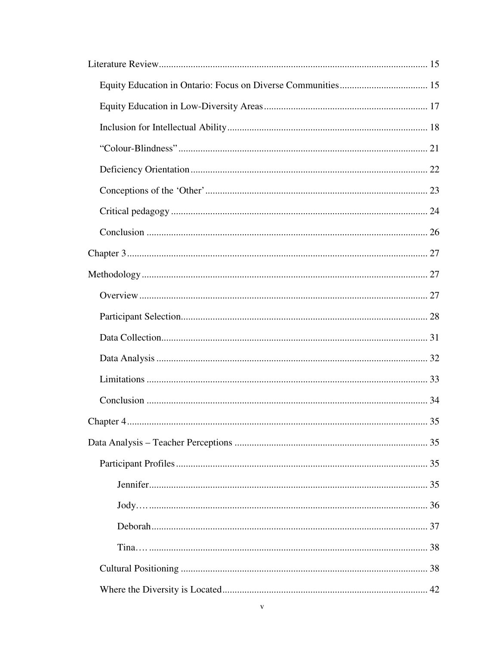| 35<br>Chapter 4. |
|------------------|
|                  |
|                  |
|                  |
|                  |
|                  |
|                  |
|                  |
|                  |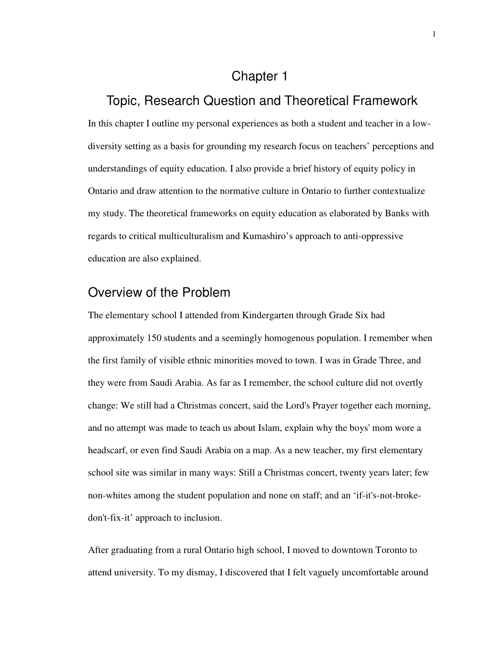## Chapter 1

## Topic, Research Question and Theoretical Framework

In this chapter I outline my personal experiences as both a student and teacher in a lowdiversity setting as a basis for grounding my research focus on teachers' perceptions and understandings of equity education. I also provide a brief history of equity policy in Ontario and draw attention to the normative culture in Ontario to further contextualize my study. The theoretical frameworks on equity education as elaborated by Banks with regards to critical multiculturalism and Kumashiro's approach to anti-oppressive education are also explained.

# Overview of the Problem

The elementary school I attended from Kindergarten through Grade Six had approximately 150 students and a seemingly homogenous population. I remember when the first family of visible ethnic minorities moved to town. I was in Grade Three, and they were from Saudi Arabia. As far as I remember, the school culture did not overtly change: We still had a Christmas concert, said the Lord's Prayer together each morning, and no attempt was made to teach us about Islam, explain why the boys' mom wore a headscarf, or even find Saudi Arabia on a map. As a new teacher, my first elementary school site was similar in many ways: Still a Christmas concert, twenty years later; few non-whites among the student population and none on staff; and an 'if-it's-not-brokedon't-fix-it' approach to inclusion.

After graduating from a rural Ontario high school, I moved to downtown Toronto to attend university. To my dismay, I discovered that I felt vaguely uncomfortable around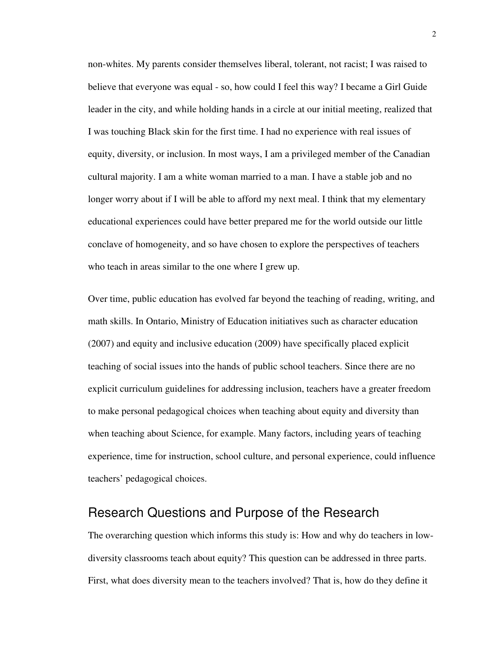non-whites. My parents consider themselves liberal, tolerant, not racist; I was raised to believe that everyone was equal - so, how could I feel this way? I became a Girl Guide leader in the city, and while holding hands in a circle at our initial meeting, realized that I was touching Black skin for the first time. I had no experience with real issues of equity, diversity, or inclusion. In most ways, I am a privileged member of the Canadian cultural majority. I am a white woman married to a man. I have a stable job and no longer worry about if I will be able to afford my next meal. I think that my elementary educational experiences could have better prepared me for the world outside our little conclave of homogeneity, and so have chosen to explore the perspectives of teachers who teach in areas similar to the one where I grew up.

Over time, public education has evolved far beyond the teaching of reading, writing, and math skills. In Ontario, Ministry of Education initiatives such as character education (2007) and equity and inclusive education (2009) have specifically placed explicit teaching of social issues into the hands of public school teachers. Since there are no explicit curriculum guidelines for addressing inclusion, teachers have a greater freedom to make personal pedagogical choices when teaching about equity and diversity than when teaching about Science, for example. Many factors, including years of teaching experience, time for instruction, school culture, and personal experience, could influence teachers' pedagogical choices.

### Research Questions and Purpose of the Research

The overarching question which informs this study is: How and why do teachers in lowdiversity classrooms teach about equity? This question can be addressed in three parts. First, what does diversity mean to the teachers involved? That is, how do they define it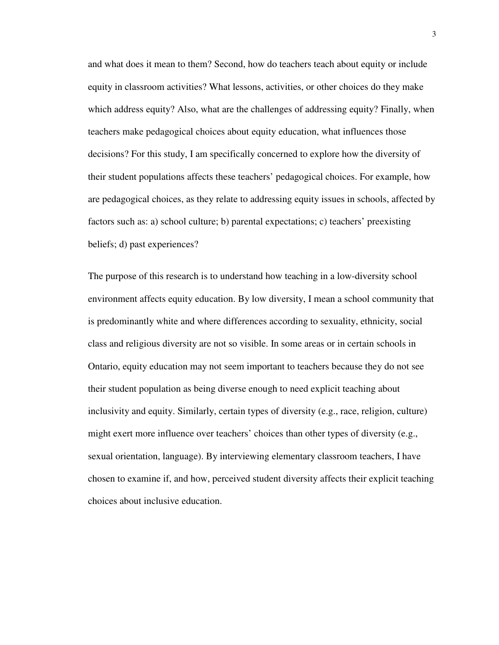and what does it mean to them? Second, how do teachers teach about equity or include equity in classroom activities? What lessons, activities, or other choices do they make which address equity? Also, what are the challenges of addressing equity? Finally, when teachers make pedagogical choices about equity education, what influences those decisions? For this study, I am specifically concerned to explore how the diversity of their student populations affects these teachers' pedagogical choices. For example, how are pedagogical choices, as they relate to addressing equity issues in schools, affected by factors such as: a) school culture; b) parental expectations; c) teachers' preexisting beliefs; d) past experiences?

The purpose of this research is to understand how teaching in a low-diversity school environment affects equity education. By low diversity, I mean a school community that is predominantly white and where differences according to sexuality, ethnicity, social class and religious diversity are not so visible. In some areas or in certain schools in Ontario, equity education may not seem important to teachers because they do not see their student population as being diverse enough to need explicit teaching about inclusivity and equity. Similarly, certain types of diversity (e.g., race, religion, culture) might exert more influence over teachers' choices than other types of diversity (e.g., sexual orientation, language). By interviewing elementary classroom teachers, I have chosen to examine if, and how, perceived student diversity affects their explicit teaching choices about inclusive education.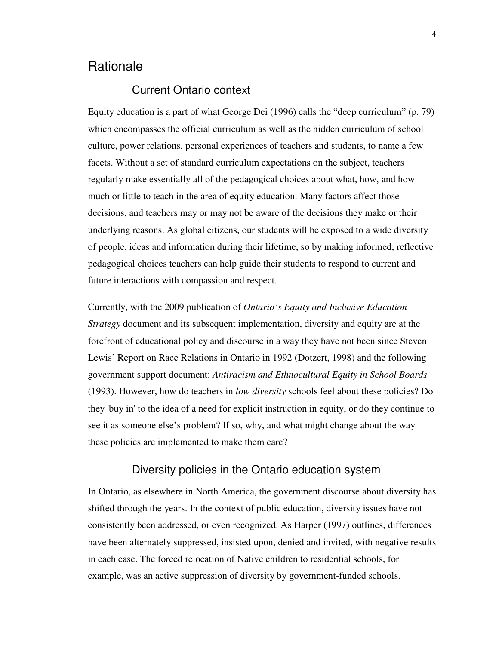# **Rationale**

#### Current Ontario context

Equity education is a part of what George Dei (1996) calls the "deep curriculum" (p. 79) which encompasses the official curriculum as well as the hidden curriculum of school culture, power relations, personal experiences of teachers and students, to name a few facets. Without a set of standard curriculum expectations on the subject, teachers regularly make essentially all of the pedagogical choices about what, how, and how much or little to teach in the area of equity education. Many factors affect those decisions, and teachers may or may not be aware of the decisions they make or their underlying reasons. As global citizens, our students will be exposed to a wide diversity of people, ideas and information during their lifetime, so by making informed, reflective pedagogical choices teachers can help guide their students to respond to current and future interactions with compassion and respect.

Currently, with the 2009 publication of *Ontario's Equity and Inclusive Education Strategy* document and its subsequent implementation, diversity and equity are at the forefront of educational policy and discourse in a way they have not been since Steven Lewis' Report on Race Relations in Ontario in 1992 (Dotzert, 1998) and the following government support document: *Antiracism and Ethnocultural Equity in School Boards* (1993). However, how do teachers in *low diversity* schools feel about these policies? Do they 'buy in' to the idea of a need for explicit instruction in equity, or do they continue to see it as someone else's problem? If so, why, and what might change about the way these policies are implemented to make them care?

#### Diversity policies in the Ontario education system

In Ontario, as elsewhere in North America, the government discourse about diversity has shifted through the years. In the context of public education, diversity issues have not consistently been addressed, or even recognized. As Harper (1997) outlines, differences have been alternately suppressed, insisted upon, denied and invited, with negative results in each case. The forced relocation of Native children to residential schools, for example, was an active suppression of diversity by government-funded schools.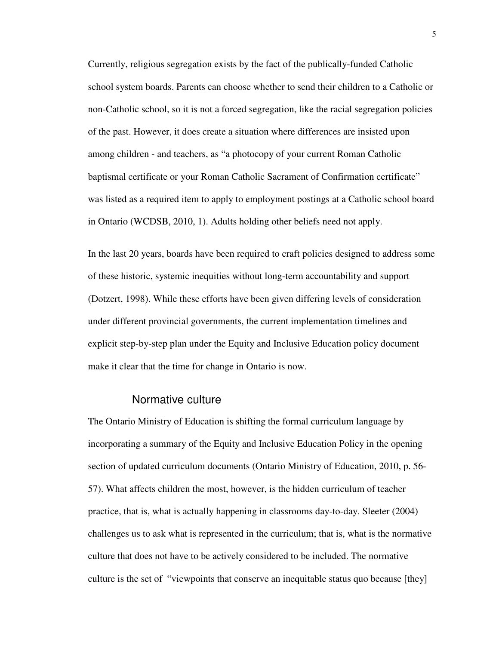Currently, religious segregation exists by the fact of the publically-funded Catholic school system boards. Parents can choose whether to send their children to a Catholic or non-Catholic school, so it is not a forced segregation, like the racial segregation policies of the past. However, it does create a situation where differences are insisted upon among children - and teachers, as "a photocopy of your current Roman Catholic baptismal certificate or your Roman Catholic Sacrament of Confirmation certificate" was listed as a required item to apply to employment postings at a Catholic school board in Ontario (WCDSB, 2010, 1). Adults holding other beliefs need not apply.

In the last 20 years, boards have been required to craft policies designed to address some of these historic, systemic inequities without long-term accountability and support (Dotzert, 1998). While these efforts have been given differing levels of consideration under different provincial governments, the current implementation timelines and explicit step-by-step plan under the Equity and Inclusive Education policy document make it clear that the time for change in Ontario is now.

#### Normative culture

The Ontario Ministry of Education is shifting the formal curriculum language by incorporating a summary of the Equity and Inclusive Education Policy in the opening section of updated curriculum documents (Ontario Ministry of Education, 2010, p. 56- 57). What affects children the most, however, is the hidden curriculum of teacher practice, that is, what is actually happening in classrooms day-to-day. Sleeter (2004) challenges us to ask what is represented in the curriculum; that is, what is the normative culture that does not have to be actively considered to be included. The normative culture is the set of "viewpoints that conserve an inequitable status quo because [they]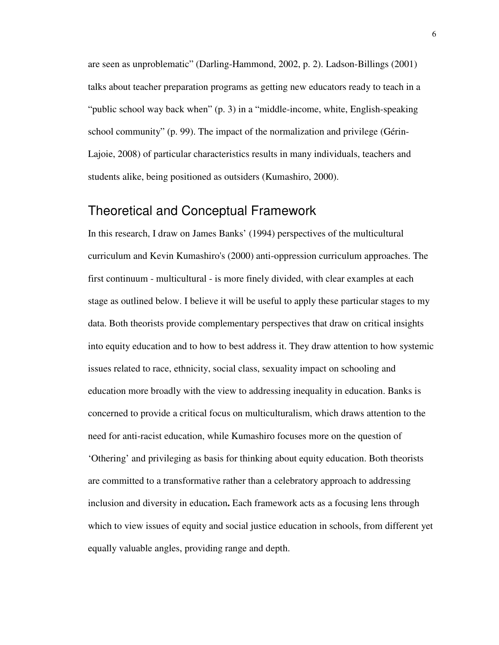are seen as unproblematic" (Darling-Hammond, 2002, p. 2). Ladson-Billings (2001) talks about teacher preparation programs as getting new educators ready to teach in a "public school way back when" (p. 3) in a "middle-income, white, English-speaking school community" (p. 99). The impact of the normalization and privilege (Gérin-Lajoie, 2008) of particular characteristics results in many individuals, teachers and students alike, being positioned as outsiders (Kumashiro, 2000).

## Theoretical and Conceptual Framework

In this research, I draw on James Banks' (1994) perspectives of the multicultural curriculum and Kevin Kumashiro's (2000) anti-oppression curriculum approaches. The first continuum - multicultural - is more finely divided, with clear examples at each stage as outlined below. I believe it will be useful to apply these particular stages to my data. Both theorists provide complementary perspectives that draw on critical insights into equity education and to how to best address it. They draw attention to how systemic issues related to race, ethnicity, social class, sexuality impact on schooling and education more broadly with the view to addressing inequality in education. Banks is concerned to provide a critical focus on multiculturalism, which draws attention to the need for anti-racist education, while Kumashiro focuses more on the question of 'Othering' and privileging as basis for thinking about equity education. Both theorists are committed to a transformative rather than a celebratory approach to addressing inclusion and diversity in education**.** Each framework acts as a focusing lens through which to view issues of equity and social justice education in schools, from different yet equally valuable angles, providing range and depth.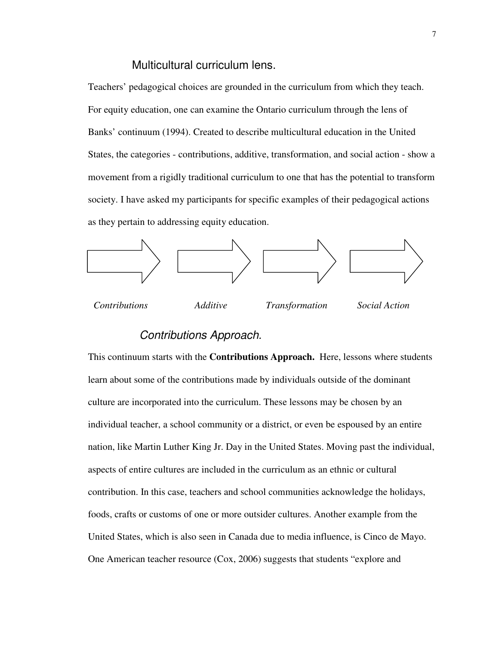#### Multicultural curriculum lens.

Teachers' pedagogical choices are grounded in the curriculum from which they teach. For equity education, one can examine the Ontario curriculum through the lens of Banks' continuum (1994). Created to describe multicultural education in the United States, the categories - contributions, additive, transformation, and social action - show a movement from a rigidly traditional curriculum to one that has the potential to transform society. I have asked my participants for specific examples of their pedagogical actions as they pertain to addressing equity education.



### Contributions Approach.

This continuum starts with the **Contributions Approach.** Here, lessons where students learn about some of the contributions made by individuals outside of the dominant culture are incorporated into the curriculum. These lessons may be chosen by an individual teacher, a school community or a district, or even be espoused by an entire nation, like Martin Luther King Jr. Day in the United States. Moving past the individual, aspects of entire cultures are included in the curriculum as an ethnic or cultural contribution. In this case, teachers and school communities acknowledge the holidays, foods, crafts or customs of one or more outsider cultures. Another example from the United States, which is also seen in Canada due to media influence, is Cinco de Mayo. One American teacher resource (Cox, 2006) suggests that students "explore and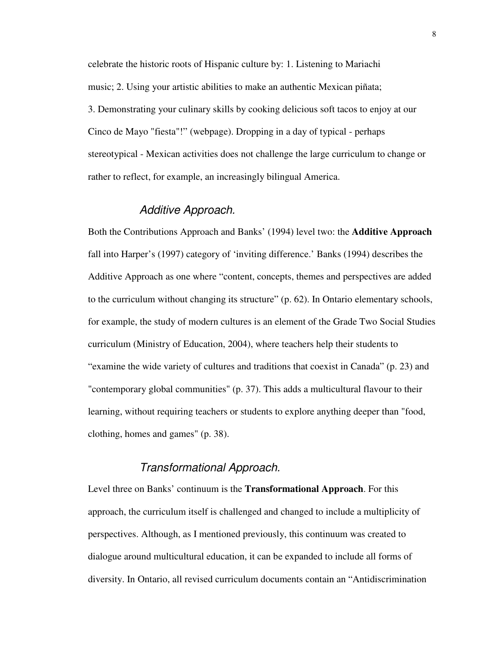celebrate the historic roots of Hispanic culture by: 1. Listening to Mariachi music; 2. Using your artistic abilities to make an authentic Mexican piñata; 3. Demonstrating your culinary skills by cooking delicious soft tacos to enjoy at our Cinco de Mayo "fiesta"!" (webpage). Dropping in a day of typical - perhaps stereotypical - Mexican activities does not challenge the large curriculum to change or rather to reflect, for example, an increasingly bilingual America.

#### Additive Approach.

Both the Contributions Approach and Banks' (1994) level two: the **Additive Approach** fall into Harper's (1997) category of 'inviting difference.' Banks (1994) describes the Additive Approach as one where "content, concepts, themes and perspectives are added to the curriculum without changing its structure" (p. 62). In Ontario elementary schools, for example, the study of modern cultures is an element of the Grade Two Social Studies curriculum (Ministry of Education, 2004), where teachers help their students to "examine the wide variety of cultures and traditions that coexist in Canada" (p. 23) and "contemporary global communities" (p. 37). This adds a multicultural flavour to their learning, without requiring teachers or students to explore anything deeper than "food, clothing, homes and games" (p. 38).

#### Transformational Approach.

Level three on Banks' continuum is the **Transformational Approach**. For this approach, the curriculum itself is challenged and changed to include a multiplicity of perspectives. Although, as I mentioned previously, this continuum was created to dialogue around multicultural education, it can be expanded to include all forms of diversity. In Ontario, all revised curriculum documents contain an "Antidiscrimination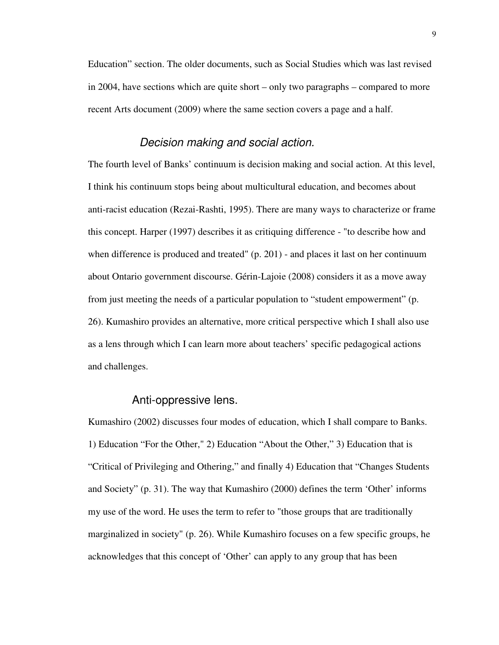Education" section. The older documents, such as Social Studies which was last revised in 2004, have sections which are quite short – only two paragraphs – compared to more recent Arts document (2009) where the same section covers a page and a half.

#### Decision making and social action.

The fourth level of Banks' continuum is decision making and social action. At this level, I think his continuum stops being about multicultural education, and becomes about anti-racist education (Rezai-Rashti, 1995). There are many ways to characterize or frame this concept. Harper (1997) describes it as critiquing difference - "to describe how and when difference is produced and treated" (p. 201) - and places it last on her continuum about Ontario government discourse. Gérin-Lajoie (2008) considers it as a move away from just meeting the needs of a particular population to "student empowerment" (p. 26). Kumashiro provides an alternative, more critical perspective which I shall also use as a lens through which I can learn more about teachers' specific pedagogical actions and challenges.

#### Anti-oppressive lens.

Kumashiro (2002) discusses four modes of education, which I shall compare to Banks. 1) Education "For the Other," 2) Education "About the Other," 3) Education that is "Critical of Privileging and Othering," and finally 4) Education that "Changes Students and Society" (p. 31). The way that Kumashiro (2000) defines the term 'Other' informs my use of the word. He uses the term to refer to "those groups that are traditionally marginalized in society" (p. 26). While Kumashiro focuses on a few specific groups, he acknowledges that this concept of 'Other' can apply to any group that has been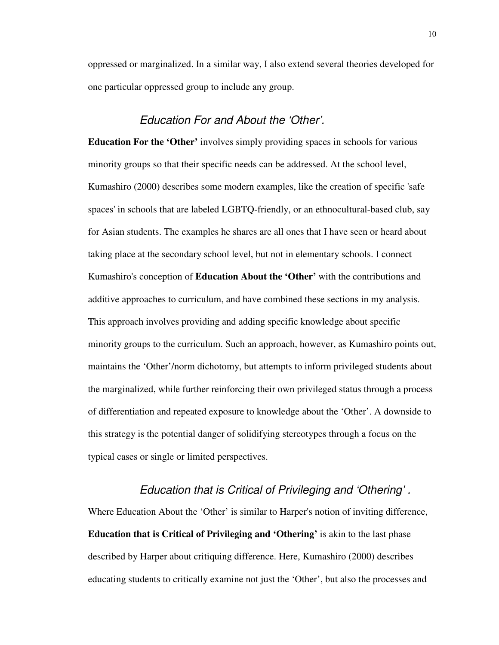oppressed or marginalized. In a similar way, I also extend several theories developed for one particular oppressed group to include any group.

#### Education For and About the 'Other'.

**Education For the 'Other'** involves simply providing spaces in schools for various minority groups so that their specific needs can be addressed. At the school level, Kumashiro (2000) describes some modern examples, like the creation of specific 'safe spaces' in schools that are labeled LGBTQ-friendly, or an ethnocultural-based club, say for Asian students. The examples he shares are all ones that I have seen or heard about taking place at the secondary school level, but not in elementary schools. I connect Kumashiro's conception of **Education About the 'Other'** with the contributions and additive approaches to curriculum, and have combined these sections in my analysis. This approach involves providing and adding specific knowledge about specific minority groups to the curriculum. Such an approach, however, as Kumashiro points out, maintains the 'Other'/norm dichotomy, but attempts to inform privileged students about the marginalized, while further reinforcing their own privileged status through a process of differentiation and repeated exposure to knowledge about the 'Other'. A downside to this strategy is the potential danger of solidifying stereotypes through a focus on the typical cases or single or limited perspectives.

#### Education that is Critical of Privileging and 'Othering' .

Where Education About the 'Other' is similar to Harper's notion of inviting difference, **Education that is Critical of Privileging and 'Othering'** is akin to the last phase described by Harper about critiquing difference. Here, Kumashiro (2000) describes educating students to critically examine not just the 'Other', but also the processes and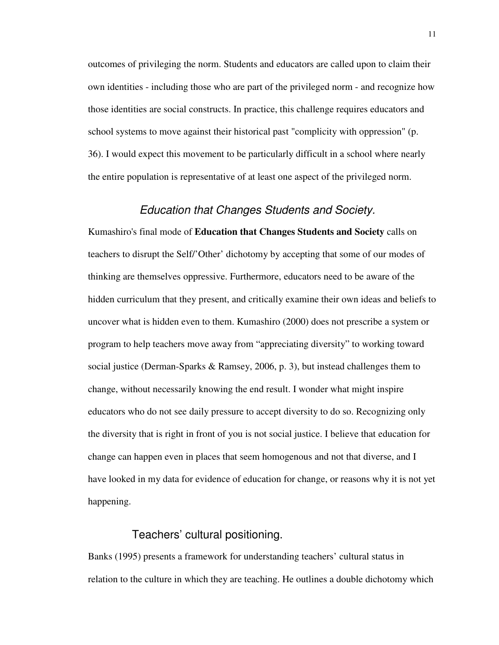outcomes of privileging the norm. Students and educators are called upon to claim their own identities - including those who are part of the privileged norm - and recognize how those identities are social constructs. In practice, this challenge requires educators and school systems to move against their historical past "complicity with oppression" (p. 36). I would expect this movement to be particularly difficult in a school where nearly the entire population is representative of at least one aspect of the privileged norm.

#### Education that Changes Students and Society.

Kumashiro's final mode of **Education that Changes Students and Society** calls on teachers to disrupt the Self/'Other' dichotomy by accepting that some of our modes of thinking are themselves oppressive. Furthermore, educators need to be aware of the hidden curriculum that they present, and critically examine their own ideas and beliefs to uncover what is hidden even to them. Kumashiro (2000) does not prescribe a system or program to help teachers move away from "appreciating diversity" to working toward social justice (Derman-Sparks & Ramsey, 2006, p. 3), but instead challenges them to change, without necessarily knowing the end result. I wonder what might inspire educators who do not see daily pressure to accept diversity to do so. Recognizing only the diversity that is right in front of you is not social justice. I believe that education for change can happen even in places that seem homogenous and not that diverse, and I have looked in my data for evidence of education for change, or reasons why it is not yet happening.

#### Teachers' cultural positioning.

Banks (1995) presents a framework for understanding teachers' cultural status in relation to the culture in which they are teaching. He outlines a double dichotomy which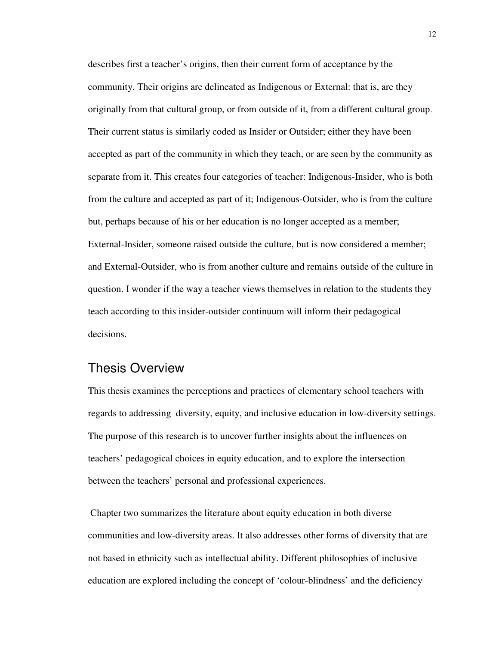describes first a teacher's origins, then their current form of acceptance by the community. Their origins are delineated as Indigenous or External: that is, are they originally from that cultural group, or from outside of it, from a different cultural group. Their current status is similarly coded as Insider or Outsider; either they have been accepted as part of the community in which they teach, or are seen by the community as separate from it. This creates four categories of teacher: Indigenous-Insider, who is both from the culture and accepted as part of it; Indigenous-Outsider, who is from the culture but, perhaps because of his or her education is no longer accepted as a member; External-Insider, someone raised outside the culture, but is now considered a member; and External-Outsider, who is from another culture and remains outside of the culture in question. I wonder if the way a teacher views themselves in relation to the students they teach according to this insider-outsider continuum will inform their pedagogical decisions.

### Thesis Overview

This thesis examines the perceptions and practices of elementary school teachers with regards to addressing diversity, equity, and inclusive education in low-diversity settings. The purpose of this research is to uncover further insights about the influences on teachers' pedagogical choices in equity education, and to explore the intersection between the teachers' personal and professional experiences.

 Chapter two summarizes the literature about equity education in both diverse communities and low-diversity areas. It also addresses other forms of diversity that are not based in ethnicity such as intellectual ability. Different philosophies of inclusive education are explored including the concept of 'colour-blindness' and the deficiency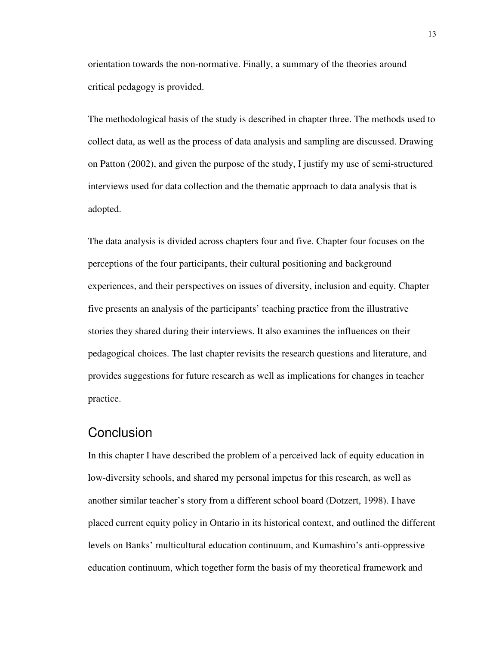orientation towards the non-normative. Finally, a summary of the theories around critical pedagogy is provided.

The methodological basis of the study is described in chapter three. The methods used to collect data, as well as the process of data analysis and sampling are discussed. Drawing on Patton (2002), and given the purpose of the study, I justify my use of semi-structured interviews used for data collection and the thematic approach to data analysis that is adopted.

The data analysis is divided across chapters four and five. Chapter four focuses on the perceptions of the four participants, their cultural positioning and background experiences, and their perspectives on issues of diversity, inclusion and equity. Chapter five presents an analysis of the participants' teaching practice from the illustrative stories they shared during their interviews. It also examines the influences on their pedagogical choices. The last chapter revisits the research questions and literature, and provides suggestions for future research as well as implications for changes in teacher practice.

## **Conclusion**

In this chapter I have described the problem of a perceived lack of equity education in low-diversity schools, and shared my personal impetus for this research, as well as another similar teacher's story from a different school board (Dotzert, 1998). I have placed current equity policy in Ontario in its historical context, and outlined the different levels on Banks' multicultural education continuum, and Kumashiro's anti-oppressive education continuum, which together form the basis of my theoretical framework and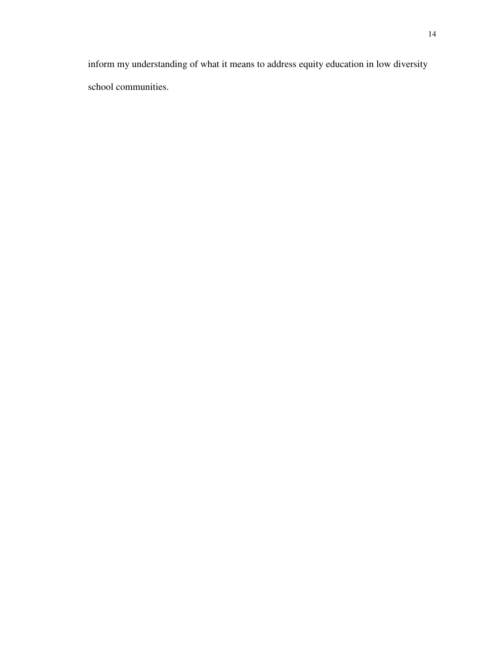inform my understanding of what it means to address equity education in low diversity school communities.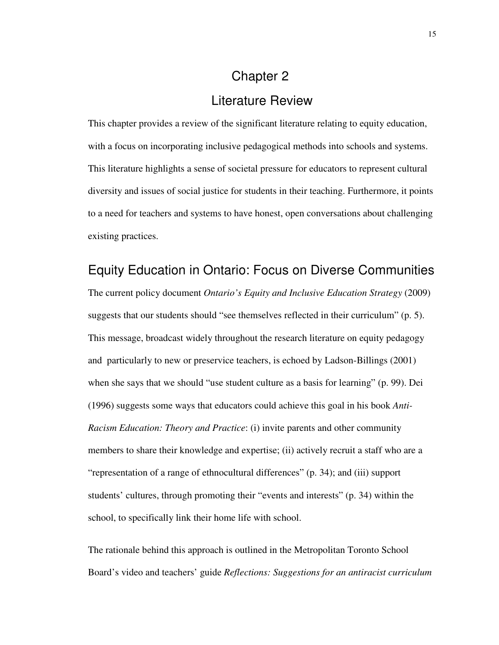# Chapter 2 Literature Review

This chapter provides a review of the significant literature relating to equity education, with a focus on incorporating inclusive pedagogical methods into schools and systems. This literature highlights a sense of societal pressure for educators to represent cultural diversity and issues of social justice for students in their teaching. Furthermore, it points to a need for teachers and systems to have honest, open conversations about challenging existing practices.

### Equity Education in Ontario: Focus on Diverse Communities

The current policy document *Ontario's Equity and Inclusive Education Strategy* (2009) suggests that our students should "see themselves reflected in their curriculum" (p. 5). This message, broadcast widely throughout the research literature on equity pedagogy and particularly to new or preservice teachers, is echoed by Ladson-Billings (2001) when she says that we should "use student culture as a basis for learning" (p. 99). Dei (1996) suggests some ways that educators could achieve this goal in his book *Anti-Racism Education: Theory and Practice*: (i) invite parents and other community members to share their knowledge and expertise; (ii) actively recruit a staff who are a "representation of a range of ethnocultural differences" (p. 34); and (iii) support students' cultures, through promoting their "events and interests" (p. 34) within the school, to specifically link their home life with school.

The rationale behind this approach is outlined in the Metropolitan Toronto School Board's video and teachers' guide *Reflections: Suggestions for an antiracist curriculum*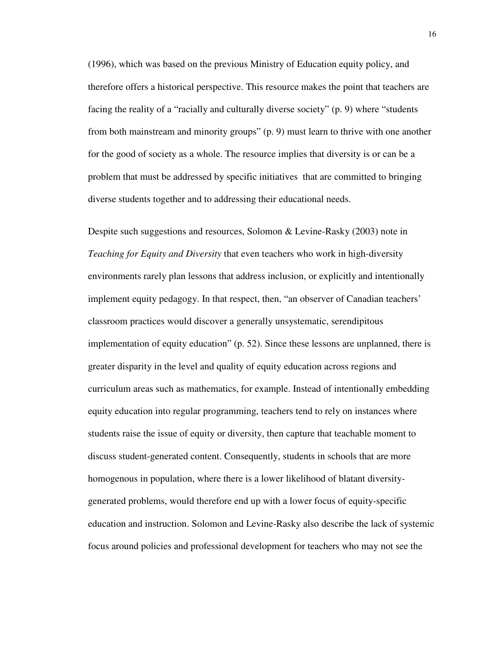(1996), which was based on the previous Ministry of Education equity policy, and therefore offers a historical perspective. This resource makes the point that teachers are facing the reality of a "racially and culturally diverse society" (p. 9) where "students from both mainstream and minority groups" (p. 9) must learn to thrive with one another for the good of society as a whole. The resource implies that diversity is or can be a problem that must be addressed by specific initiatives that are committed to bringing diverse students together and to addressing their educational needs.

Despite such suggestions and resources, Solomon & Levine-Rasky (2003) note in *Teaching for Equity and Diversity* that even teachers who work in high-diversity environments rarely plan lessons that address inclusion, or explicitly and intentionally implement equity pedagogy. In that respect, then, "an observer of Canadian teachers' classroom practices would discover a generally unsystematic, serendipitous implementation of equity education" (p. 52). Since these lessons are unplanned, there is greater disparity in the level and quality of equity education across regions and curriculum areas such as mathematics, for example. Instead of intentionally embedding equity education into regular programming, teachers tend to rely on instances where students raise the issue of equity or diversity, then capture that teachable moment to discuss student-generated content. Consequently, students in schools that are more homogenous in population, where there is a lower likelihood of blatant diversitygenerated problems, would therefore end up with a lower focus of equity-specific education and instruction. Solomon and Levine-Rasky also describe the lack of systemic focus around policies and professional development for teachers who may not see the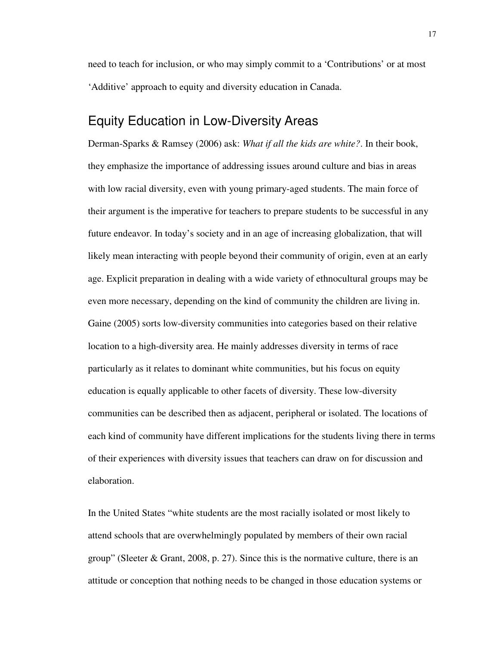need to teach for inclusion, or who may simply commit to a 'Contributions' or at most 'Additive' approach to equity and diversity education in Canada.

## Equity Education in Low-Diversity Areas

Derman-Sparks & Ramsey (2006) ask: *What if all the kids are white?*. In their book, they emphasize the importance of addressing issues around culture and bias in areas with low racial diversity, even with young primary-aged students. The main force of their argument is the imperative for teachers to prepare students to be successful in any future endeavor. In today's society and in an age of increasing globalization, that will likely mean interacting with people beyond their community of origin, even at an early age. Explicit preparation in dealing with a wide variety of ethnocultural groups may be even more necessary, depending on the kind of community the children are living in. Gaine (2005) sorts low-diversity communities into categories based on their relative location to a high-diversity area. He mainly addresses diversity in terms of race particularly as it relates to dominant white communities, but his focus on equity education is equally applicable to other facets of diversity. These low-diversity communities can be described then as adjacent, peripheral or isolated. The locations of each kind of community have different implications for the students living there in terms of their experiences with diversity issues that teachers can draw on for discussion and elaboration.

In the United States "white students are the most racially isolated or most likely to attend schools that are overwhelmingly populated by members of their own racial group" (Sleeter  $\&$  Grant, 2008, p. 27). Since this is the normative culture, there is an attitude or conception that nothing needs to be changed in those education systems or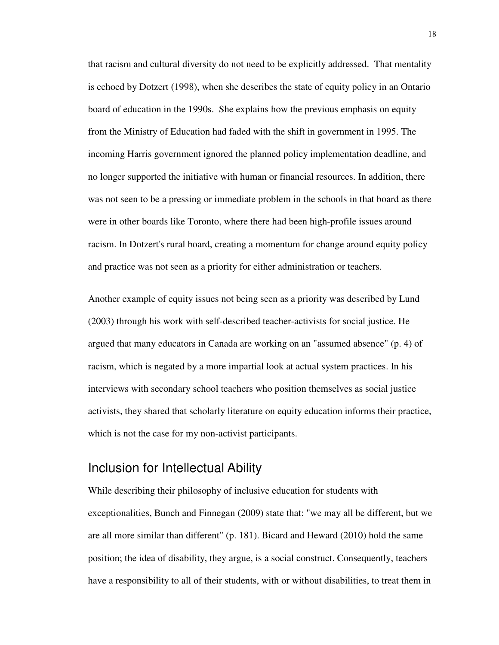that racism and cultural diversity do not need to be explicitly addressed. That mentality is echoed by Dotzert (1998), when she describes the state of equity policy in an Ontario board of education in the 1990s. She explains how the previous emphasis on equity from the Ministry of Education had faded with the shift in government in 1995. The incoming Harris government ignored the planned policy implementation deadline, and no longer supported the initiative with human or financial resources. In addition, there was not seen to be a pressing or immediate problem in the schools in that board as there were in other boards like Toronto, where there had been high-profile issues around racism. In Dotzert's rural board, creating a momentum for change around equity policy and practice was not seen as a priority for either administration or teachers.

Another example of equity issues not being seen as a priority was described by Lund (2003) through his work with self-described teacher-activists for social justice. He argued that many educators in Canada are working on an "assumed absence" (p. 4) of racism, which is negated by a more impartial look at actual system practices. In his interviews with secondary school teachers who position themselves as social justice activists, they shared that scholarly literature on equity education informs their practice, which is not the case for my non-activist participants.

## Inclusion for Intellectual Ability

While describing their philosophy of inclusive education for students with exceptionalities, Bunch and Finnegan (2009) state that: "we may all be different, but we are all more similar than different" (p. 181). Bicard and Heward (2010) hold the same position; the idea of disability, they argue, is a social construct. Consequently, teachers have a responsibility to all of their students, with or without disabilities, to treat them in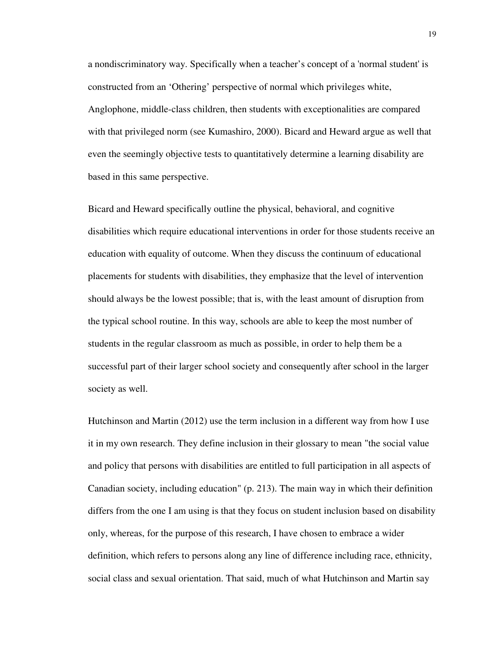a nondiscriminatory way. Specifically when a teacher's concept of a 'normal student' is constructed from an 'Othering' perspective of normal which privileges white, Anglophone, middle-class children, then students with exceptionalities are compared with that privileged norm (see Kumashiro, 2000). Bicard and Heward argue as well that even the seemingly objective tests to quantitatively determine a learning disability are based in this same perspective.

Bicard and Heward specifically outline the physical, behavioral, and cognitive disabilities which require educational interventions in order for those students receive an education with equality of outcome. When they discuss the continuum of educational placements for students with disabilities, they emphasize that the level of intervention should always be the lowest possible; that is, with the least amount of disruption from the typical school routine. In this way, schools are able to keep the most number of students in the regular classroom as much as possible, in order to help them be a successful part of their larger school society and consequently after school in the larger society as well.

Hutchinson and Martin (2012) use the term inclusion in a different way from how I use it in my own research. They define inclusion in their glossary to mean "the social value and policy that persons with disabilities are entitled to full participation in all aspects of Canadian society, including education" (p. 213). The main way in which their definition differs from the one I am using is that they focus on student inclusion based on disability only, whereas, for the purpose of this research, I have chosen to embrace a wider definition, which refers to persons along any line of difference including race, ethnicity, social class and sexual orientation. That said, much of what Hutchinson and Martin say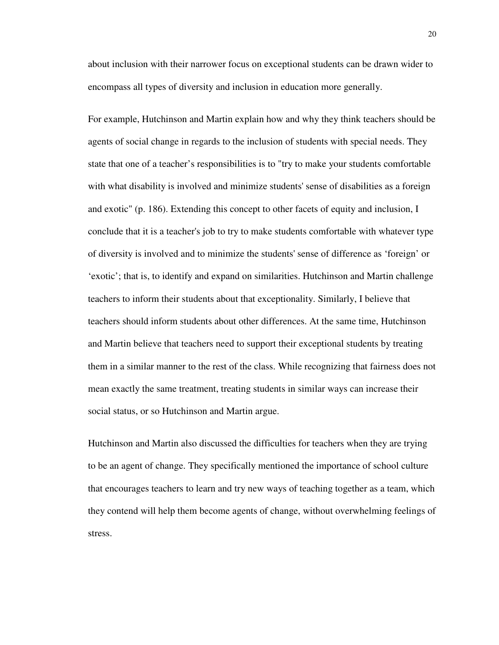about inclusion with their narrower focus on exceptional students can be drawn wider to encompass all types of diversity and inclusion in education more generally.

For example, Hutchinson and Martin explain how and why they think teachers should be agents of social change in regards to the inclusion of students with special needs. They state that one of a teacher's responsibilities is to "try to make your students comfortable with what disability is involved and minimize students' sense of disabilities as a foreign and exotic" (p. 186). Extending this concept to other facets of equity and inclusion, I conclude that it is a teacher's job to try to make students comfortable with whatever type of diversity is involved and to minimize the students' sense of difference as 'foreign' or 'exotic'; that is, to identify and expand on similarities. Hutchinson and Martin challenge teachers to inform their students about that exceptionality. Similarly, I believe that teachers should inform students about other differences. At the same time, Hutchinson and Martin believe that teachers need to support their exceptional students by treating them in a similar manner to the rest of the class. While recognizing that fairness does not mean exactly the same treatment, treating students in similar ways can increase their social status, or so Hutchinson and Martin argue.

Hutchinson and Martin also discussed the difficulties for teachers when they are trying to be an agent of change. They specifically mentioned the importance of school culture that encourages teachers to learn and try new ways of teaching together as a team, which they contend will help them become agents of change, without overwhelming feelings of stress.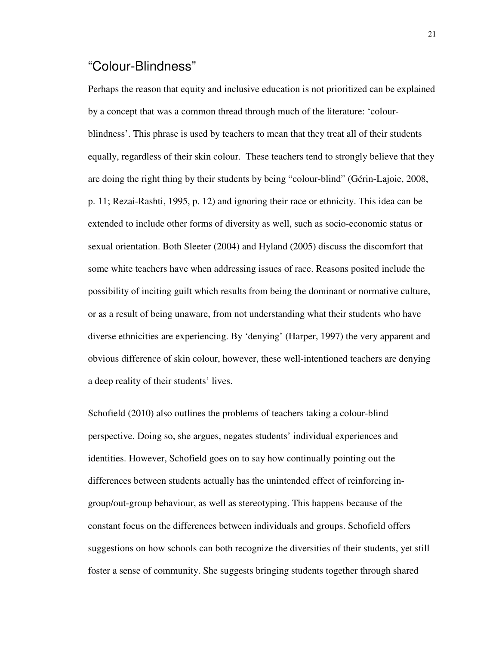## "Colour-Blindness"

Perhaps the reason that equity and inclusive education is not prioritized can be explained by a concept that was a common thread through much of the literature: 'colourblindness'. This phrase is used by teachers to mean that they treat all of their students equally, regardless of their skin colour. These teachers tend to strongly believe that they are doing the right thing by their students by being "colour-blind" (Gérin-Lajoie, 2008, p. 11; Rezai-Rashti, 1995, p. 12) and ignoring their race or ethnicity. This idea can be extended to include other forms of diversity as well, such as socio-economic status or sexual orientation. Both Sleeter (2004) and Hyland (2005) discuss the discomfort that some white teachers have when addressing issues of race. Reasons posited include the possibility of inciting guilt which results from being the dominant or normative culture, or as a result of being unaware, from not understanding what their students who have diverse ethnicities are experiencing. By 'denying' (Harper, 1997) the very apparent and obvious difference of skin colour, however, these well-intentioned teachers are denying a deep reality of their students' lives.

Schofield (2010) also outlines the problems of teachers taking a colour-blind perspective. Doing so, she argues, negates students' individual experiences and identities. However, Schofield goes on to say how continually pointing out the differences between students actually has the unintended effect of reinforcing ingroup/out-group behaviour, as well as stereotyping. This happens because of the constant focus on the differences between individuals and groups. Schofield offers suggestions on how schools can both recognize the diversities of their students, yet still foster a sense of community. She suggests bringing students together through shared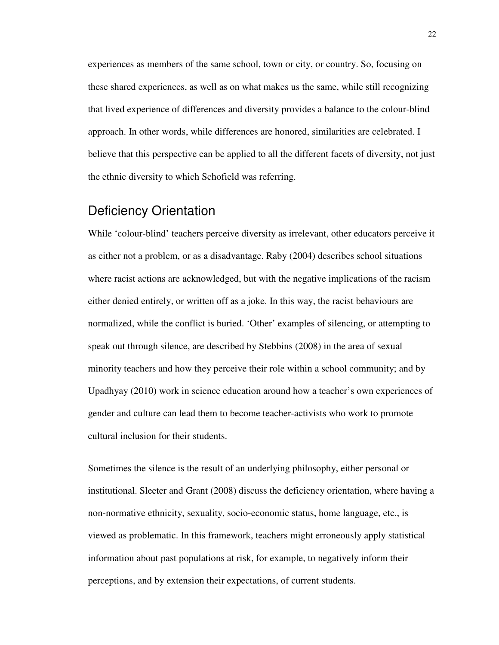experiences as members of the same school, town or city, or country. So, focusing on these shared experiences, as well as on what makes us the same, while still recognizing that lived experience of differences and diversity provides a balance to the colour-blind approach. In other words, while differences are honored, similarities are celebrated. I believe that this perspective can be applied to all the different facets of diversity, not just the ethnic diversity to which Schofield was referring.

## Deficiency Orientation

While 'colour-blind' teachers perceive diversity as irrelevant, other educators perceive it as either not a problem, or as a disadvantage. Raby (2004) describes school situations where racist actions are acknowledged, but with the negative implications of the racism either denied entirely, or written off as a joke. In this way, the racist behaviours are normalized, while the conflict is buried. 'Other' examples of silencing, or attempting to speak out through silence, are described by Stebbins (2008) in the area of sexual minority teachers and how they perceive their role within a school community; and by Upadhyay (2010) work in science education around how a teacher's own experiences of gender and culture can lead them to become teacher-activists who work to promote cultural inclusion for their students.

Sometimes the silence is the result of an underlying philosophy, either personal or institutional. Sleeter and Grant (2008) discuss the deficiency orientation, where having a non-normative ethnicity, sexuality, socio-economic status, home language, etc., is viewed as problematic. In this framework, teachers might erroneously apply statistical information about past populations at risk, for example, to negatively inform their perceptions, and by extension their expectations, of current students.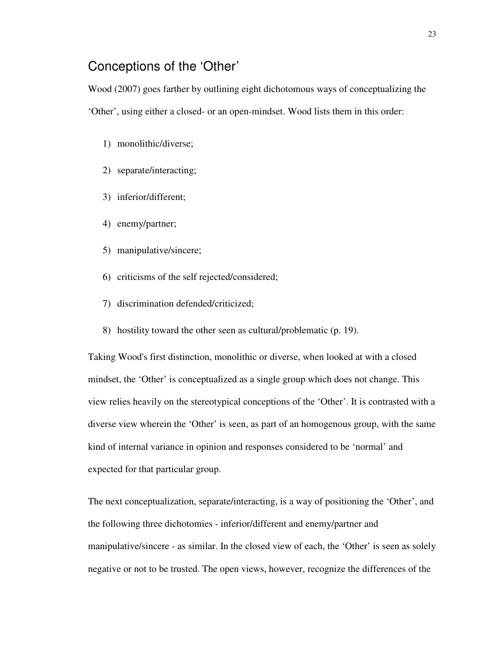## Conceptions of the 'Other'

Wood (2007) goes farther by outlining eight dichotomous ways of conceptualizing the 'Other', using either a closed- or an open-mindset. Wood lists them in this order:

- 1) monolithic/diverse;
- 2) separate/interacting;
- 3) inferior/different;
- 4) enemy/partner;
- 5) manipulative/sincere;
- 6) criticisms of the self rejected/considered;
- 7) discrimination defended/criticized;
- 8) hostility toward the other seen as cultural/problematic (p. 19).

Taking Wood's first distinction, monolithic or diverse, when looked at with a closed mindset, the 'Other' is conceptualized as a single group which does not change. This view relies heavily on the stereotypical conceptions of the 'Other'. It is contrasted with a diverse view wherein the 'Other' is seen, as part of an homogenous group, with the same kind of internal variance in opinion and responses considered to be 'normal' and expected for that particular group.

The next conceptualization, separate/interacting, is a way of positioning the 'Other', and the following three dichotomies - inferior/different and enemy/partner and manipulative/sincere - as similar. In the closed view of each, the 'Other' is seen as solely negative or not to be trusted. The open views, however, recognize the differences of the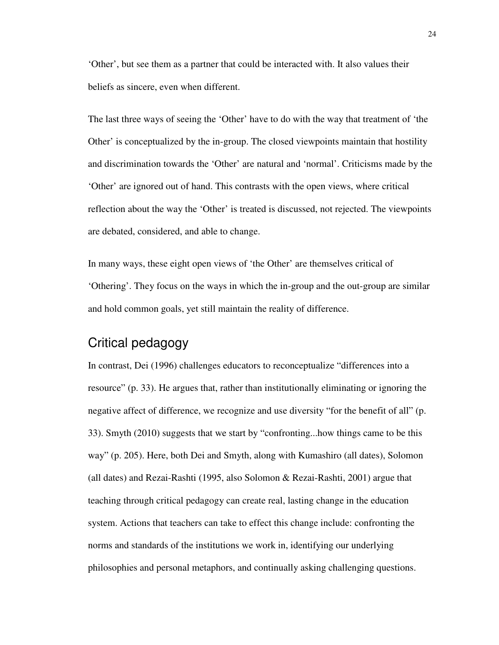'Other', but see them as a partner that could be interacted with. It also values their beliefs as sincere, even when different.

The last three ways of seeing the 'Other' have to do with the way that treatment of 'the Other' is conceptualized by the in-group. The closed viewpoints maintain that hostility and discrimination towards the 'Other' are natural and 'normal'. Criticisms made by the 'Other' are ignored out of hand. This contrasts with the open views, where critical reflection about the way the 'Other' is treated is discussed, not rejected. The viewpoints are debated, considered, and able to change.

In many ways, these eight open views of 'the Other' are themselves critical of 'Othering'. They focus on the ways in which the in-group and the out-group are similar and hold common goals, yet still maintain the reality of difference.

## Critical pedagogy

In contrast, Dei (1996) challenges educators to reconceptualize "differences into a resource" (p. 33). He argues that, rather than institutionally eliminating or ignoring the negative affect of difference, we recognize and use diversity "for the benefit of all" (p. 33). Smyth (2010) suggests that we start by "confronting...how things came to be this way" (p. 205). Here, both Dei and Smyth, along with Kumashiro (all dates), Solomon (all dates) and Rezai-Rashti (1995, also Solomon & Rezai-Rashti, 2001) argue that teaching through critical pedagogy can create real, lasting change in the education system. Actions that teachers can take to effect this change include: confronting the norms and standards of the institutions we work in, identifying our underlying philosophies and personal metaphors, and continually asking challenging questions.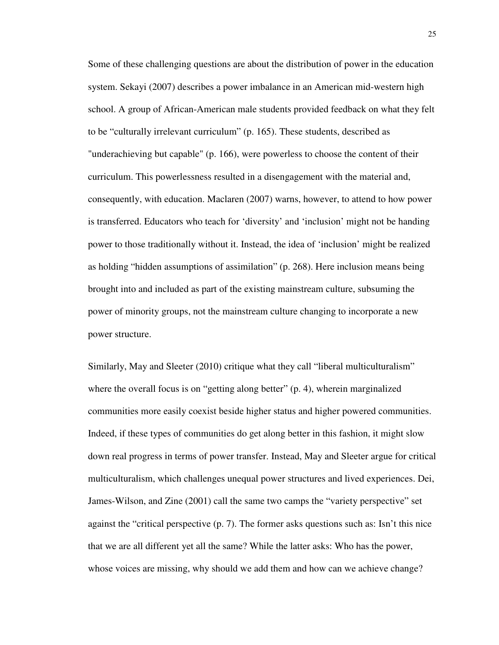Some of these challenging questions are about the distribution of power in the education system. Sekayi (2007) describes a power imbalance in an American mid-western high school. A group of African-American male students provided feedback on what they felt to be "culturally irrelevant curriculum" (p. 165). These students, described as "underachieving but capable" (p. 166), were powerless to choose the content of their curriculum. This powerlessness resulted in a disengagement with the material and, consequently, with education. Maclaren (2007) warns, however, to attend to how power is transferred. Educators who teach for 'diversity' and 'inclusion' might not be handing power to those traditionally without it. Instead, the idea of 'inclusion' might be realized as holding "hidden assumptions of assimilation" (p. 268). Here inclusion means being brought into and included as part of the existing mainstream culture, subsuming the power of minority groups, not the mainstream culture changing to incorporate a new power structure.

Similarly, May and Sleeter (2010) critique what they call "liberal multiculturalism" where the overall focus is on "getting along better" (p. 4), wherein marginalized communities more easily coexist beside higher status and higher powered communities. Indeed, if these types of communities do get along better in this fashion, it might slow down real progress in terms of power transfer. Instead, May and Sleeter argue for critical multiculturalism, which challenges unequal power structures and lived experiences. Dei, James-Wilson, and Zine (2001) call the same two camps the "variety perspective" set against the "critical perspective (p. 7). The former asks questions such as: Isn't this nice that we are all different yet all the same? While the latter asks: Who has the power, whose voices are missing, why should we add them and how can we achieve change?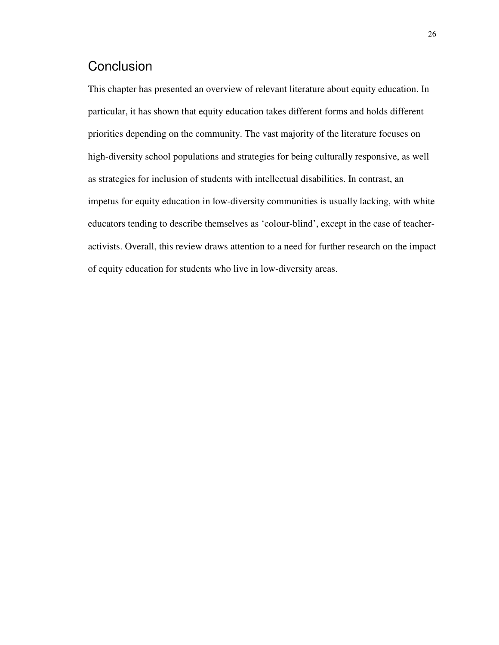# **Conclusion**

This chapter has presented an overview of relevant literature about equity education. In particular, it has shown that equity education takes different forms and holds different priorities depending on the community. The vast majority of the literature focuses on high-diversity school populations and strategies for being culturally responsive, as well as strategies for inclusion of students with intellectual disabilities. In contrast, an impetus for equity education in low-diversity communities is usually lacking, with white educators tending to describe themselves as 'colour-blind', except in the case of teacheractivists. Overall, this review draws attention to a need for further research on the impact of equity education for students who live in low-diversity areas.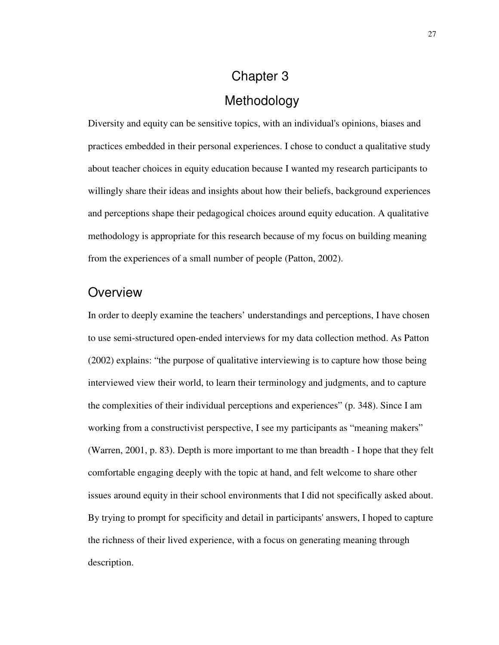# Chapter 3 Methodology

Diversity and equity can be sensitive topics, with an individual's opinions, biases and practices embedded in their personal experiences. I chose to conduct a qualitative study about teacher choices in equity education because I wanted my research participants to willingly share their ideas and insights about how their beliefs, background experiences and perceptions shape their pedagogical choices around equity education. A qualitative methodology is appropriate for this research because of my focus on building meaning from the experiences of a small number of people (Patton, 2002).

### **Overview**

In order to deeply examine the teachers' understandings and perceptions, I have chosen to use semi-structured open-ended interviews for my data collection method. As Patton (2002) explains: "the purpose of qualitative interviewing is to capture how those being interviewed view their world, to learn their terminology and judgments, and to capture the complexities of their individual perceptions and experiences" (p. 348). Since I am working from a constructivist perspective, I see my participants as "meaning makers" (Warren, 2001, p. 83). Depth is more important to me than breadth - I hope that they felt comfortable engaging deeply with the topic at hand, and felt welcome to share other issues around equity in their school environments that I did not specifically asked about. By trying to prompt for specificity and detail in participants' answers, I hoped to capture the richness of their lived experience, with a focus on generating meaning through description.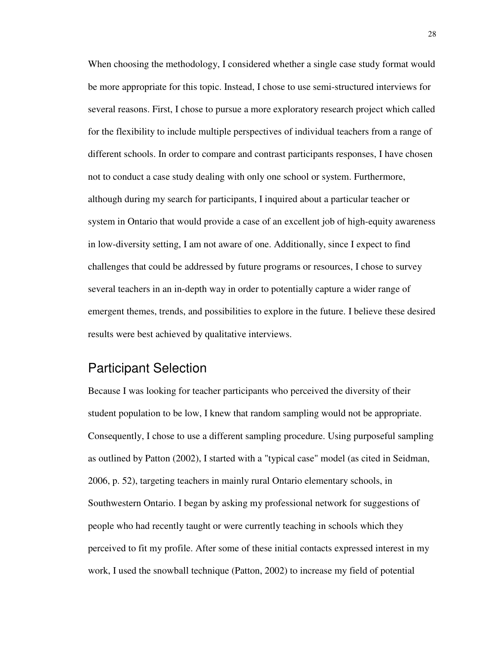When choosing the methodology, I considered whether a single case study format would be more appropriate for this topic. Instead, I chose to use semi-structured interviews for several reasons. First, I chose to pursue a more exploratory research project which called for the flexibility to include multiple perspectives of individual teachers from a range of different schools. In order to compare and contrast participants responses, I have chosen not to conduct a case study dealing with only one school or system. Furthermore, although during my search for participants, I inquired about a particular teacher or system in Ontario that would provide a case of an excellent job of high-equity awareness in low-diversity setting, I am not aware of one. Additionally, since I expect to find challenges that could be addressed by future programs or resources, I chose to survey several teachers in an in-depth way in order to potentially capture a wider range of emergent themes, trends, and possibilities to explore in the future. I believe these desired results were best achieved by qualitative interviews.

# Participant Selection

Because I was looking for teacher participants who perceived the diversity of their student population to be low, I knew that random sampling would not be appropriate. Consequently, I chose to use a different sampling procedure. Using purposeful sampling as outlined by Patton (2002), I started with a "typical case" model (as cited in Seidman, 2006, p. 52), targeting teachers in mainly rural Ontario elementary schools, in Southwestern Ontario. I began by asking my professional network for suggestions of people who had recently taught or were currently teaching in schools which they perceived to fit my profile. After some of these initial contacts expressed interest in my work, I used the snowball technique (Patton, 2002) to increase my field of potential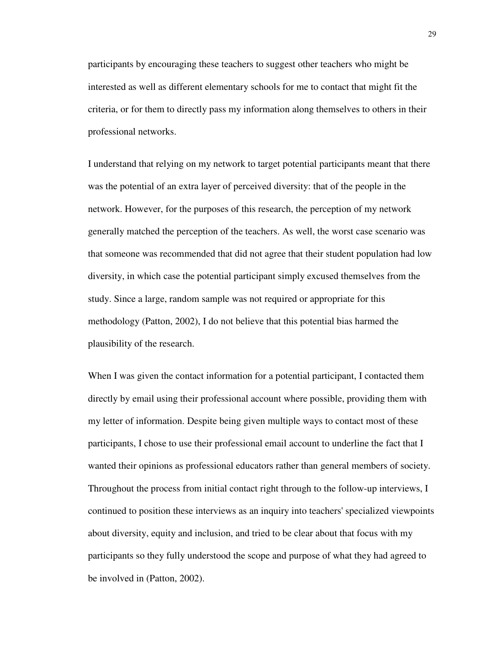participants by encouraging these teachers to suggest other teachers who might be interested as well as different elementary schools for me to contact that might fit the criteria, or for them to directly pass my information along themselves to others in their professional networks.

I understand that relying on my network to target potential participants meant that there was the potential of an extra layer of perceived diversity: that of the people in the network. However, for the purposes of this research, the perception of my network generally matched the perception of the teachers. As well, the worst case scenario was that someone was recommended that did not agree that their student population had low diversity, in which case the potential participant simply excused themselves from the study. Since a large, random sample was not required or appropriate for this methodology (Patton, 2002), I do not believe that this potential bias harmed the plausibility of the research.

When I was given the contact information for a potential participant, I contacted them directly by email using their professional account where possible, providing them with my letter of information. Despite being given multiple ways to contact most of these participants, I chose to use their professional email account to underline the fact that I wanted their opinions as professional educators rather than general members of society. Throughout the process from initial contact right through to the follow-up interviews, I continued to position these interviews as an inquiry into teachers' specialized viewpoints about diversity, equity and inclusion, and tried to be clear about that focus with my participants so they fully understood the scope and purpose of what they had agreed to be involved in (Patton, 2002).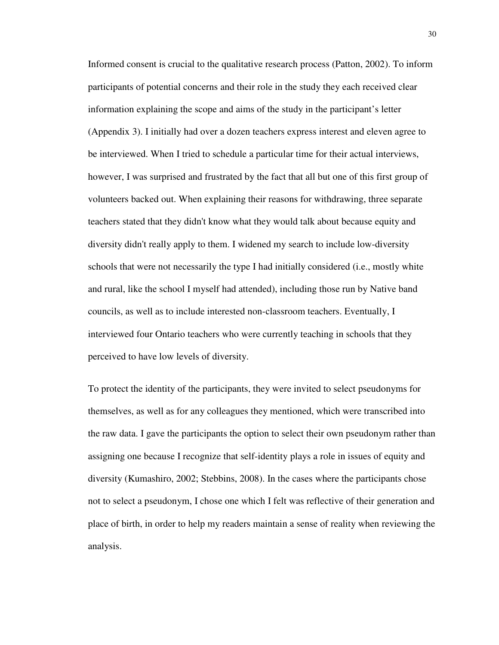Informed consent is crucial to the qualitative research process (Patton, 2002). To inform participants of potential concerns and their role in the study they each received clear information explaining the scope and aims of the study in the participant's letter (Appendix 3). I initially had over a dozen teachers express interest and eleven agree to be interviewed. When I tried to schedule a particular time for their actual interviews, however, I was surprised and frustrated by the fact that all but one of this first group of volunteers backed out. When explaining their reasons for withdrawing, three separate teachers stated that they didn't know what they would talk about because equity and diversity didn't really apply to them. I widened my search to include low-diversity schools that were not necessarily the type I had initially considered (i.e., mostly white and rural, like the school I myself had attended), including those run by Native band councils, as well as to include interested non-classroom teachers. Eventually, I interviewed four Ontario teachers who were currently teaching in schools that they perceived to have low levels of diversity.

To protect the identity of the participants, they were invited to select pseudonyms for themselves, as well as for any colleagues they mentioned, which were transcribed into the raw data. I gave the participants the option to select their own pseudonym rather than assigning one because I recognize that self-identity plays a role in issues of equity and diversity (Kumashiro, 2002; Stebbins, 2008). In the cases where the participants chose not to select a pseudonym, I chose one which I felt was reflective of their generation and place of birth, in order to help my readers maintain a sense of reality when reviewing the analysis.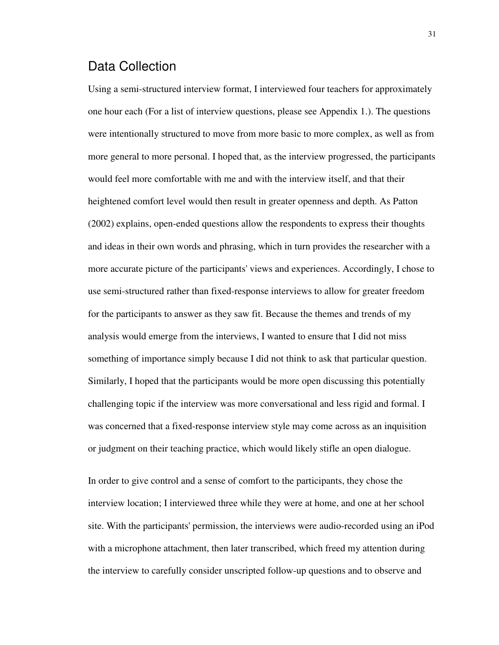# Data Collection

Using a semi-structured interview format, I interviewed four teachers for approximately one hour each (For a list of interview questions, please see Appendix 1.). The questions were intentionally structured to move from more basic to more complex, as well as from more general to more personal. I hoped that, as the interview progressed, the participants would feel more comfortable with me and with the interview itself, and that their heightened comfort level would then result in greater openness and depth. As Patton (2002) explains, open-ended questions allow the respondents to express their thoughts and ideas in their own words and phrasing, which in turn provides the researcher with a more accurate picture of the participants' views and experiences. Accordingly, I chose to use semi-structured rather than fixed-response interviews to allow for greater freedom for the participants to answer as they saw fit. Because the themes and trends of my analysis would emerge from the interviews, I wanted to ensure that I did not miss something of importance simply because I did not think to ask that particular question. Similarly, I hoped that the participants would be more open discussing this potentially challenging topic if the interview was more conversational and less rigid and formal. I was concerned that a fixed-response interview style may come across as an inquisition or judgment on their teaching practice, which would likely stifle an open dialogue.

In order to give control and a sense of comfort to the participants, they chose the interview location; I interviewed three while they were at home, and one at her school site. With the participants' permission, the interviews were audio-recorded using an iPod with a microphone attachment, then later transcribed, which freed my attention during the interview to carefully consider unscripted follow-up questions and to observe and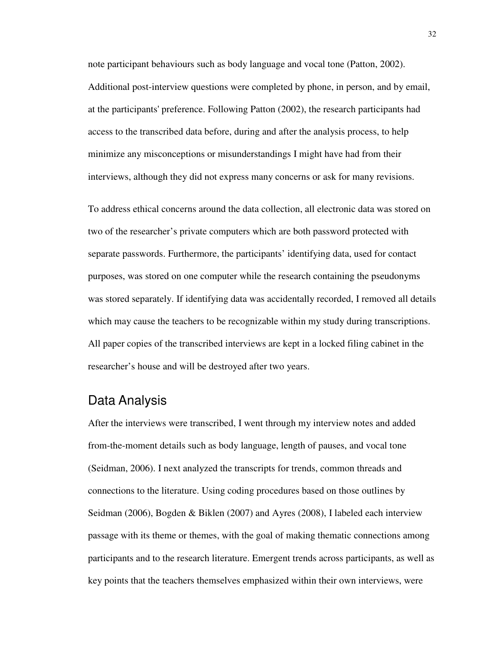note participant behaviours such as body language and vocal tone (Patton, 2002). Additional post-interview questions were completed by phone, in person, and by email, at the participants' preference. Following Patton (2002), the research participants had access to the transcribed data before, during and after the analysis process, to help minimize any misconceptions or misunderstandings I might have had from their interviews, although they did not express many concerns or ask for many revisions.

To address ethical concerns around the data collection, all electronic data was stored on two of the researcher's private computers which are both password protected with separate passwords. Furthermore, the participants' identifying data, used for contact purposes, was stored on one computer while the research containing the pseudonyms was stored separately. If identifying data was accidentally recorded, I removed all details which may cause the teachers to be recognizable within my study during transcriptions. All paper copies of the transcribed interviews are kept in a locked filing cabinet in the researcher's house and will be destroyed after two years.

### Data Analysis

After the interviews were transcribed, I went through my interview notes and added from-the-moment details such as body language, length of pauses, and vocal tone (Seidman, 2006). I next analyzed the transcripts for trends, common threads and connections to the literature. Using coding procedures based on those outlines by Seidman (2006), Bogden & Biklen (2007) and Ayres (2008), I labeled each interview passage with its theme or themes, with the goal of making thematic connections among participants and to the research literature. Emergent trends across participants, as well as key points that the teachers themselves emphasized within their own interviews, were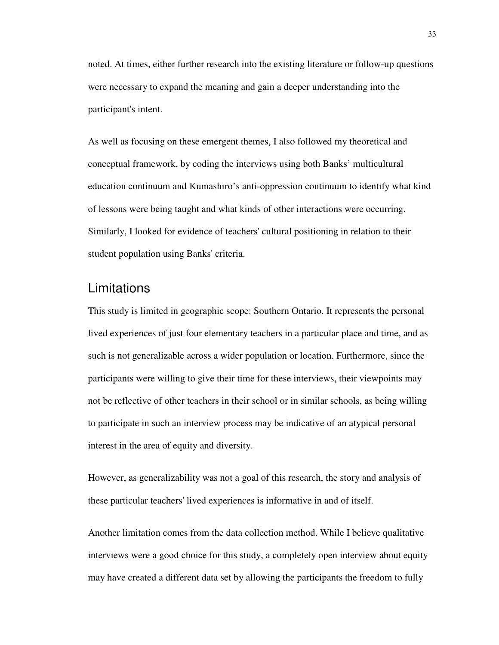noted. At times, either further research into the existing literature or follow-up questions were necessary to expand the meaning and gain a deeper understanding into the participant's intent.

As well as focusing on these emergent themes, I also followed my theoretical and conceptual framework, by coding the interviews using both Banks' multicultural education continuum and Kumashiro's anti-oppression continuum to identify what kind of lessons were being taught and what kinds of other interactions were occurring. Similarly, I looked for evidence of teachers' cultural positioning in relation to their student population using Banks' criteria.

# **Limitations**

This study is limited in geographic scope: Southern Ontario. It represents the personal lived experiences of just four elementary teachers in a particular place and time, and as such is not generalizable across a wider population or location. Furthermore, since the participants were willing to give their time for these interviews, their viewpoints may not be reflective of other teachers in their school or in similar schools, as being willing to participate in such an interview process may be indicative of an atypical personal interest in the area of equity and diversity.

However, as generalizability was not a goal of this research, the story and analysis of these particular teachers' lived experiences is informative in and of itself.

Another limitation comes from the data collection method. While I believe qualitative interviews were a good choice for this study, a completely open interview about equity may have created a different data set by allowing the participants the freedom to fully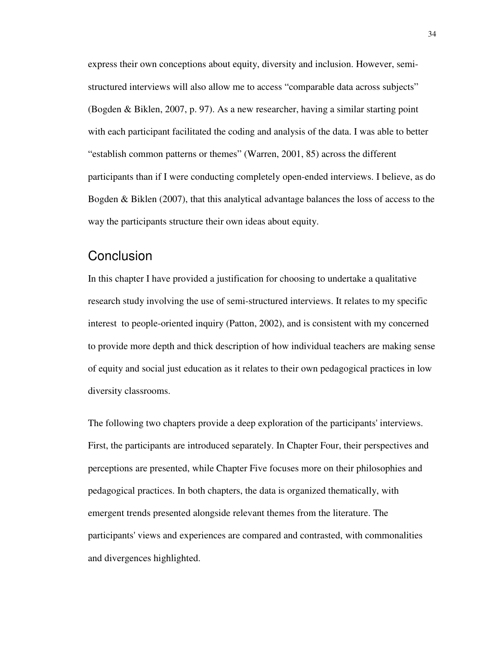express their own conceptions about equity, diversity and inclusion. However, semistructured interviews will also allow me to access "comparable data across subjects" (Bogden & Biklen, 2007, p. 97). As a new researcher, having a similar starting point with each participant facilitated the coding and analysis of the data. I was able to better "establish common patterns or themes" (Warren, 2001, 85) across the different participants than if I were conducting completely open-ended interviews. I believe, as do Bogden & Biklen (2007), that this analytical advantage balances the loss of access to the way the participants structure their own ideas about equity.

# **Conclusion**

In this chapter I have provided a justification for choosing to undertake a qualitative research study involving the use of semi-structured interviews. It relates to my specific interest to people-oriented inquiry (Patton, 2002), and is consistent with my concerned to provide more depth and thick description of how individual teachers are making sense of equity and social just education as it relates to their own pedagogical practices in low diversity classrooms.

The following two chapters provide a deep exploration of the participants' interviews. First, the participants are introduced separately. In Chapter Four, their perspectives and perceptions are presented, while Chapter Five focuses more on their philosophies and pedagogical practices. In both chapters, the data is organized thematically, with emergent trends presented alongside relevant themes from the literature. The participants' views and experiences are compared and contrasted, with commonalities and divergences highlighted.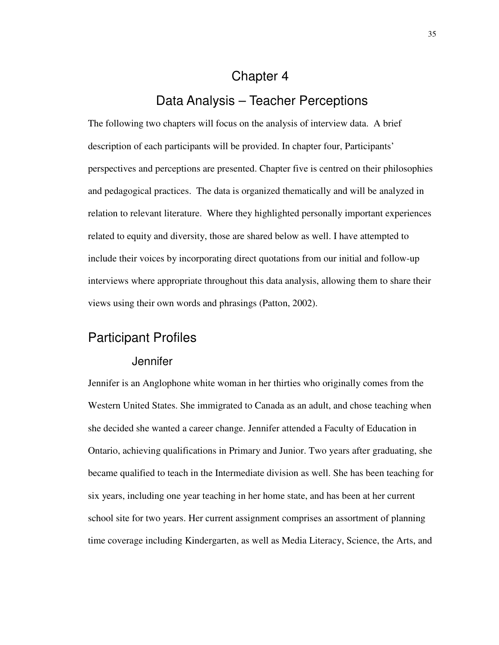# Chapter 4

# Data Analysis – Teacher Perceptions

The following two chapters will focus on the analysis of interview data. A brief description of each participants will be provided. In chapter four, Participants' perspectives and perceptions are presented. Chapter five is centred on their philosophies and pedagogical practices. The data is organized thematically and will be analyzed in relation to relevant literature. Where they highlighted personally important experiences related to equity and diversity, those are shared below as well. I have attempted to include their voices by incorporating direct quotations from our initial and follow-up interviews where appropriate throughout this data analysis, allowing them to share their views using their own words and phrasings (Patton, 2002).

# Participant Profiles

#### **Jennifer**

Jennifer is an Anglophone white woman in her thirties who originally comes from the Western United States. She immigrated to Canada as an adult, and chose teaching when she decided she wanted a career change. Jennifer attended a Faculty of Education in Ontario, achieving qualifications in Primary and Junior. Two years after graduating, she became qualified to teach in the Intermediate division as well. She has been teaching for six years, including one year teaching in her home state, and has been at her current school site for two years. Her current assignment comprises an assortment of planning time coverage including Kindergarten, as well as Media Literacy, Science, the Arts, and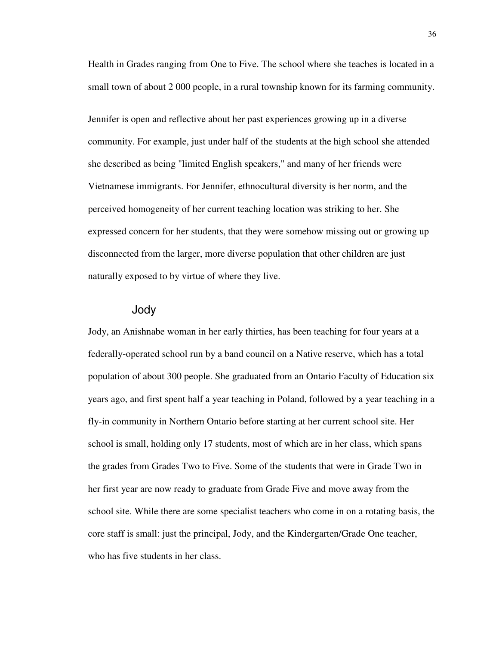Health in Grades ranging from One to Five. The school where she teaches is located in a small town of about 2 000 people, in a rural township known for its farming community.

Jennifer is open and reflective about her past experiences growing up in a diverse community. For example, just under half of the students at the high school she attended she described as being "limited English speakers," and many of her friends were Vietnamese immigrants. For Jennifer, ethnocultural diversity is her norm, and the perceived homogeneity of her current teaching location was striking to her. She expressed concern for her students, that they were somehow missing out or growing up disconnected from the larger, more diverse population that other children are just naturally exposed to by virtue of where they live.

#### Jody

Jody, an Anishnabe woman in her early thirties, has been teaching for four years at a federally-operated school run by a band council on a Native reserve, which has a total population of about 300 people. She graduated from an Ontario Faculty of Education six years ago, and first spent half a year teaching in Poland, followed by a year teaching in a fly-in community in Northern Ontario before starting at her current school site. Her school is small, holding only 17 students, most of which are in her class, which spans the grades from Grades Two to Five. Some of the students that were in Grade Two in her first year are now ready to graduate from Grade Five and move away from the school site. While there are some specialist teachers who come in on a rotating basis, the core staff is small: just the principal, Jody, and the Kindergarten/Grade One teacher, who has five students in her class.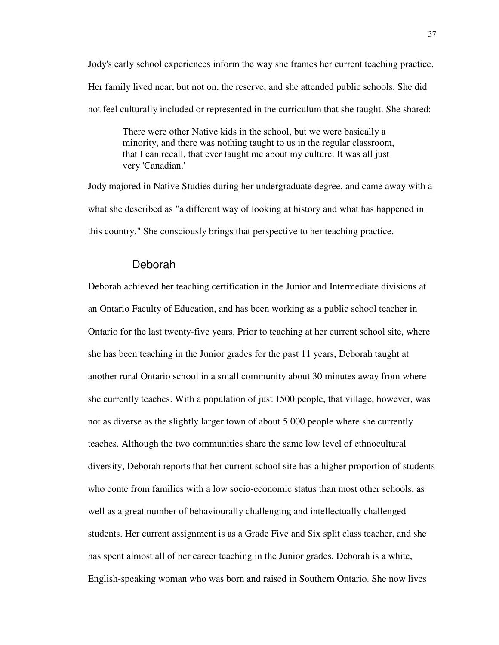Jody's early school experiences inform the way she frames her current teaching practice. Her family lived near, but not on, the reserve, and she attended public schools. She did not feel culturally included or represented in the curriculum that she taught. She shared:

There were other Native kids in the school, but we were basically a minority, and there was nothing taught to us in the regular classroom, that I can recall, that ever taught me about my culture. It was all just very 'Canadian.'

Jody majored in Native Studies during her undergraduate degree, and came away with a what she described as "a different way of looking at history and what has happened in this country." She consciously brings that perspective to her teaching practice.

#### Deborah

Deborah achieved her teaching certification in the Junior and Intermediate divisions at an Ontario Faculty of Education, and has been working as a public school teacher in Ontario for the last twenty-five years. Prior to teaching at her current school site, where she has been teaching in the Junior grades for the past 11 years, Deborah taught at another rural Ontario school in a small community about 30 minutes away from where she currently teaches. With a population of just 1500 people, that village, however, was not as diverse as the slightly larger town of about 5 000 people where she currently teaches. Although the two communities share the same low level of ethnocultural diversity, Deborah reports that her current school site has a higher proportion of students who come from families with a low socio-economic status than most other schools, as well as a great number of behaviourally challenging and intellectually challenged students. Her current assignment is as a Grade Five and Six split class teacher, and she has spent almost all of her career teaching in the Junior grades. Deborah is a white, English-speaking woman who was born and raised in Southern Ontario. She now lives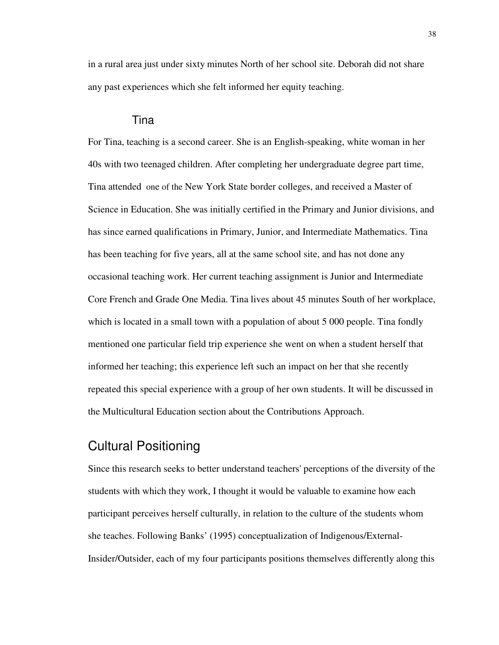in a rural area just under sixty minutes North of her school site. Deborah did not share any past experiences which she felt informed her equity teaching.

#### Tina

For Tina, teaching is a second career. She is an English-speaking, white woman in her 40s with two teenaged children. After completing her undergraduate degree part time, Tina attended one of the New York State border colleges, and received a Master of Science in Education. She was initially certified in the Primary and Junior divisions, and has since earned qualifications in Primary, Junior, and Intermediate Mathematics. Tina has been teaching for five years, all at the same school site, and has not done any occasional teaching work. Her current teaching assignment is Junior and Intermediate Core French and Grade One Media. Tina lives about 45 minutes South of her workplace, which is located in a small town with a population of about 5 000 people. Tina fondly mentioned one particular field trip experience she went on when a student herself that informed her teaching; this experience left such an impact on her that she recently repeated this special experience with a group of her own students. It will be discussed in the Multicultural Education section about the Contributions Approach.

# Cultural Positioning

Since this research seeks to better understand teachers' perceptions of the diversity of the students with which they work, I thought it would be valuable to examine how each participant perceives herself culturally, in relation to the culture of the students whom she teaches. Following Banks' (1995) conceptualization of Indigenous/External-Insider/Outsider, each of my four participants positions themselves differently along this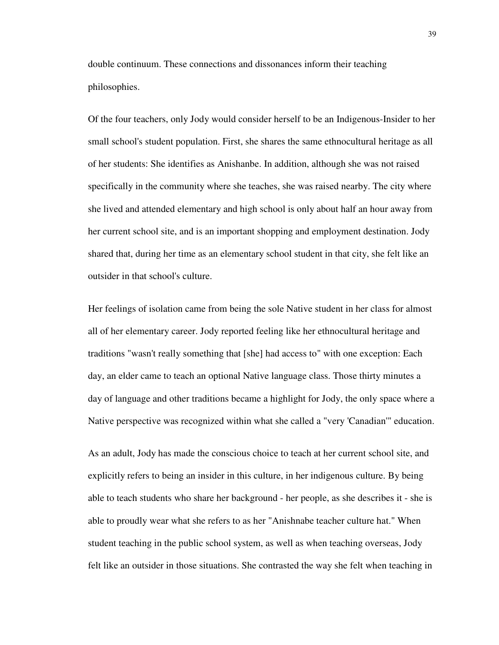double continuum. These connections and dissonances inform their teaching philosophies.

Of the four teachers, only Jody would consider herself to be an Indigenous-Insider to her small school's student population. First, she shares the same ethnocultural heritage as all of her students: She identifies as Anishanbe. In addition, although she was not raised specifically in the community where she teaches, she was raised nearby. The city where she lived and attended elementary and high school is only about half an hour away from her current school site, and is an important shopping and employment destination. Jody shared that, during her time as an elementary school student in that city, she felt like an outsider in that school's culture.

Her feelings of isolation came from being the sole Native student in her class for almost all of her elementary career. Jody reported feeling like her ethnocultural heritage and traditions "wasn't really something that [she] had access to" with one exception: Each day, an elder came to teach an optional Native language class. Those thirty minutes a day of language and other traditions became a highlight for Jody, the only space where a Native perspective was recognized within what she called a "very 'Canadian'" education.

As an adult, Jody has made the conscious choice to teach at her current school site, and explicitly refers to being an insider in this culture, in her indigenous culture. By being able to teach students who share her background - her people, as she describes it - she is able to proudly wear what she refers to as her "Anishnabe teacher culture hat." When student teaching in the public school system, as well as when teaching overseas, Jody felt like an outsider in those situations. She contrasted the way she felt when teaching in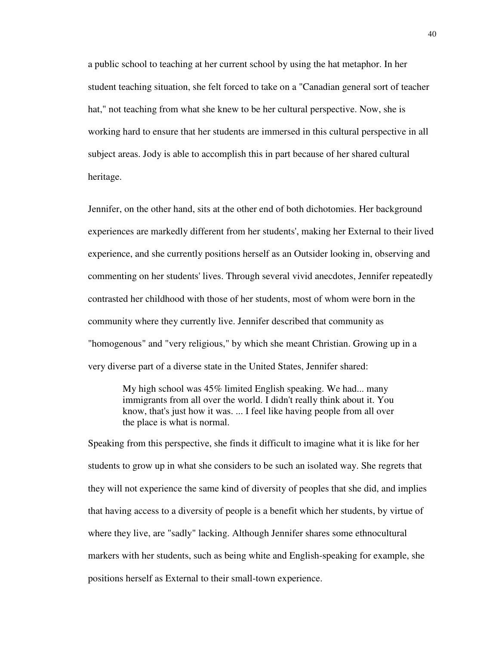a public school to teaching at her current school by using the hat metaphor. In her student teaching situation, she felt forced to take on a "Canadian general sort of teacher hat," not teaching from what she knew to be her cultural perspective. Now, she is working hard to ensure that her students are immersed in this cultural perspective in all subject areas. Jody is able to accomplish this in part because of her shared cultural heritage.

Jennifer, on the other hand, sits at the other end of both dichotomies. Her background experiences are markedly different from her students', making her External to their lived experience, and she currently positions herself as an Outsider looking in, observing and commenting on her students' lives. Through several vivid anecdotes, Jennifer repeatedly contrasted her childhood with those of her students, most of whom were born in the community where they currently live. Jennifer described that community as "homogenous" and "very religious," by which she meant Christian. Growing up in a very diverse part of a diverse state in the United States, Jennifer shared:

My high school was 45% limited English speaking. We had... many immigrants from all over the world. I didn't really think about it. You know, that's just how it was. ... I feel like having people from all over the place is what is normal.

Speaking from this perspective, she finds it difficult to imagine what it is like for her students to grow up in what she considers to be such an isolated way. She regrets that they will not experience the same kind of diversity of peoples that she did, and implies that having access to a diversity of people is a benefit which her students, by virtue of where they live, are "sadly" lacking. Although Jennifer shares some ethnocultural markers with her students, such as being white and English-speaking for example, she positions herself as External to their small-town experience.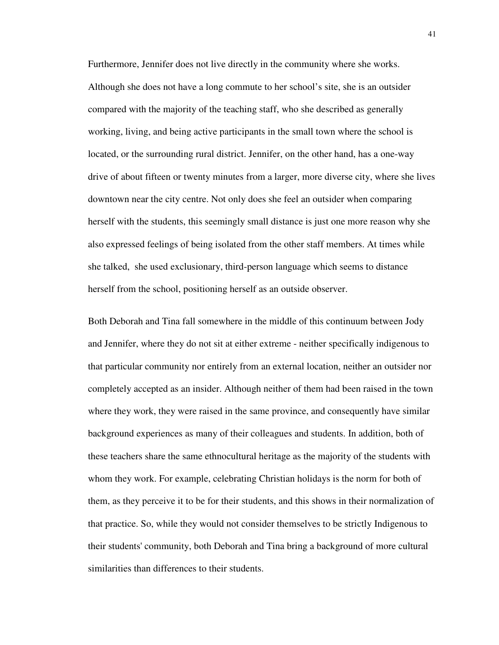Furthermore, Jennifer does not live directly in the community where she works. Although she does not have a long commute to her school's site, she is an outsider compared with the majority of the teaching staff, who she described as generally working, living, and being active participants in the small town where the school is located, or the surrounding rural district. Jennifer, on the other hand, has a one-way drive of about fifteen or twenty minutes from a larger, more diverse city, where she lives downtown near the city centre. Not only does she feel an outsider when comparing herself with the students, this seemingly small distance is just one more reason why she also expressed feelings of being isolated from the other staff members. At times while she talked, she used exclusionary, third-person language which seems to distance herself from the school, positioning herself as an outside observer.

Both Deborah and Tina fall somewhere in the middle of this continuum between Jody and Jennifer, where they do not sit at either extreme - neither specifically indigenous to that particular community nor entirely from an external location, neither an outsider nor completely accepted as an insider. Although neither of them had been raised in the town where they work, they were raised in the same province, and consequently have similar background experiences as many of their colleagues and students. In addition, both of these teachers share the same ethnocultural heritage as the majority of the students with whom they work. For example, celebrating Christian holidays is the norm for both of them, as they perceive it to be for their students, and this shows in their normalization of that practice. So, while they would not consider themselves to be strictly Indigenous to their students' community, both Deborah and Tina bring a background of more cultural similarities than differences to their students.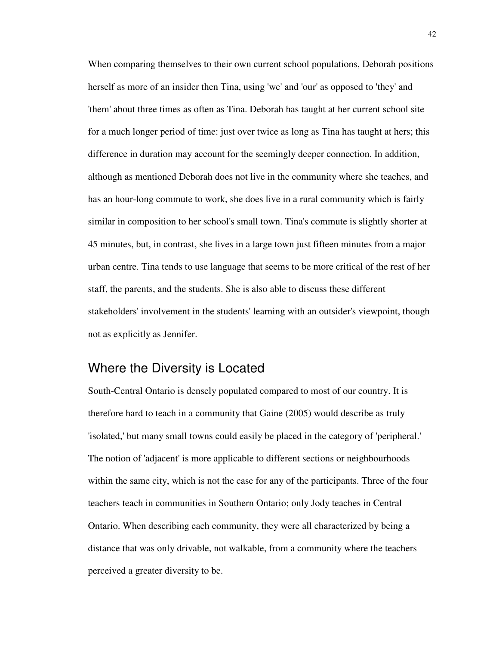When comparing themselves to their own current school populations, Deborah positions herself as more of an insider then Tina, using 'we' and 'our' as opposed to 'they' and 'them' about three times as often as Tina. Deborah has taught at her current school site for a much longer period of time: just over twice as long as Tina has taught at hers; this difference in duration may account for the seemingly deeper connection. In addition, although as mentioned Deborah does not live in the community where she teaches, and has an hour-long commute to work, she does live in a rural community which is fairly similar in composition to her school's small town. Tina's commute is slightly shorter at 45 minutes, but, in contrast, she lives in a large town just fifteen minutes from a major urban centre. Tina tends to use language that seems to be more critical of the rest of her staff, the parents, and the students. She is also able to discuss these different stakeholders' involvement in the students' learning with an outsider's viewpoint, though not as explicitly as Jennifer.

# Where the Diversity is Located

South-Central Ontario is densely populated compared to most of our country. It is therefore hard to teach in a community that Gaine (2005) would describe as truly 'isolated,' but many small towns could easily be placed in the category of 'peripheral.' The notion of 'adjacent' is more applicable to different sections or neighbourhoods within the same city, which is not the case for any of the participants. Three of the four teachers teach in communities in Southern Ontario; only Jody teaches in Central Ontario. When describing each community, they were all characterized by being a distance that was only drivable, not walkable, from a community where the teachers perceived a greater diversity to be.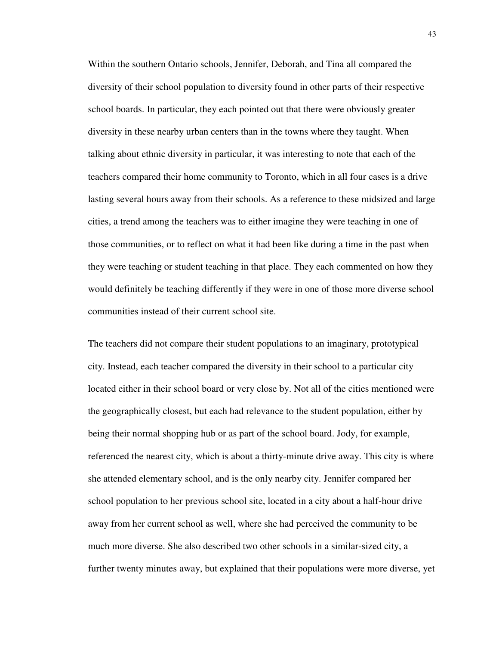Within the southern Ontario schools, Jennifer, Deborah, and Tina all compared the diversity of their school population to diversity found in other parts of their respective school boards. In particular, they each pointed out that there were obviously greater diversity in these nearby urban centers than in the towns where they taught. When talking about ethnic diversity in particular, it was interesting to note that each of the teachers compared their home community to Toronto, which in all four cases is a drive lasting several hours away from their schools. As a reference to these midsized and large cities, a trend among the teachers was to either imagine they were teaching in one of those communities, or to reflect on what it had been like during a time in the past when they were teaching or student teaching in that place. They each commented on how they would definitely be teaching differently if they were in one of those more diverse school communities instead of their current school site.

The teachers did not compare their student populations to an imaginary, prototypical city. Instead, each teacher compared the diversity in their school to a particular city located either in their school board or very close by. Not all of the cities mentioned were the geographically closest, but each had relevance to the student population, either by being their normal shopping hub or as part of the school board. Jody, for example, referenced the nearest city, which is about a thirty-minute drive away. This city is where she attended elementary school, and is the only nearby city. Jennifer compared her school population to her previous school site, located in a city about a half-hour drive away from her current school as well, where she had perceived the community to be much more diverse. She also described two other schools in a similar-sized city, a further twenty minutes away, but explained that their populations were more diverse, yet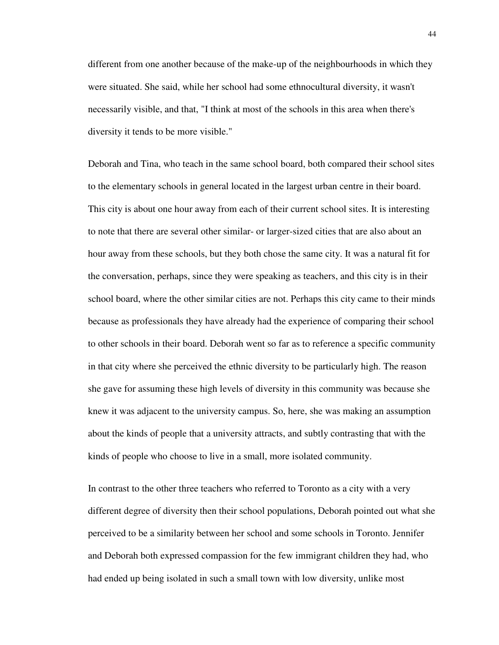different from one another because of the make-up of the neighbourhoods in which they were situated. She said, while her school had some ethnocultural diversity, it wasn't necessarily visible, and that, "I think at most of the schools in this area when there's diversity it tends to be more visible."

Deborah and Tina, who teach in the same school board, both compared their school sites to the elementary schools in general located in the largest urban centre in their board. This city is about one hour away from each of their current school sites. It is interesting to note that there are several other similar- or larger-sized cities that are also about an hour away from these schools, but they both chose the same city. It was a natural fit for the conversation, perhaps, since they were speaking as teachers, and this city is in their school board, where the other similar cities are not. Perhaps this city came to their minds because as professionals they have already had the experience of comparing their school to other schools in their board. Deborah went so far as to reference a specific community in that city where she perceived the ethnic diversity to be particularly high. The reason she gave for assuming these high levels of diversity in this community was because she knew it was adjacent to the university campus. So, here, she was making an assumption about the kinds of people that a university attracts, and subtly contrasting that with the kinds of people who choose to live in a small, more isolated community.

In contrast to the other three teachers who referred to Toronto as a city with a very different degree of diversity then their school populations, Deborah pointed out what she perceived to be a similarity between her school and some schools in Toronto. Jennifer and Deborah both expressed compassion for the few immigrant children they had, who had ended up being isolated in such a small town with low diversity, unlike most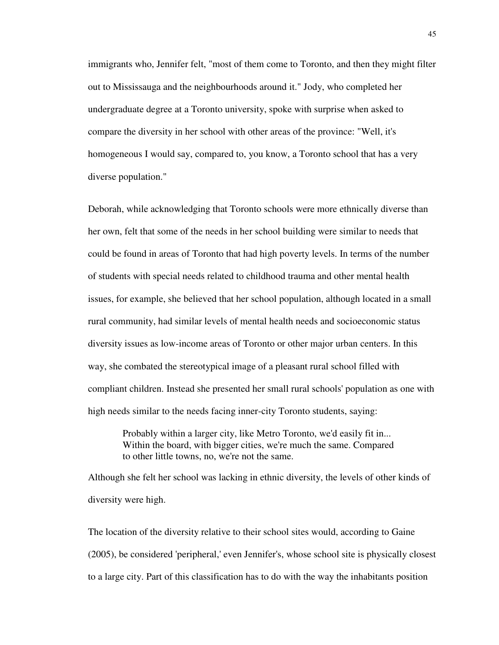immigrants who, Jennifer felt, "most of them come to Toronto, and then they might filter out to Mississauga and the neighbourhoods around it." Jody, who completed her undergraduate degree at a Toronto university, spoke with surprise when asked to compare the diversity in her school with other areas of the province: "Well, it's homogeneous I would say, compared to, you know, a Toronto school that has a very diverse population."

Deborah, while acknowledging that Toronto schools were more ethnically diverse than her own, felt that some of the needs in her school building were similar to needs that could be found in areas of Toronto that had high poverty levels. In terms of the number of students with special needs related to childhood trauma and other mental health issues, for example, she believed that her school population, although located in a small rural community, had similar levels of mental health needs and socioeconomic status diversity issues as low-income areas of Toronto or other major urban centers. In this way, she combated the stereotypical image of a pleasant rural school filled with compliant children. Instead she presented her small rural schools' population as one with high needs similar to the needs facing inner-city Toronto students, saying:

Probably within a larger city, like Metro Toronto, we'd easily fit in... Within the board, with bigger cities, we're much the same. Compared to other little towns, no, we're not the same.

Although she felt her school was lacking in ethnic diversity, the levels of other kinds of diversity were high.

The location of the diversity relative to their school sites would, according to Gaine (2005), be considered 'peripheral,' even Jennifer's, whose school site is physically closest to a large city. Part of this classification has to do with the way the inhabitants position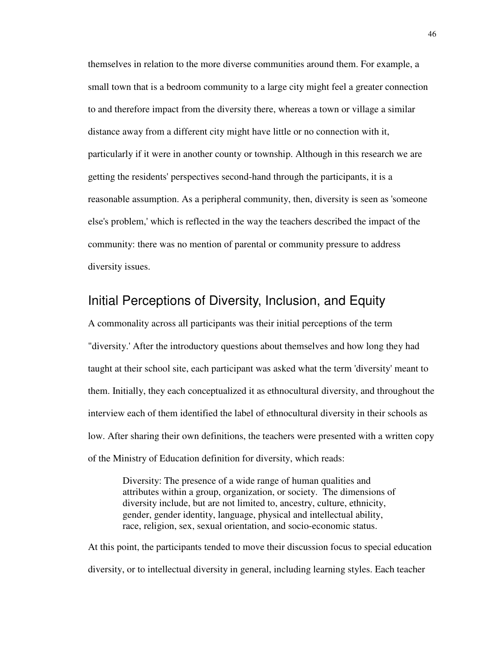themselves in relation to the more diverse communities around them. For example, a small town that is a bedroom community to a large city might feel a greater connection to and therefore impact from the diversity there, whereas a town or village a similar distance away from a different city might have little or no connection with it, particularly if it were in another county or township. Although in this research we are getting the residents' perspectives second-hand through the participants, it is a reasonable assumption. As a peripheral community, then, diversity is seen as 'someone else's problem,' which is reflected in the way the teachers described the impact of the community: there was no mention of parental or community pressure to address diversity issues.

# Initial Perceptions of Diversity, Inclusion, and Equity

A commonality across all participants was their initial perceptions of the term "diversity.' After the introductory questions about themselves and how long they had taught at their school site, each participant was asked what the term 'diversity' meant to them. Initially, they each conceptualized it as ethnocultural diversity, and throughout the interview each of them identified the label of ethnocultural diversity in their schools as low. After sharing their own definitions, the teachers were presented with a written copy of the Ministry of Education definition for diversity, which reads:

Diversity: The presence of a wide range of human qualities and attributes within a group, organization, or society. The dimensions of diversity include, but are not limited to, ancestry, culture, ethnicity, gender, gender identity, language, physical and intellectual ability, race, religion, sex, sexual orientation, and socio-economic status.

At this point, the participants tended to move their discussion focus to special education diversity, or to intellectual diversity in general, including learning styles. Each teacher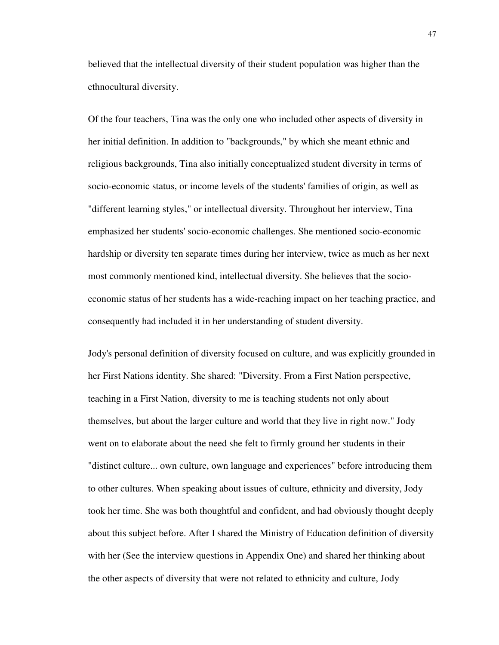believed that the intellectual diversity of their student population was higher than the ethnocultural diversity.

Of the four teachers, Tina was the only one who included other aspects of diversity in her initial definition. In addition to "backgrounds," by which she meant ethnic and religious backgrounds, Tina also initially conceptualized student diversity in terms of socio-economic status, or income levels of the students' families of origin, as well as "different learning styles," or intellectual diversity. Throughout her interview, Tina emphasized her students' socio-economic challenges. She mentioned socio-economic hardship or diversity ten separate times during her interview, twice as much as her next most commonly mentioned kind, intellectual diversity. She believes that the socioeconomic status of her students has a wide-reaching impact on her teaching practice, and consequently had included it in her understanding of student diversity.

Jody's personal definition of diversity focused on culture, and was explicitly grounded in her First Nations identity. She shared: "Diversity. From a First Nation perspective, teaching in a First Nation, diversity to me is teaching students not only about themselves, but about the larger culture and world that they live in right now." Jody went on to elaborate about the need she felt to firmly ground her students in their "distinct culture... own culture, own language and experiences" before introducing them to other cultures. When speaking about issues of culture, ethnicity and diversity, Jody took her time. She was both thoughtful and confident, and had obviously thought deeply about this subject before. After I shared the Ministry of Education definition of diversity with her (See the interview questions in Appendix One) and shared her thinking about the other aspects of diversity that were not related to ethnicity and culture, Jody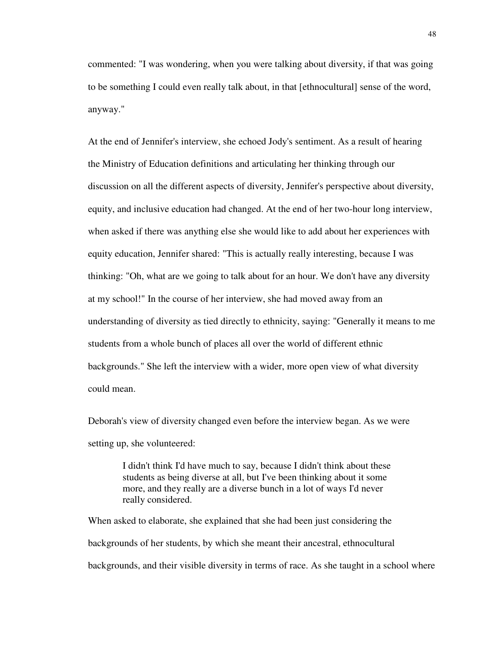commented: "I was wondering, when you were talking about diversity, if that was going to be something I could even really talk about, in that [ethnocultural] sense of the word, anyway."

At the end of Jennifer's interview, she echoed Jody's sentiment. As a result of hearing the Ministry of Education definitions and articulating her thinking through our discussion on all the different aspects of diversity, Jennifer's perspective about diversity, equity, and inclusive education had changed. At the end of her two-hour long interview, when asked if there was anything else she would like to add about her experiences with equity education, Jennifer shared: "This is actually really interesting, because I was thinking: "Oh, what are we going to talk about for an hour. We don't have any diversity at my school!" In the course of her interview, she had moved away from an understanding of diversity as tied directly to ethnicity, saying: "Generally it means to me students from a whole bunch of places all over the world of different ethnic backgrounds." She left the interview with a wider, more open view of what diversity could mean.

Deborah's view of diversity changed even before the interview began. As we were setting up, she volunteered:

> I didn't think I'd have much to say, because I didn't think about these students as being diverse at all, but I've been thinking about it some more, and they really are a diverse bunch in a lot of ways I'd never really considered.

When asked to elaborate, she explained that she had been just considering the backgrounds of her students, by which she meant their ancestral, ethnocultural backgrounds, and their visible diversity in terms of race. As she taught in a school where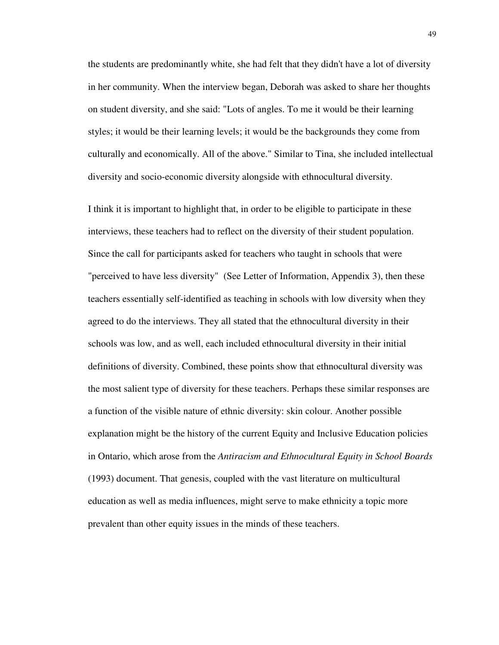the students are predominantly white, she had felt that they didn't have a lot of diversity in her community. When the interview began, Deborah was asked to share her thoughts on student diversity, and she said: "Lots of angles. To me it would be their learning styles; it would be their learning levels; it would be the backgrounds they come from culturally and economically. All of the above." Similar to Tina, she included intellectual diversity and socio-economic diversity alongside with ethnocultural diversity.

I think it is important to highlight that, in order to be eligible to participate in these interviews, these teachers had to reflect on the diversity of their student population. Since the call for participants asked for teachers who taught in schools that were "perceived to have less diversity" (See Letter of Information, Appendix 3), then these teachers essentially self-identified as teaching in schools with low diversity when they agreed to do the interviews. They all stated that the ethnocultural diversity in their schools was low, and as well, each included ethnocultural diversity in their initial definitions of diversity. Combined, these points show that ethnocultural diversity was the most salient type of diversity for these teachers. Perhaps these similar responses are a function of the visible nature of ethnic diversity: skin colour. Another possible explanation might be the history of the current Equity and Inclusive Education policies in Ontario, which arose from the *Antiracism and Ethnocultural Equity in School Boards* (1993) document. That genesis, coupled with the vast literature on multicultural education as well as media influences, might serve to make ethnicity a topic more prevalent than other equity issues in the minds of these teachers.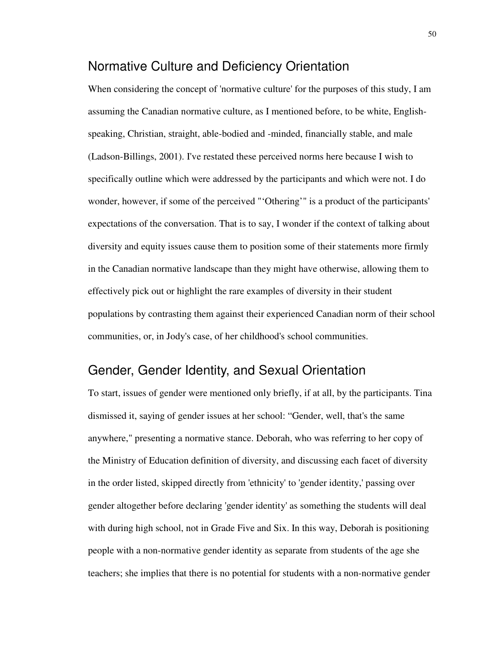### Normative Culture and Deficiency Orientation

When considering the concept of 'normative culture' for the purposes of this study, I am assuming the Canadian normative culture, as I mentioned before, to be white, Englishspeaking, Christian, straight, able-bodied and -minded, financially stable, and male (Ladson-Billings, 2001). I've restated these perceived norms here because I wish to specifically outline which were addressed by the participants and which were not. I do wonder, however, if some of the perceived "'Othering'" is a product of the participants' expectations of the conversation. That is to say, I wonder if the context of talking about diversity and equity issues cause them to position some of their statements more firmly in the Canadian normative landscape than they might have otherwise, allowing them to effectively pick out or highlight the rare examples of diversity in their student populations by contrasting them against their experienced Canadian norm of their school communities, or, in Jody's case, of her childhood's school communities.

# Gender, Gender Identity, and Sexual Orientation

To start, issues of gender were mentioned only briefly, if at all, by the participants. Tina dismissed it, saying of gender issues at her school: "Gender, well, that's the same anywhere," presenting a normative stance. Deborah, who was referring to her copy of the Ministry of Education definition of diversity, and discussing each facet of diversity in the order listed, skipped directly from 'ethnicity' to 'gender identity,' passing over gender altogether before declaring 'gender identity' as something the students will deal with during high school, not in Grade Five and Six. In this way, Deborah is positioning people with a non-normative gender identity as separate from students of the age she teachers; she implies that there is no potential for students with a non-normative gender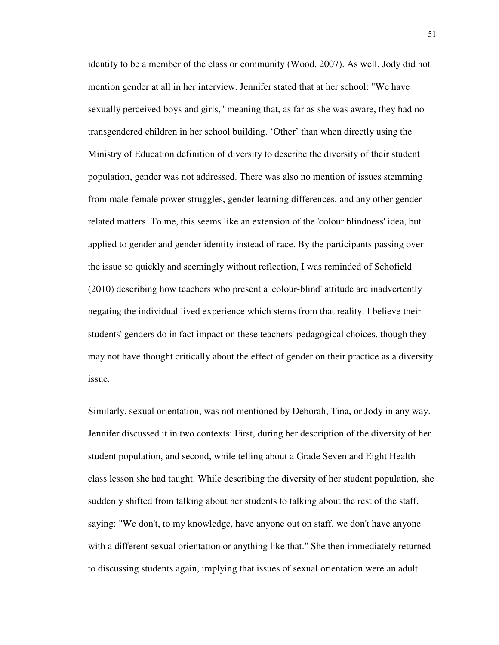identity to be a member of the class or community (Wood, 2007). As well, Jody did not mention gender at all in her interview. Jennifer stated that at her school: "We have sexually perceived boys and girls," meaning that, as far as she was aware, they had no transgendered children in her school building. 'Other' than when directly using the Ministry of Education definition of diversity to describe the diversity of their student population, gender was not addressed. There was also no mention of issues stemming from male-female power struggles, gender learning differences, and any other genderrelated matters. To me, this seems like an extension of the 'colour blindness' idea, but applied to gender and gender identity instead of race. By the participants passing over the issue so quickly and seemingly without reflection, I was reminded of Schofield (2010) describing how teachers who present a 'colour-blind' attitude are inadvertently negating the individual lived experience which stems from that reality. I believe their students' genders do in fact impact on these teachers' pedagogical choices, though they may not have thought critically about the effect of gender on their practice as a diversity issue.

Similarly, sexual orientation, was not mentioned by Deborah, Tina, or Jody in any way. Jennifer discussed it in two contexts: First, during her description of the diversity of her student population, and second, while telling about a Grade Seven and Eight Health class lesson she had taught. While describing the diversity of her student population, she suddenly shifted from talking about her students to talking about the rest of the staff, saying: "We don't, to my knowledge, have anyone out on staff, we don't have anyone with a different sexual orientation or anything like that." She then immediately returned to discussing students again, implying that issues of sexual orientation were an adult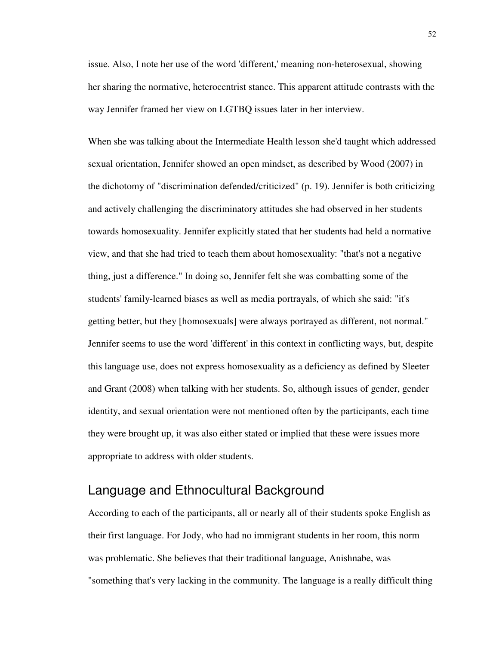issue. Also, I note her use of the word 'different,' meaning non-heterosexual, showing her sharing the normative, heterocentrist stance. This apparent attitude contrasts with the way Jennifer framed her view on LGTBQ issues later in her interview.

When she was talking about the Intermediate Health lesson she'd taught which addressed sexual orientation, Jennifer showed an open mindset, as described by Wood (2007) in the dichotomy of "discrimination defended/criticized" (p. 19). Jennifer is both criticizing and actively challenging the discriminatory attitudes she had observed in her students towards homosexuality. Jennifer explicitly stated that her students had held a normative view, and that she had tried to teach them about homosexuality: "that's not a negative thing, just a difference." In doing so, Jennifer felt she was combatting some of the students' family-learned biases as well as media portrayals, of which she said: "it's getting better, but they [homosexuals] were always portrayed as different, not normal." Jennifer seems to use the word 'different' in this context in conflicting ways, but, despite this language use, does not express homosexuality as a deficiency as defined by Sleeter and Grant (2008) when talking with her students. So, although issues of gender, gender identity, and sexual orientation were not mentioned often by the participants, each time they were brought up, it was also either stated or implied that these were issues more appropriate to address with older students.

# Language and Ethnocultural Background

According to each of the participants, all or nearly all of their students spoke English as their first language. For Jody, who had no immigrant students in her room, this norm was problematic. She believes that their traditional language, Anishnabe, was "something that's very lacking in the community. The language is a really difficult thing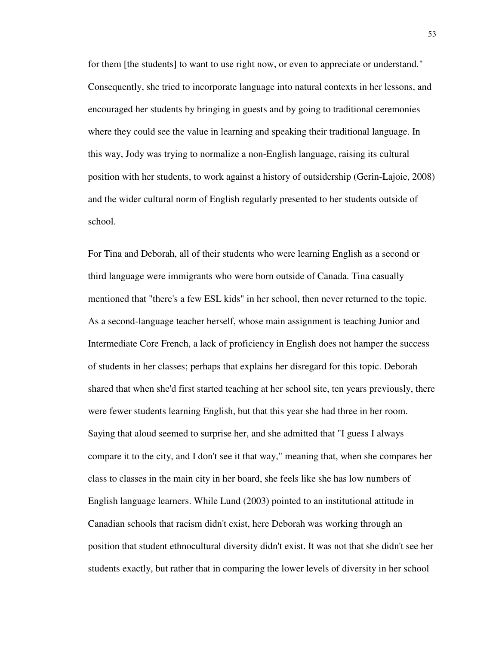for them [the students] to want to use right now, or even to appreciate or understand." Consequently, she tried to incorporate language into natural contexts in her lessons, and encouraged her students by bringing in guests and by going to traditional ceremonies where they could see the value in learning and speaking their traditional language. In this way, Jody was trying to normalize a non-English language, raising its cultural position with her students, to work against a history of outsidership (Gerin-Lajoie, 2008) and the wider cultural norm of English regularly presented to her students outside of school.

For Tina and Deborah, all of their students who were learning English as a second or third language were immigrants who were born outside of Canada. Tina casually mentioned that "there's a few ESL kids" in her school, then never returned to the topic. As a second-language teacher herself, whose main assignment is teaching Junior and Intermediate Core French, a lack of proficiency in English does not hamper the success of students in her classes; perhaps that explains her disregard for this topic. Deborah shared that when she'd first started teaching at her school site, ten years previously, there were fewer students learning English, but that this year she had three in her room. Saying that aloud seemed to surprise her, and she admitted that "I guess I always compare it to the city, and I don't see it that way," meaning that, when she compares her class to classes in the main city in her board, she feels like she has low numbers of English language learners. While Lund (2003) pointed to an institutional attitude in Canadian schools that racism didn't exist, here Deborah was working through an position that student ethnocultural diversity didn't exist. It was not that she didn't see her students exactly, but rather that in comparing the lower levels of diversity in her school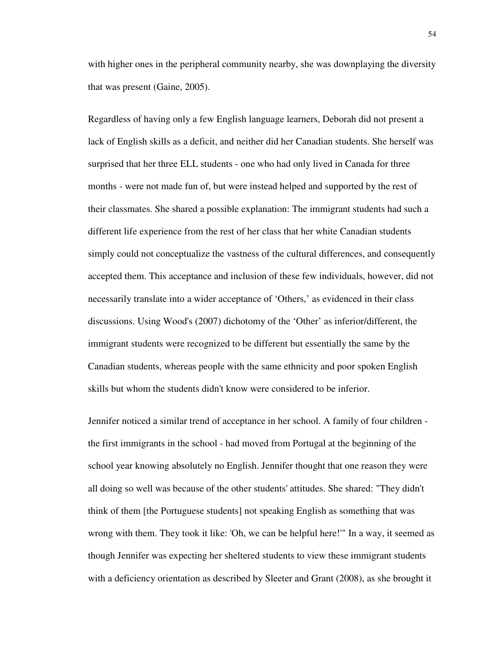with higher ones in the peripheral community nearby, she was downplaying the diversity that was present (Gaine, 2005).

Regardless of having only a few English language learners, Deborah did not present a lack of English skills as a deficit, and neither did her Canadian students. She herself was surprised that her three ELL students - one who had only lived in Canada for three months - were not made fun of, but were instead helped and supported by the rest of their classmates. She shared a possible explanation: The immigrant students had such a different life experience from the rest of her class that her white Canadian students simply could not conceptualize the vastness of the cultural differences, and consequently accepted them. This acceptance and inclusion of these few individuals, however, did not necessarily translate into a wider acceptance of 'Others,' as evidenced in their class discussions. Using Wood's (2007) dichotomy of the 'Other' as inferior/different, the immigrant students were recognized to be different but essentially the same by the Canadian students, whereas people with the same ethnicity and poor spoken English skills but whom the students didn't know were considered to be inferior.

Jennifer noticed a similar trend of acceptance in her school. A family of four children the first immigrants in the school - had moved from Portugal at the beginning of the school year knowing absolutely no English. Jennifer thought that one reason they were all doing so well was because of the other students' attitudes. She shared: "They didn't think of them [the Portuguese students] not speaking English as something that was wrong with them. They took it like: 'Oh, we can be helpful here!'" In a way, it seemed as though Jennifer was expecting her sheltered students to view these immigrant students with a deficiency orientation as described by Sleeter and Grant (2008), as she brought it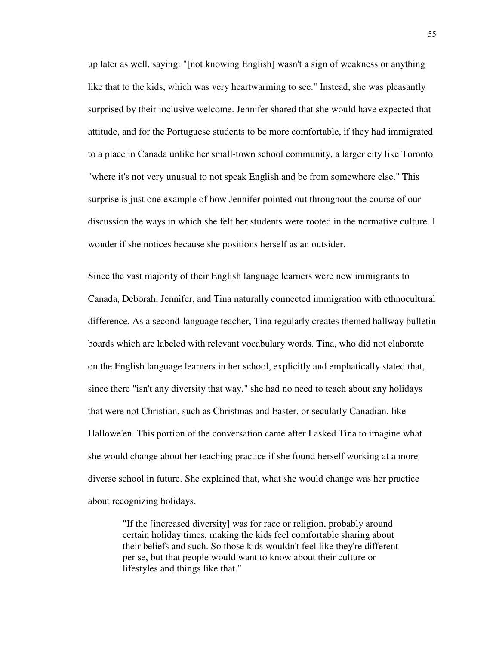up later as well, saying: "[not knowing English] wasn't a sign of weakness or anything like that to the kids, which was very heartwarming to see." Instead, she was pleasantly surprised by their inclusive welcome. Jennifer shared that she would have expected that attitude, and for the Portuguese students to be more comfortable, if they had immigrated to a place in Canada unlike her small-town school community, a larger city like Toronto "where it's not very unusual to not speak English and be from somewhere else." This surprise is just one example of how Jennifer pointed out throughout the course of our discussion the ways in which she felt her students were rooted in the normative culture. I wonder if she notices because she positions herself as an outsider.

Since the vast majority of their English language learners were new immigrants to Canada, Deborah, Jennifer, and Tina naturally connected immigration with ethnocultural difference. As a second-language teacher, Tina regularly creates themed hallway bulletin boards which are labeled with relevant vocabulary words. Tina, who did not elaborate on the English language learners in her school, explicitly and emphatically stated that, since there "isn't any diversity that way," she had no need to teach about any holidays that were not Christian, such as Christmas and Easter, or secularly Canadian, like Hallowe'en. This portion of the conversation came after I asked Tina to imagine what she would change about her teaching practice if she found herself working at a more diverse school in future. She explained that, what she would change was her practice about recognizing holidays.

"If the [increased diversity] was for race or religion, probably around certain holiday times, making the kids feel comfortable sharing about their beliefs and such. So those kids wouldn't feel like they're different per se, but that people would want to know about their culture or lifestyles and things like that."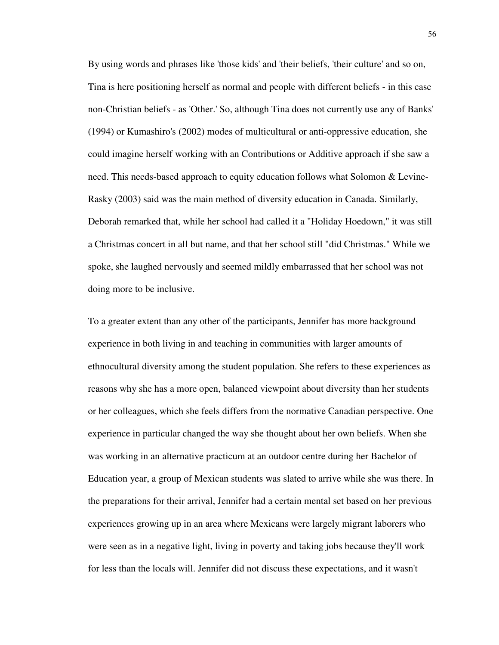By using words and phrases like 'those kids' and 'their beliefs, 'their culture' and so on, Tina is here positioning herself as normal and people with different beliefs - in this case non-Christian beliefs - as 'Other.' So, although Tina does not currently use any of Banks' (1994) or Kumashiro's (2002) modes of multicultural or anti-oppressive education, she could imagine herself working with an Contributions or Additive approach if she saw a need. This needs-based approach to equity education follows what Solomon & Levine-Rasky (2003) said was the main method of diversity education in Canada. Similarly, Deborah remarked that, while her school had called it a "Holiday Hoedown," it was still a Christmas concert in all but name, and that her school still "did Christmas." While we spoke, she laughed nervously and seemed mildly embarrassed that her school was not doing more to be inclusive.

To a greater extent than any other of the participants, Jennifer has more background experience in both living in and teaching in communities with larger amounts of ethnocultural diversity among the student population. She refers to these experiences as reasons why she has a more open, balanced viewpoint about diversity than her students or her colleagues, which she feels differs from the normative Canadian perspective. One experience in particular changed the way she thought about her own beliefs. When she was working in an alternative practicum at an outdoor centre during her Bachelor of Education year, a group of Mexican students was slated to arrive while she was there. In the preparations for their arrival, Jennifer had a certain mental set based on her previous experiences growing up in an area where Mexicans were largely migrant laborers who were seen as in a negative light, living in poverty and taking jobs because they'll work for less than the locals will. Jennifer did not discuss these expectations, and it wasn't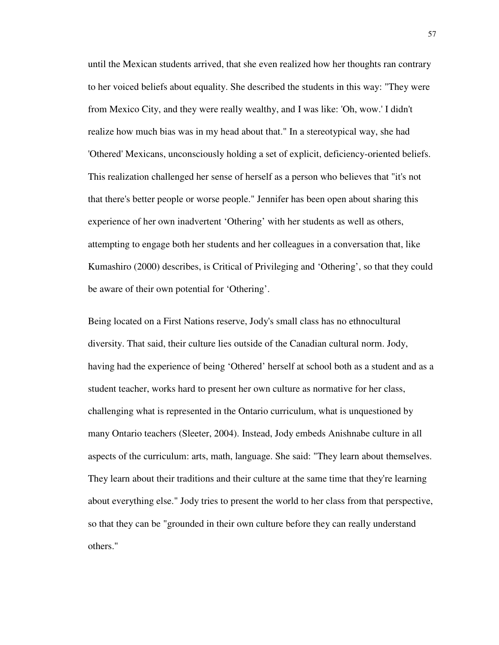until the Mexican students arrived, that she even realized how her thoughts ran contrary to her voiced beliefs about equality. She described the students in this way: "They were from Mexico City, and they were really wealthy, and I was like: 'Oh, wow.' I didn't realize how much bias was in my head about that." In a stereotypical way, she had 'Othered' Mexicans, unconsciously holding a set of explicit, deficiency-oriented beliefs. This realization challenged her sense of herself as a person who believes that "it's not that there's better people or worse people." Jennifer has been open about sharing this experience of her own inadvertent 'Othering' with her students as well as others, attempting to engage both her students and her colleagues in a conversation that, like Kumashiro (2000) describes, is Critical of Privileging and 'Othering', so that they could be aware of their own potential for 'Othering'.

Being located on a First Nations reserve, Jody's small class has no ethnocultural diversity. That said, their culture lies outside of the Canadian cultural norm. Jody, having had the experience of being 'Othered' herself at school both as a student and as a student teacher, works hard to present her own culture as normative for her class, challenging what is represented in the Ontario curriculum, what is unquestioned by many Ontario teachers (Sleeter, 2004). Instead, Jody embeds Anishnabe culture in all aspects of the curriculum: arts, math, language. She said: "They learn about themselves. They learn about their traditions and their culture at the same time that they're learning about everything else." Jody tries to present the world to her class from that perspective, so that they can be "grounded in their own culture before they can really understand others."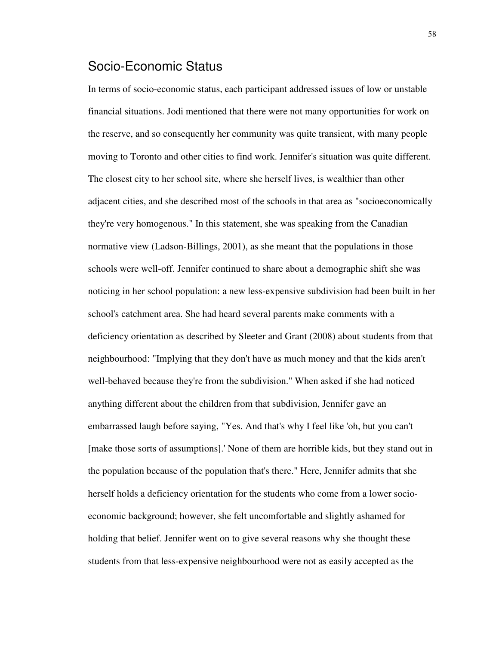### Socio-Economic Status

In terms of socio-economic status, each participant addressed issues of low or unstable financial situations. Jodi mentioned that there were not many opportunities for work on the reserve, and so consequently her community was quite transient, with many people moving to Toronto and other cities to find work. Jennifer's situation was quite different. The closest city to her school site, where she herself lives, is wealthier than other adjacent cities, and she described most of the schools in that area as "socioeconomically they're very homogenous." In this statement, she was speaking from the Canadian normative view (Ladson-Billings, 2001), as she meant that the populations in those schools were well-off. Jennifer continued to share about a demographic shift she was noticing in her school population: a new less-expensive subdivision had been built in her school's catchment area. She had heard several parents make comments with a deficiency orientation as described by Sleeter and Grant (2008) about students from that neighbourhood: "Implying that they don't have as much money and that the kids aren't well-behaved because they're from the subdivision." When asked if she had noticed anything different about the children from that subdivision, Jennifer gave an embarrassed laugh before saying, "Yes. And that's why I feel like 'oh, but you can't [make those sorts of assumptions].' None of them are horrible kids, but they stand out in the population because of the population that's there." Here, Jennifer admits that she herself holds a deficiency orientation for the students who come from a lower socioeconomic background; however, she felt uncomfortable and slightly ashamed for holding that belief. Jennifer went on to give several reasons why she thought these students from that less-expensive neighbourhood were not as easily accepted as the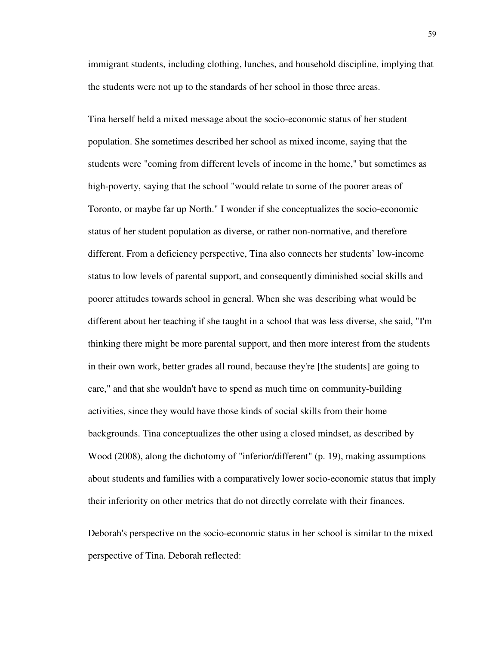immigrant students, including clothing, lunches, and household discipline, implying that the students were not up to the standards of her school in those three areas.

Tina herself held a mixed message about the socio-economic status of her student population. She sometimes described her school as mixed income, saying that the students were "coming from different levels of income in the home," but sometimes as high-poverty, saying that the school "would relate to some of the poorer areas of Toronto, or maybe far up North." I wonder if she conceptualizes the socio-economic status of her student population as diverse, or rather non-normative, and therefore different. From a deficiency perspective, Tina also connects her students' low-income status to low levels of parental support, and consequently diminished social skills and poorer attitudes towards school in general. When she was describing what would be different about her teaching if she taught in a school that was less diverse, she said, "I'm thinking there might be more parental support, and then more interest from the students in their own work, better grades all round, because they're [the students] are going to care," and that she wouldn't have to spend as much time on community-building activities, since they would have those kinds of social skills from their home backgrounds. Tina conceptualizes the other using a closed mindset, as described by Wood (2008), along the dichotomy of "inferior/different" (p. 19), making assumptions about students and families with a comparatively lower socio-economic status that imply their inferiority on other metrics that do not directly correlate with their finances.

Deborah's perspective on the socio-economic status in her school is similar to the mixed perspective of Tina. Deborah reflected: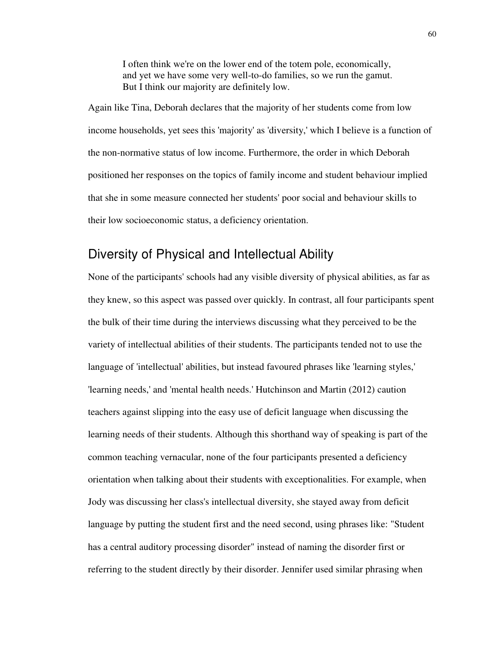I often think we're on the lower end of the totem pole, economically, and yet we have some very well-to-do families, so we run the gamut. But I think our majority are definitely low.

Again like Tina, Deborah declares that the majority of her students come from low income households, yet sees this 'majority' as 'diversity,' which I believe is a function of the non-normative status of low income. Furthermore, the order in which Deborah positioned her responses on the topics of family income and student behaviour implied that she in some measure connected her students' poor social and behaviour skills to their low socioeconomic status, a deficiency orientation.

# Diversity of Physical and Intellectual Ability

None of the participants' schools had any visible diversity of physical abilities, as far as they knew, so this aspect was passed over quickly. In contrast, all four participants spent the bulk of their time during the interviews discussing what they perceived to be the variety of intellectual abilities of their students. The participants tended not to use the language of 'intellectual' abilities, but instead favoured phrases like 'learning styles,' 'learning needs,' and 'mental health needs.' Hutchinson and Martin (2012) caution teachers against slipping into the easy use of deficit language when discussing the learning needs of their students. Although this shorthand way of speaking is part of the common teaching vernacular, none of the four participants presented a deficiency orientation when talking about their students with exceptionalities. For example, when Jody was discussing her class's intellectual diversity, she stayed away from deficit language by putting the student first and the need second, using phrases like: "Student has a central auditory processing disorder" instead of naming the disorder first or referring to the student directly by their disorder. Jennifer used similar phrasing when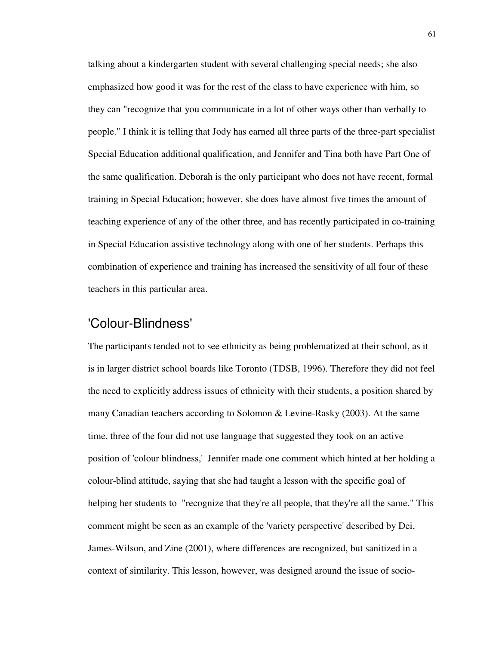talking about a kindergarten student with several challenging special needs; she also emphasized how good it was for the rest of the class to have experience with him, so they can "recognize that you communicate in a lot of other ways other than verbally to people." I think it is telling that Jody has earned all three parts of the three-part specialist Special Education additional qualification, and Jennifer and Tina both have Part One of the same qualification. Deborah is the only participant who does not have recent, formal training in Special Education; however, she does have almost five times the amount of teaching experience of any of the other three, and has recently participated in co-training in Special Education assistive technology along with one of her students. Perhaps this combination of experience and training has increased the sensitivity of all four of these teachers in this particular area.

### 'Colour-Blindness'

The participants tended not to see ethnicity as being problematized at their school, as it is in larger district school boards like Toronto (TDSB, 1996). Therefore they did not feel the need to explicitly address issues of ethnicity with their students, a position shared by many Canadian teachers according to Solomon & Levine-Rasky (2003). At the same time, three of the four did not use language that suggested they took on an active position of 'colour blindness,' Jennifer made one comment which hinted at her holding a colour-blind attitude, saying that she had taught a lesson with the specific goal of helping her students to "recognize that they're all people, that they're all the same." This comment might be seen as an example of the 'variety perspective' described by Dei, James-Wilson, and Zine (2001), where differences are recognized, but sanitized in a context of similarity. This lesson, however, was designed around the issue of socio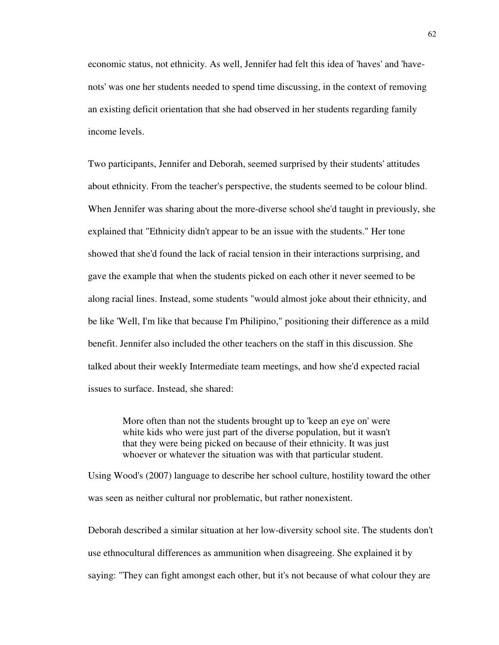economic status, not ethnicity. As well, Jennifer had felt this idea of 'haves' and 'havenots' was one her students needed to spend time discussing, in the context of removing an existing deficit orientation that she had observed in her students regarding family income levels.

Two participants, Jennifer and Deborah, seemed surprised by their students' attitudes about ethnicity. From the teacher's perspective, the students seemed to be colour blind. When Jennifer was sharing about the more-diverse school she'd taught in previously, she explained that "Ethnicity didn't appear to be an issue with the students." Her tone showed that she'd found the lack of racial tension in their interactions surprising, and gave the example that when the students picked on each other it never seemed to be along racial lines. Instead, some students "would almost joke about their ethnicity, and be like 'Well, I'm like that because I'm Philipino," positioning their difference as a mild benefit. Jennifer also included the other teachers on the staff in this discussion. She talked about their weekly Intermediate team meetings, and how she'd expected racial issues to surface. Instead, she shared:

More often than not the students brought up to 'keep an eye on' were white kids who were just part of the diverse population, but it wasn't that they were being picked on because of their ethnicity. It was just whoever or whatever the situation was with that particular student.

Using Wood's (2007) language to describe her school culture, hostility toward the other was seen as neither cultural nor problematic, but rather nonexistent.

Deborah described a similar situation at her low-diversity school site. The students don't use ethnocultural differences as ammunition when disagreeing. She explained it by saying: "They can fight amongst each other, but it's not because of what colour they are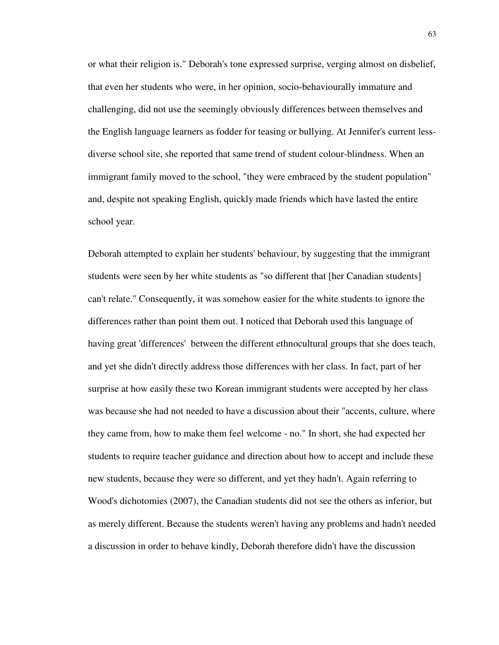or what their religion is." Deborah's tone expressed surprise, verging almost on disbelief, that even her students who were, in her opinion, socio-behaviourally immature and challenging, did not use the seemingly obviously differences between themselves and the English language learners as fodder for teasing or bullying. At Jennifer's current lessdiverse school site, she reported that same trend of student colour-blindness. When an immigrant family moved to the school, "they were embraced by the student population" and, despite not speaking English, quickly made friends which have lasted the entire school year.

Deborah attempted to explain her students' behaviour, by suggesting that the immigrant students were seen by her white students as "so different that [her Canadian students] can't relate." Consequently, it was somehow easier for the white students to ignore the differences rather than point them out. I noticed that Deborah used this language of having great 'differences' between the different ethnocultural groups that she does teach, and yet she didn't directly address those differences with her class. In fact, part of her surprise at how easily these two Korean immigrant students were accepted by her class was because she had not needed to have a discussion about their "accents, culture, where they came from, how to make them feel welcome - no." In short, she had expected her students to require teacher guidance and direction about how to accept and include these new students, because they were so different, and yet they hadn't. Again referring to Wood's dichotomies (2007), the Canadian students did not see the others as inferior, but as merely different. Because the students weren't having any problems and hadn't needed a discussion in order to behave kindly, Deborah therefore didn't have the discussion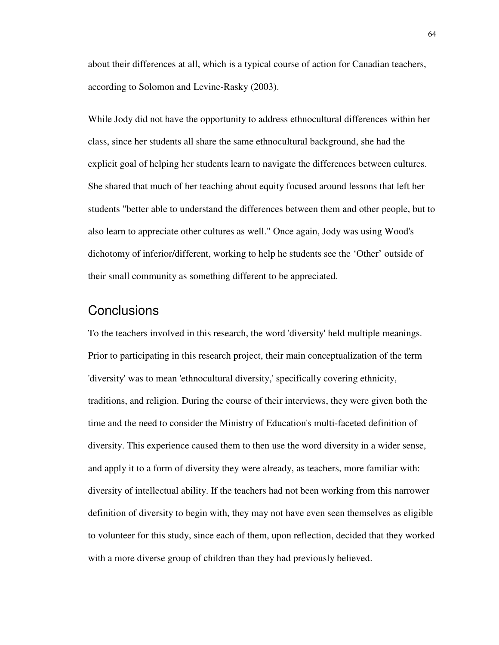about their differences at all, which is a typical course of action for Canadian teachers, according to Solomon and Levine-Rasky (2003).

While Jody did not have the opportunity to address ethnocultural differences within her class, since her students all share the same ethnocultural background, she had the explicit goal of helping her students learn to navigate the differences between cultures. She shared that much of her teaching about equity focused around lessons that left her students "better able to understand the differences between them and other people, but to also learn to appreciate other cultures as well." Once again, Jody was using Wood's dichotomy of inferior/different, working to help he students see the 'Other' outside of their small community as something different to be appreciated.

#### **Conclusions**

To the teachers involved in this research, the word 'diversity' held multiple meanings. Prior to participating in this research project, their main conceptualization of the term 'diversity' was to mean 'ethnocultural diversity,' specifically covering ethnicity, traditions, and religion. During the course of their interviews, they were given both the time and the need to consider the Ministry of Education's multi-faceted definition of diversity. This experience caused them to then use the word diversity in a wider sense, and apply it to a form of diversity they were already, as teachers, more familiar with: diversity of intellectual ability. If the teachers had not been working from this narrower definition of diversity to begin with, they may not have even seen themselves as eligible to volunteer for this study, since each of them, upon reflection, decided that they worked with a more diverse group of children than they had previously believed.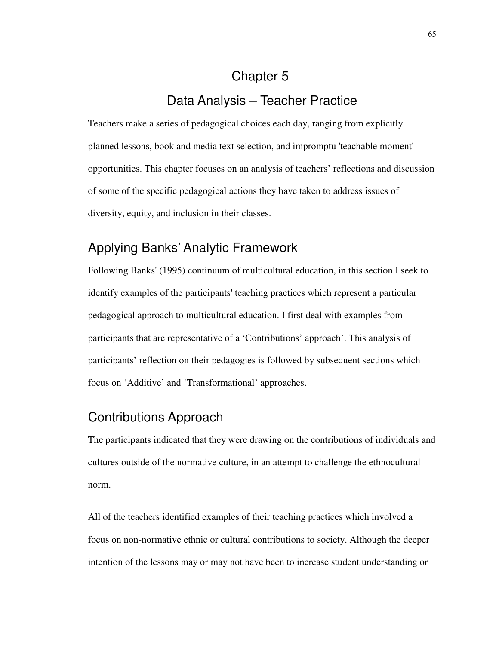# Chapter 5 Data Analysis – Teacher Practice

Teachers make a series of pedagogical choices each day, ranging from explicitly planned lessons, book and media text selection, and impromptu 'teachable moment' opportunities. This chapter focuses on an analysis of teachers' reflections and discussion of some of the specific pedagogical actions they have taken to address issues of diversity, equity, and inclusion in their classes.

# Applying Banks' Analytic Framework

Following Banks' (1995) continuum of multicultural education, in this section I seek to identify examples of the participants' teaching practices which represent a particular pedagogical approach to multicultural education. I first deal with examples from participants that are representative of a 'Contributions' approach'. This analysis of participants' reflection on their pedagogies is followed by subsequent sections which focus on 'Additive' and 'Transformational' approaches.

# Contributions Approach

The participants indicated that they were drawing on the contributions of individuals and cultures outside of the normative culture, in an attempt to challenge the ethnocultural norm.

All of the teachers identified examples of their teaching practices which involved a focus on non-normative ethnic or cultural contributions to society. Although the deeper intention of the lessons may or may not have been to increase student understanding or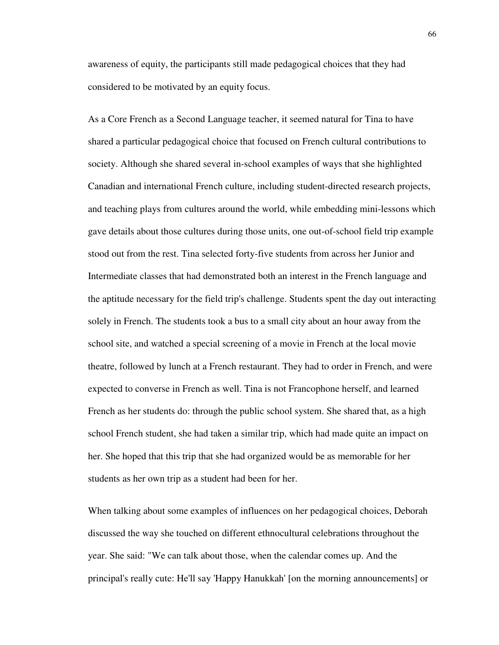awareness of equity, the participants still made pedagogical choices that they had considered to be motivated by an equity focus.

As a Core French as a Second Language teacher, it seemed natural for Tina to have shared a particular pedagogical choice that focused on French cultural contributions to society. Although she shared several in-school examples of ways that she highlighted Canadian and international French culture, including student-directed research projects, and teaching plays from cultures around the world, while embedding mini-lessons which gave details about those cultures during those units, one out-of-school field trip example stood out from the rest. Tina selected forty-five students from across her Junior and Intermediate classes that had demonstrated both an interest in the French language and the aptitude necessary for the field trip's challenge. Students spent the day out interacting solely in French. The students took a bus to a small city about an hour away from the school site, and watched a special screening of a movie in French at the local movie theatre, followed by lunch at a French restaurant. They had to order in French, and were expected to converse in French as well. Tina is not Francophone herself, and learned French as her students do: through the public school system. She shared that, as a high school French student, she had taken a similar trip, which had made quite an impact on her. She hoped that this trip that she had organized would be as memorable for her students as her own trip as a student had been for her.

When talking about some examples of influences on her pedagogical choices, Deborah discussed the way she touched on different ethnocultural celebrations throughout the year. She said: "We can talk about those, when the calendar comes up. And the principal's really cute: He'll say 'Happy Hanukkah' [on the morning announcements] or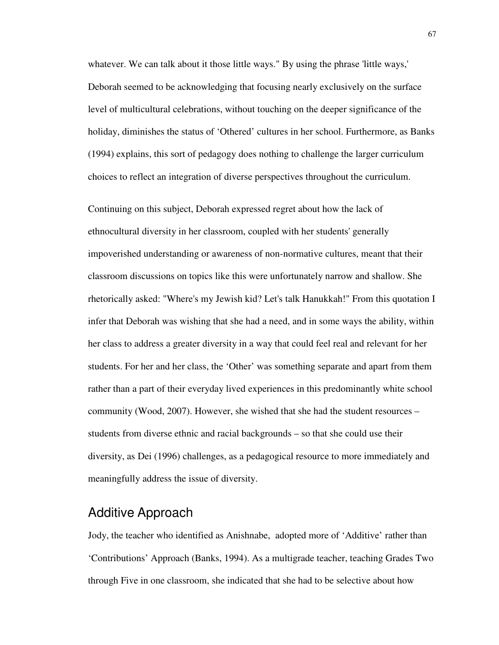whatever. We can talk about it those little ways." By using the phrase 'little ways,' Deborah seemed to be acknowledging that focusing nearly exclusively on the surface level of multicultural celebrations, without touching on the deeper significance of the holiday, diminishes the status of 'Othered' cultures in her school. Furthermore, as Banks (1994) explains, this sort of pedagogy does nothing to challenge the larger curriculum choices to reflect an integration of diverse perspectives throughout the curriculum.

Continuing on this subject, Deborah expressed regret about how the lack of ethnocultural diversity in her classroom, coupled with her students' generally impoverished understanding or awareness of non-normative cultures, meant that their classroom discussions on topics like this were unfortunately narrow and shallow. She rhetorically asked: "Where's my Jewish kid? Let's talk Hanukkah!" From this quotation I infer that Deborah was wishing that she had a need, and in some ways the ability, within her class to address a greater diversity in a way that could feel real and relevant for her students. For her and her class, the 'Other' was something separate and apart from them rather than a part of their everyday lived experiences in this predominantly white school community (Wood, 2007). However, she wished that she had the student resources – students from diverse ethnic and racial backgrounds – so that she could use their diversity, as Dei (1996) challenges, as a pedagogical resource to more immediately and meaningfully address the issue of diversity.

## Additive Approach

Jody, the teacher who identified as Anishnabe, adopted more of 'Additive' rather than 'Contributions' Approach (Banks, 1994). As a multigrade teacher, teaching Grades Two through Five in one classroom, she indicated that she had to be selective about how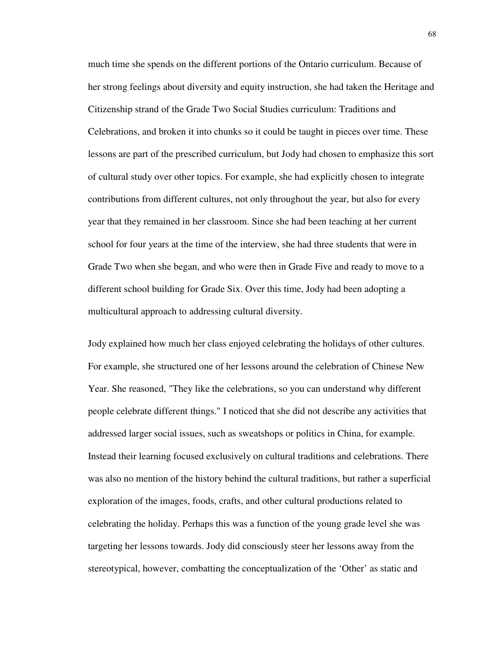much time she spends on the different portions of the Ontario curriculum. Because of her strong feelings about diversity and equity instruction, she had taken the Heritage and Citizenship strand of the Grade Two Social Studies curriculum: Traditions and Celebrations, and broken it into chunks so it could be taught in pieces over time. These lessons are part of the prescribed curriculum, but Jody had chosen to emphasize this sort of cultural study over other topics. For example, she had explicitly chosen to integrate contributions from different cultures, not only throughout the year, but also for every year that they remained in her classroom. Since she had been teaching at her current school for four years at the time of the interview, she had three students that were in Grade Two when she began, and who were then in Grade Five and ready to move to a different school building for Grade Six. Over this time, Jody had been adopting a multicultural approach to addressing cultural diversity.

Jody explained how much her class enjoyed celebrating the holidays of other cultures. For example, she structured one of her lessons around the celebration of Chinese New Year. She reasoned, "They like the celebrations, so you can understand why different people celebrate different things." I noticed that she did not describe any activities that addressed larger social issues, such as sweatshops or politics in China, for example. Instead their learning focused exclusively on cultural traditions and celebrations. There was also no mention of the history behind the cultural traditions, but rather a superficial exploration of the images, foods, crafts, and other cultural productions related to celebrating the holiday. Perhaps this was a function of the young grade level she was targeting her lessons towards. Jody did consciously steer her lessons away from the stereotypical, however, combatting the conceptualization of the 'Other' as static and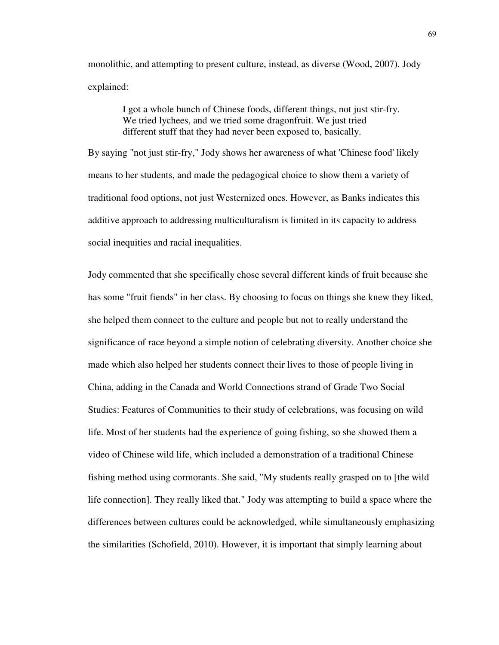monolithic, and attempting to present culture, instead, as diverse (Wood, 2007). Jody explained:

> I got a whole bunch of Chinese foods, different things, not just stir-fry. We tried lychees, and we tried some dragonfruit. We just tried different stuff that they had never been exposed to, basically.

By saying "not just stir-fry," Jody shows her awareness of what 'Chinese food' likely means to her students, and made the pedagogical choice to show them a variety of traditional food options, not just Westernized ones. However, as Banks indicates this additive approach to addressing multiculturalism is limited in its capacity to address social inequities and racial inequalities.

Jody commented that she specifically chose several different kinds of fruit because she has some "fruit fiends" in her class. By choosing to focus on things she knew they liked, she helped them connect to the culture and people but not to really understand the significance of race beyond a simple notion of celebrating diversity. Another choice she made which also helped her students connect their lives to those of people living in China, adding in the Canada and World Connections strand of Grade Two Social Studies: Features of Communities to their study of celebrations, was focusing on wild life. Most of her students had the experience of going fishing, so she showed them a video of Chinese wild life, which included a demonstration of a traditional Chinese fishing method using cormorants. She said, "My students really grasped on to [the wild life connection]. They really liked that." Jody was attempting to build a space where the differences between cultures could be acknowledged, while simultaneously emphasizing the similarities (Schofield, 2010). However, it is important that simply learning about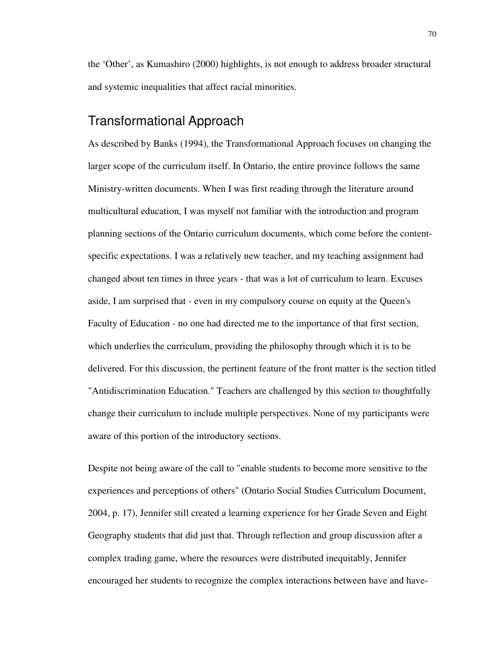the 'Other', as Kumashiro (2000) highlights, is not enough to address broader structural and systemic inequalities that affect racial minorities.

### Transformational Approach

As described by Banks (1994), the Transformational Approach focuses on changing the larger scope of the curriculum itself. In Ontario, the entire province follows the same Ministry-written documents. When I was first reading through the literature around multicultural education, I was myself not familiar with the introduction and program planning sections of the Ontario curriculum documents, which come before the contentspecific expectations. I was a relatively new teacher, and my teaching assignment had changed about ten times in three years - that was a lot of curriculum to learn. Excuses aside, I am surprised that - even in my compulsory course on equity at the Queen's Faculty of Education - no one had directed me to the importance of that first section, which underlies the curriculum, providing the philosophy through which it is to be delivered. For this discussion, the pertinent feature of the front matter is the section titled "Antidiscrimination Education." Teachers are challenged by this section to thoughtfully change their curriculum to include multiple perspectives. None of my participants were aware of this portion of the introductory sections.

Despite not being aware of the call to "enable students to become more sensitive to the experiences and perceptions of others" (Ontario Social Studies Curriculum Document, 2004, p. 17), Jennifer still created a learning experience for her Grade Seven and Eight Geography students that did just that. Through reflection and group discussion after a complex trading game, where the resources were distributed inequitably, Jennifer encouraged her students to recognize the complex interactions between have and have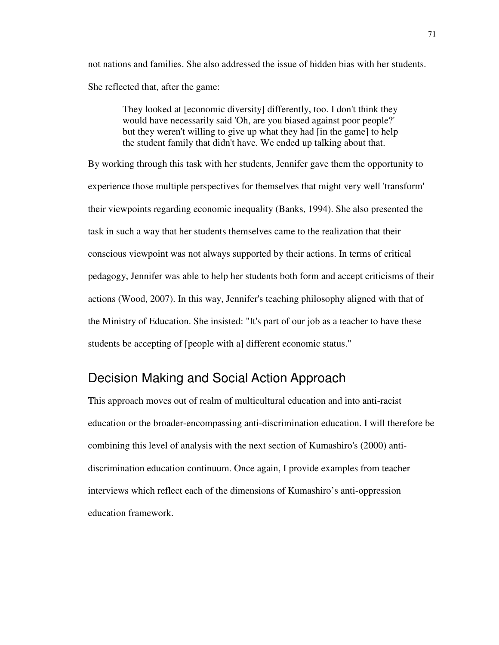not nations and families. She also addressed the issue of hidden bias with her students. She reflected that, after the game:

They looked at [economic diversity] differently, too. I don't think they would have necessarily said 'Oh, are you biased against poor people?' but they weren't willing to give up what they had [in the game] to help the student family that didn't have. We ended up talking about that.

By working through this task with her students, Jennifer gave them the opportunity to experience those multiple perspectives for themselves that might very well 'transform' their viewpoints regarding economic inequality (Banks, 1994). She also presented the task in such a way that her students themselves came to the realization that their conscious viewpoint was not always supported by their actions. In terms of critical pedagogy, Jennifer was able to help her students both form and accept criticisms of their actions (Wood, 2007). In this way, Jennifer's teaching philosophy aligned with that of the Ministry of Education. She insisted: "It's part of our job as a teacher to have these students be accepting of [people with a] different economic status."

## Decision Making and Social Action Approach

This approach moves out of realm of multicultural education and into anti-racist education or the broader-encompassing anti-discrimination education. I will therefore be combining this level of analysis with the next section of Kumashiro's (2000) antidiscrimination education continuum. Once again, I provide examples from teacher interviews which reflect each of the dimensions of Kumashiro's anti-oppression education framework.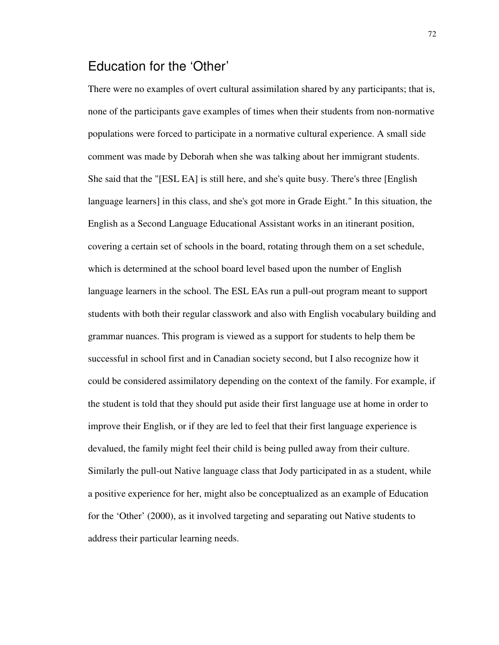## Education for the 'Other'

There were no examples of overt cultural assimilation shared by any participants; that is, none of the participants gave examples of times when their students from non-normative populations were forced to participate in a normative cultural experience. A small side comment was made by Deborah when she was talking about her immigrant students. She said that the "[ESL EA] is still here, and she's quite busy. There's three [English language learners] in this class, and she's got more in Grade Eight." In this situation, the English as a Second Language Educational Assistant works in an itinerant position, covering a certain set of schools in the board, rotating through them on a set schedule, which is determined at the school board level based upon the number of English language learners in the school. The ESL EAs run a pull-out program meant to support students with both their regular classwork and also with English vocabulary building and grammar nuances. This program is viewed as a support for students to help them be successful in school first and in Canadian society second, but I also recognize how it could be considered assimilatory depending on the context of the family. For example, if the student is told that they should put aside their first language use at home in order to improve their English, or if they are led to feel that their first language experience is devalued, the family might feel their child is being pulled away from their culture. Similarly the pull-out Native language class that Jody participated in as a student, while a positive experience for her, might also be conceptualized as an example of Education for the 'Other' (2000), as it involved targeting and separating out Native students to address their particular learning needs.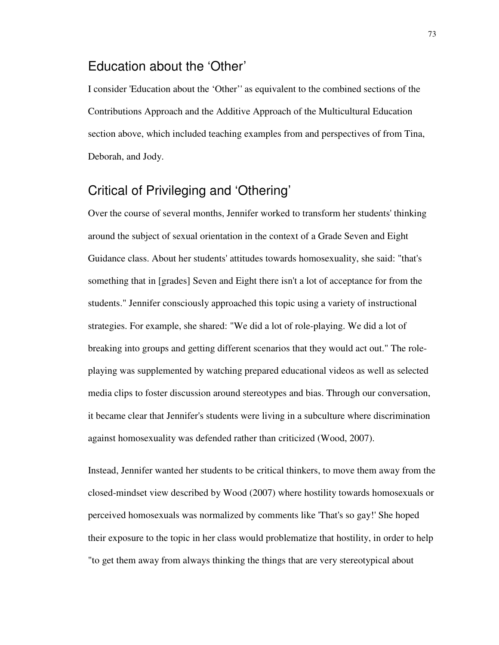## Education about the 'Other'

I consider 'Education about the 'Other'' as equivalent to the combined sections of the Contributions Approach and the Additive Approach of the Multicultural Education section above, which included teaching examples from and perspectives of from Tina, Deborah, and Jody.

## Critical of Privileging and 'Othering'

Over the course of several months, Jennifer worked to transform her students' thinking around the subject of sexual orientation in the context of a Grade Seven and Eight Guidance class. About her students' attitudes towards homosexuality, she said: "that's something that in [grades] Seven and Eight there isn't a lot of acceptance for from the students." Jennifer consciously approached this topic using a variety of instructional strategies. For example, she shared: "We did a lot of role-playing. We did a lot of breaking into groups and getting different scenarios that they would act out." The roleplaying was supplemented by watching prepared educational videos as well as selected media clips to foster discussion around stereotypes and bias. Through our conversation, it became clear that Jennifer's students were living in a subculture where discrimination against homosexuality was defended rather than criticized (Wood, 2007).

Instead, Jennifer wanted her students to be critical thinkers, to move them away from the closed-mindset view described by Wood (2007) where hostility towards homosexuals or perceived homosexuals was normalized by comments like 'That's so gay!' She hoped their exposure to the topic in her class would problematize that hostility, in order to help "to get them away from always thinking the things that are very stereotypical about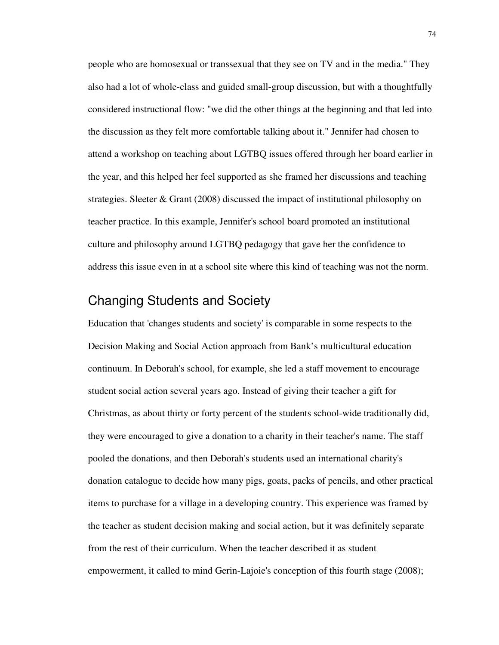people who are homosexual or transsexual that they see on TV and in the media." They also had a lot of whole-class and guided small-group discussion, but with a thoughtfully considered instructional flow: "we did the other things at the beginning and that led into the discussion as they felt more comfortable talking about it." Jennifer had chosen to attend a workshop on teaching about LGTBQ issues offered through her board earlier in the year, and this helped her feel supported as she framed her discussions and teaching strategies. Sleeter & Grant (2008) discussed the impact of institutional philosophy on teacher practice. In this example, Jennifer's school board promoted an institutional culture and philosophy around LGTBQ pedagogy that gave her the confidence to address this issue even in at a school site where this kind of teaching was not the norm.

## Changing Students and Society

Education that 'changes students and society' is comparable in some respects to the Decision Making and Social Action approach from Bank's multicultural education continuum. In Deborah's school, for example, she led a staff movement to encourage student social action several years ago. Instead of giving their teacher a gift for Christmas, as about thirty or forty percent of the students school-wide traditionally did, they were encouraged to give a donation to a charity in their teacher's name. The staff pooled the donations, and then Deborah's students used an international charity's donation catalogue to decide how many pigs, goats, packs of pencils, and other practical items to purchase for a village in a developing country. This experience was framed by the teacher as student decision making and social action, but it was definitely separate from the rest of their curriculum. When the teacher described it as student empowerment, it called to mind Gerin-Lajoie's conception of this fourth stage (2008);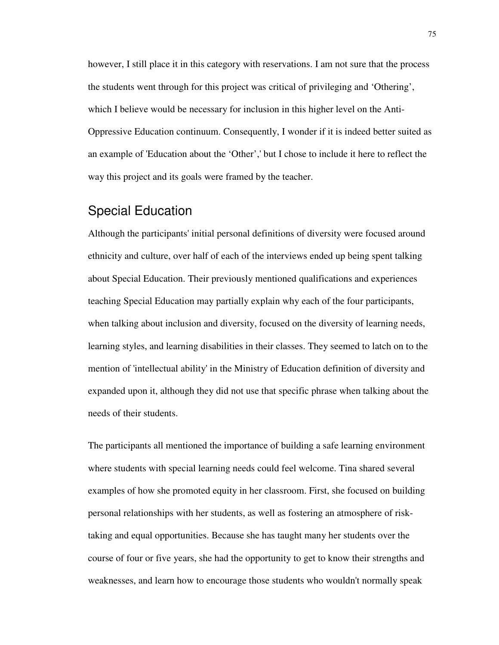however, I still place it in this category with reservations. I am not sure that the process the students went through for this project was critical of privileging and 'Othering', which I believe would be necessary for inclusion in this higher level on the Anti-Oppressive Education continuum. Consequently, I wonder if it is indeed better suited as an example of 'Education about the 'Other',' but I chose to include it here to reflect the way this project and its goals were framed by the teacher.

## Special Education

Although the participants' initial personal definitions of diversity were focused around ethnicity and culture, over half of each of the interviews ended up being spent talking about Special Education. Their previously mentioned qualifications and experiences teaching Special Education may partially explain why each of the four participants, when talking about inclusion and diversity, focused on the diversity of learning needs, learning styles, and learning disabilities in their classes. They seemed to latch on to the mention of 'intellectual ability' in the Ministry of Education definition of diversity and expanded upon it, although they did not use that specific phrase when talking about the needs of their students.

The participants all mentioned the importance of building a safe learning environment where students with special learning needs could feel welcome. Tina shared several examples of how she promoted equity in her classroom. First, she focused on building personal relationships with her students, as well as fostering an atmosphere of risktaking and equal opportunities. Because she has taught many her students over the course of four or five years, she had the opportunity to get to know their strengths and weaknesses, and learn how to encourage those students who wouldn't normally speak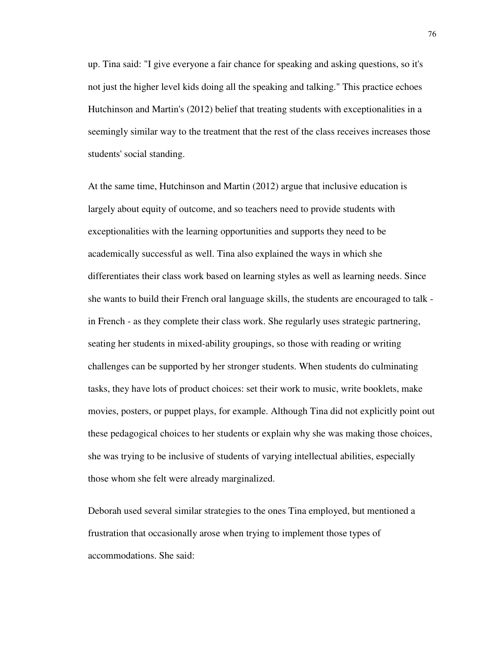up. Tina said: "I give everyone a fair chance for speaking and asking questions, so it's not just the higher level kids doing all the speaking and talking." This practice echoes Hutchinson and Martin's (2012) belief that treating students with exceptionalities in a seemingly similar way to the treatment that the rest of the class receives increases those students' social standing.

At the same time, Hutchinson and Martin (2012) argue that inclusive education is largely about equity of outcome, and so teachers need to provide students with exceptionalities with the learning opportunities and supports they need to be academically successful as well. Tina also explained the ways in which she differentiates their class work based on learning styles as well as learning needs. Since she wants to build their French oral language skills, the students are encouraged to talk in French - as they complete their class work. She regularly uses strategic partnering, seating her students in mixed-ability groupings, so those with reading or writing challenges can be supported by her stronger students. When students do culminating tasks, they have lots of product choices: set their work to music, write booklets, make movies, posters, or puppet plays, for example. Although Tina did not explicitly point out these pedagogical choices to her students or explain why she was making those choices, she was trying to be inclusive of students of varying intellectual abilities, especially those whom she felt were already marginalized.

Deborah used several similar strategies to the ones Tina employed, but mentioned a frustration that occasionally arose when trying to implement those types of accommodations. She said: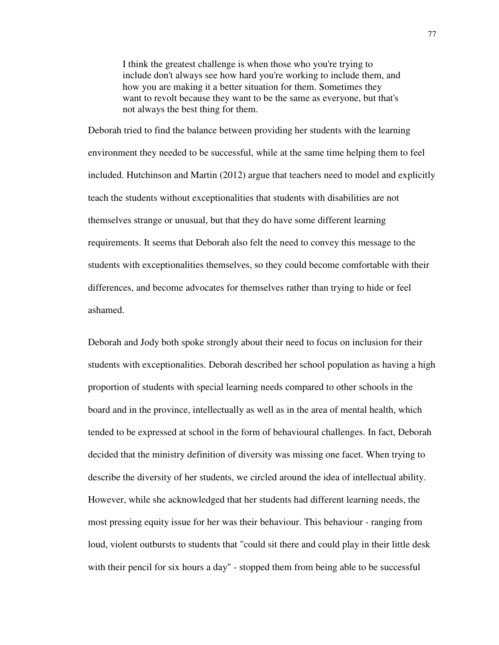I think the greatest challenge is when those who you're trying to include don't always see how hard you're working to include them, and how you are making it a better situation for them. Sometimes they want to revolt because they want to be the same as everyone, but that's not always the best thing for them.

Deborah tried to find the balance between providing her students with the learning environment they needed to be successful, while at the same time helping them to feel included. Hutchinson and Martin (2012) argue that teachers need to model and explicitly teach the students without exceptionalities that students with disabilities are not themselves strange or unusual, but that they do have some different learning requirements. It seems that Deborah also felt the need to convey this message to the students with exceptionalities themselves, so they could become comfortable with their differences, and become advocates for themselves rather than trying to hide or feel ashamed.

Deborah and Jody both spoke strongly about their need to focus on inclusion for their students with exceptionalities. Deborah described her school population as having a high proportion of students with special learning needs compared to other schools in the board and in the province, intellectually as well as in the area of mental health, which tended to be expressed at school in the form of behavioural challenges. In fact, Deborah decided that the ministry definition of diversity was missing one facet. When trying to describe the diversity of her students, we circled around the idea of intellectual ability. However, while she acknowledged that her students had different learning needs, the most pressing equity issue for her was their behaviour. This behaviour - ranging from loud, violent outbursts to students that "could sit there and could play in their little desk with their pencil for six hours a day" - stopped them from being able to be successful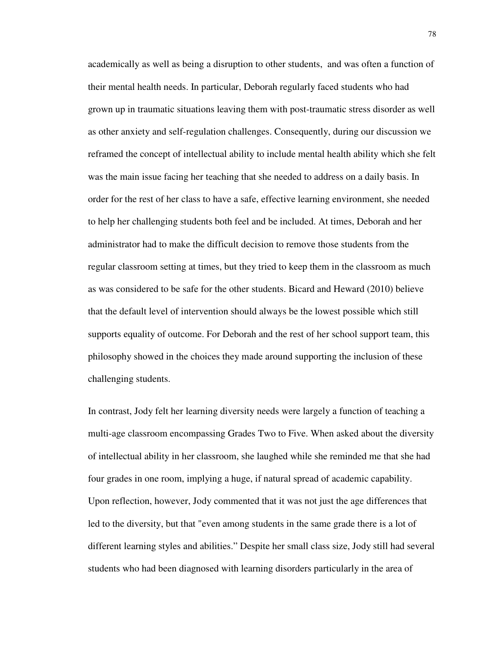academically as well as being a disruption to other students, and was often a function of their mental health needs. In particular, Deborah regularly faced students who had grown up in traumatic situations leaving them with post-traumatic stress disorder as well as other anxiety and self-regulation challenges. Consequently, during our discussion we reframed the concept of intellectual ability to include mental health ability which she felt was the main issue facing her teaching that she needed to address on a daily basis. In order for the rest of her class to have a safe, effective learning environment, she needed to help her challenging students both feel and be included. At times, Deborah and her administrator had to make the difficult decision to remove those students from the regular classroom setting at times, but they tried to keep them in the classroom as much as was considered to be safe for the other students. Bicard and Heward (2010) believe that the default level of intervention should always be the lowest possible which still supports equality of outcome. For Deborah and the rest of her school support team, this philosophy showed in the choices they made around supporting the inclusion of these challenging students.

In contrast, Jody felt her learning diversity needs were largely a function of teaching a multi-age classroom encompassing Grades Two to Five. When asked about the diversity of intellectual ability in her classroom, she laughed while she reminded me that she had four grades in one room, implying a huge, if natural spread of academic capability. Upon reflection, however, Jody commented that it was not just the age differences that led to the diversity, but that "even among students in the same grade there is a lot of different learning styles and abilities." Despite her small class size, Jody still had several students who had been diagnosed with learning disorders particularly in the area of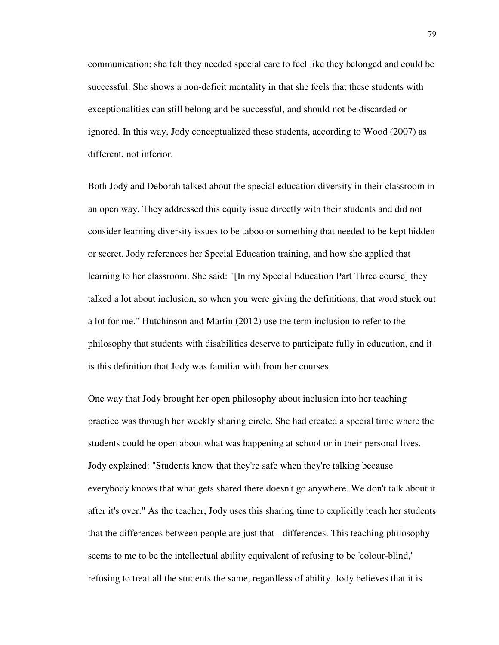communication; she felt they needed special care to feel like they belonged and could be successful. She shows a non-deficit mentality in that she feels that these students with exceptionalities can still belong and be successful, and should not be discarded or ignored. In this way, Jody conceptualized these students, according to Wood (2007) as different, not inferior.

Both Jody and Deborah talked about the special education diversity in their classroom in an open way. They addressed this equity issue directly with their students and did not consider learning diversity issues to be taboo or something that needed to be kept hidden or secret. Jody references her Special Education training, and how she applied that learning to her classroom. She said: "[In my Special Education Part Three course] they talked a lot about inclusion, so when you were giving the definitions, that word stuck out a lot for me." Hutchinson and Martin (2012) use the term inclusion to refer to the philosophy that students with disabilities deserve to participate fully in education, and it is this definition that Jody was familiar with from her courses.

One way that Jody brought her open philosophy about inclusion into her teaching practice was through her weekly sharing circle. She had created a special time where the students could be open about what was happening at school or in their personal lives. Jody explained: "Students know that they're safe when they're talking because everybody knows that what gets shared there doesn't go anywhere. We don't talk about it after it's over." As the teacher, Jody uses this sharing time to explicitly teach her students that the differences between people are just that - differences. This teaching philosophy seems to me to be the intellectual ability equivalent of refusing to be 'colour-blind,' refusing to treat all the students the same, regardless of ability. Jody believes that it is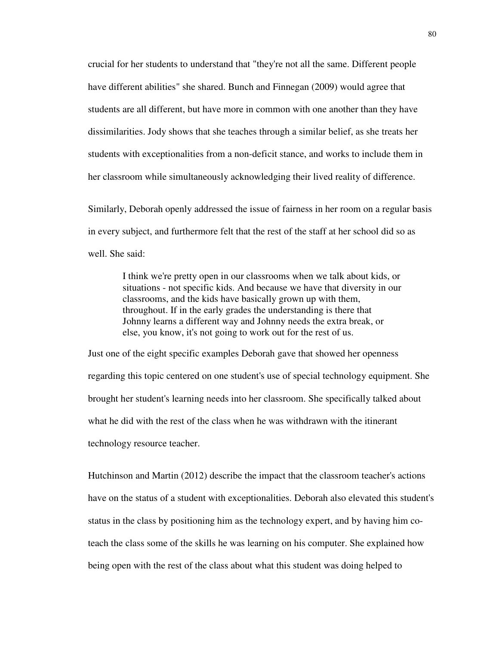crucial for her students to understand that "they're not all the same. Different people have different abilities" she shared. Bunch and Finnegan (2009) would agree that students are all different, but have more in common with one another than they have dissimilarities. Jody shows that she teaches through a similar belief, as she treats her students with exceptionalities from a non-deficit stance, and works to include them in her classroom while simultaneously acknowledging their lived reality of difference.

Similarly, Deborah openly addressed the issue of fairness in her room on a regular basis in every subject, and furthermore felt that the rest of the staff at her school did so as well. She said:

I think we're pretty open in our classrooms when we talk about kids, or situations - not specific kids. And because we have that diversity in our classrooms, and the kids have basically grown up with them, throughout. If in the early grades the understanding is there that Johnny learns a different way and Johnny needs the extra break, or else, you know, it's not going to work out for the rest of us.

Just one of the eight specific examples Deborah gave that showed her openness regarding this topic centered on one student's use of special technology equipment. She brought her student's learning needs into her classroom. She specifically talked about what he did with the rest of the class when he was withdrawn with the itinerant technology resource teacher.

Hutchinson and Martin (2012) describe the impact that the classroom teacher's actions have on the status of a student with exceptionalities. Deborah also elevated this student's status in the class by positioning him as the technology expert, and by having him coteach the class some of the skills he was learning on his computer. She explained how being open with the rest of the class about what this student was doing helped to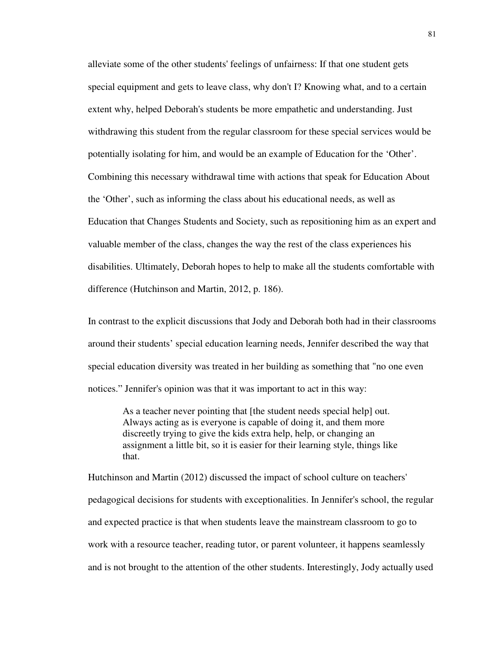alleviate some of the other students' feelings of unfairness: If that one student gets special equipment and gets to leave class, why don't I? Knowing what, and to a certain extent why, helped Deborah's students be more empathetic and understanding. Just withdrawing this student from the regular classroom for these special services would be potentially isolating for him, and would be an example of Education for the 'Other'. Combining this necessary withdrawal time with actions that speak for Education About the 'Other', such as informing the class about his educational needs, as well as Education that Changes Students and Society, such as repositioning him as an expert and valuable member of the class, changes the way the rest of the class experiences his disabilities. Ultimately, Deborah hopes to help to make all the students comfortable with difference (Hutchinson and Martin, 2012, p. 186).

In contrast to the explicit discussions that Jody and Deborah both had in their classrooms around their students' special education learning needs, Jennifer described the way that special education diversity was treated in her building as something that "no one even notices." Jennifer's opinion was that it was important to act in this way:

As a teacher never pointing that [the student needs special help] out. Always acting as is everyone is capable of doing it, and them more discreetly trying to give the kids extra help, help, or changing an assignment a little bit, so it is easier for their learning style, things like that.

Hutchinson and Martin (2012) discussed the impact of school culture on teachers' pedagogical decisions for students with exceptionalities. In Jennifer's school, the regular and expected practice is that when students leave the mainstream classroom to go to work with a resource teacher, reading tutor, or parent volunteer, it happens seamlessly and is not brought to the attention of the other students. Interestingly, Jody actually used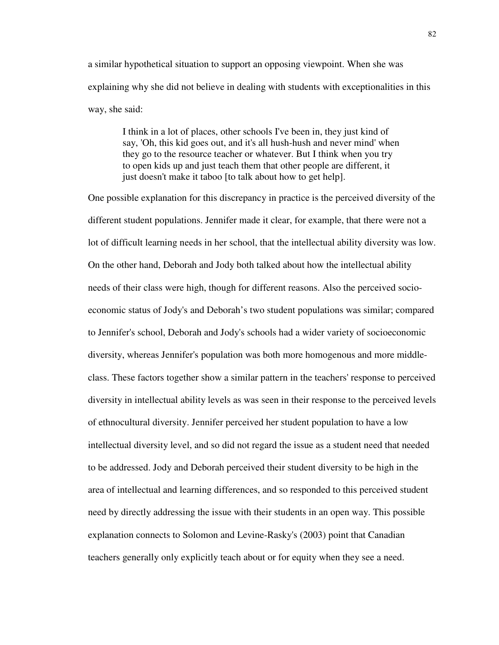a similar hypothetical situation to support an opposing viewpoint. When she was explaining why she did not believe in dealing with students with exceptionalities in this way, she said:

I think in a lot of places, other schools I've been in, they just kind of say, 'Oh, this kid goes out, and it's all hush-hush and never mind' when they go to the resource teacher or whatever. But I think when you try to open kids up and just teach them that other people are different, it just doesn't make it taboo [to talk about how to get help].

One possible explanation for this discrepancy in practice is the perceived diversity of the different student populations. Jennifer made it clear, for example, that there were not a lot of difficult learning needs in her school, that the intellectual ability diversity was low. On the other hand, Deborah and Jody both talked about how the intellectual ability needs of their class were high, though for different reasons. Also the perceived socioeconomic status of Jody's and Deborah's two student populations was similar; compared to Jennifer's school, Deborah and Jody's schools had a wider variety of socioeconomic diversity, whereas Jennifer's population was both more homogenous and more middleclass. These factors together show a similar pattern in the teachers' response to perceived diversity in intellectual ability levels as was seen in their response to the perceived levels of ethnocultural diversity. Jennifer perceived her student population to have a low intellectual diversity level, and so did not regard the issue as a student need that needed to be addressed. Jody and Deborah perceived their student diversity to be high in the area of intellectual and learning differences, and so responded to this perceived student need by directly addressing the issue with their students in an open way. This possible explanation connects to Solomon and Levine-Rasky's (2003) point that Canadian teachers generally only explicitly teach about or for equity when they see a need.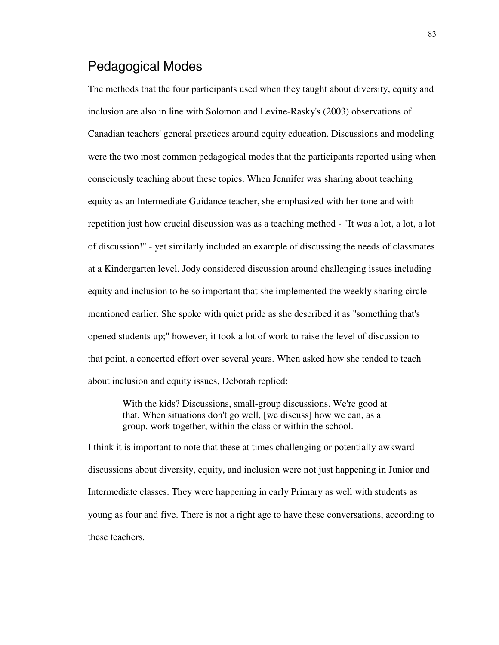## Pedagogical Modes

The methods that the four participants used when they taught about diversity, equity and inclusion are also in line with Solomon and Levine-Rasky's (2003) observations of Canadian teachers' general practices around equity education. Discussions and modeling were the two most common pedagogical modes that the participants reported using when consciously teaching about these topics. When Jennifer was sharing about teaching equity as an Intermediate Guidance teacher, she emphasized with her tone and with repetition just how crucial discussion was as a teaching method - "It was a lot, a lot, a lot of discussion!" - yet similarly included an example of discussing the needs of classmates at a Kindergarten level. Jody considered discussion around challenging issues including equity and inclusion to be so important that she implemented the weekly sharing circle mentioned earlier. She spoke with quiet pride as she described it as "something that's opened students up;" however, it took a lot of work to raise the level of discussion to that point, a concerted effort over several years. When asked how she tended to teach about inclusion and equity issues, Deborah replied:

With the kids? Discussions, small-group discussions. We're good at that. When situations don't go well, [we discuss] how we can, as a group, work together, within the class or within the school.

I think it is important to note that these at times challenging or potentially awkward discussions about diversity, equity, and inclusion were not just happening in Junior and Intermediate classes. They were happening in early Primary as well with students as young as four and five. There is not a right age to have these conversations, according to these teachers.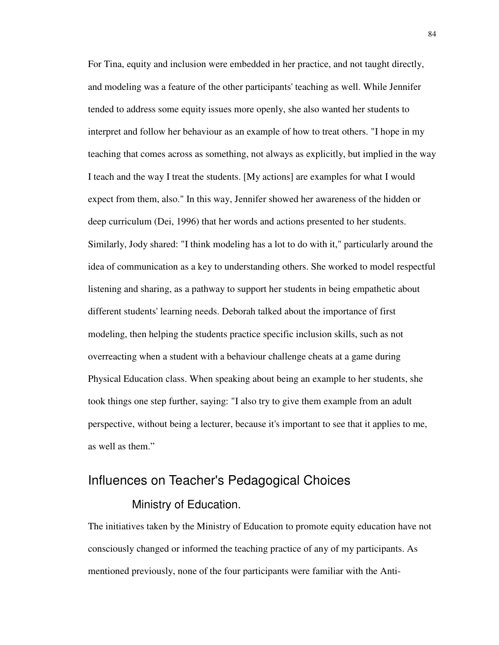For Tina, equity and inclusion were embedded in her practice, and not taught directly, and modeling was a feature of the other participants' teaching as well. While Jennifer tended to address some equity issues more openly, she also wanted her students to interpret and follow her behaviour as an example of how to treat others. "I hope in my teaching that comes across as something, not always as explicitly, but implied in the way I teach and the way I treat the students. [My actions] are examples for what I would expect from them, also." In this way, Jennifer showed her awareness of the hidden or deep curriculum (Dei, 1996) that her words and actions presented to her students. Similarly, Jody shared: "I think modeling has a lot to do with it," particularly around the idea of communication as a key to understanding others. She worked to model respectful listening and sharing, as a pathway to support her students in being empathetic about different students' learning needs. Deborah talked about the importance of first modeling, then helping the students practice specific inclusion skills, such as not overreacting when a student with a behaviour challenge cheats at a game during Physical Education class. When speaking about being an example to her students, she took things one step further, saying: "I also try to give them example from an adult perspective, without being a lecturer, because it's important to see that it applies to me, as well as them."

# Influences on Teacher's Pedagogical Choices

#### Ministry of Education.

The initiatives taken by the Ministry of Education to promote equity education have not consciously changed or informed the teaching practice of any of my participants. As mentioned previously, none of the four participants were familiar with the Anti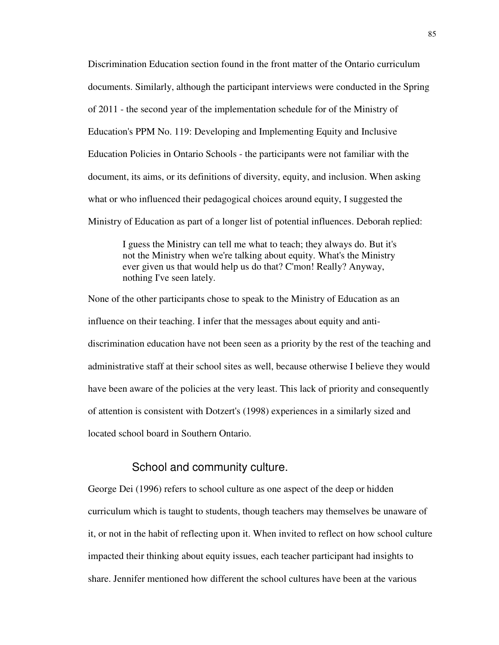Discrimination Education section found in the front matter of the Ontario curriculum documents. Similarly, although the participant interviews were conducted in the Spring of 2011 - the second year of the implementation schedule for of the Ministry of Education's PPM No. 119: Developing and Implementing Equity and Inclusive Education Policies in Ontario Schools - the participants were not familiar with the document, its aims, or its definitions of diversity, equity, and inclusion. When asking what or who influenced their pedagogical choices around equity, I suggested the Ministry of Education as part of a longer list of potential influences. Deborah replied:

I guess the Ministry can tell me what to teach; they always do. But it's not the Ministry when we're talking about equity. What's the Ministry ever given us that would help us do that? C'mon! Really? Anyway, nothing I've seen lately.

None of the other participants chose to speak to the Ministry of Education as an influence on their teaching. I infer that the messages about equity and antidiscrimination education have not been seen as a priority by the rest of the teaching and administrative staff at their school sites as well, because otherwise I believe they would have been aware of the policies at the very least. This lack of priority and consequently of attention is consistent with Dotzert's (1998) experiences in a similarly sized and located school board in Southern Ontario.

#### School and community culture.

George Dei (1996) refers to school culture as one aspect of the deep or hidden curriculum which is taught to students, though teachers may themselves be unaware of it, or not in the habit of reflecting upon it. When invited to reflect on how school culture impacted their thinking about equity issues, each teacher participant had insights to share. Jennifer mentioned how different the school cultures have been at the various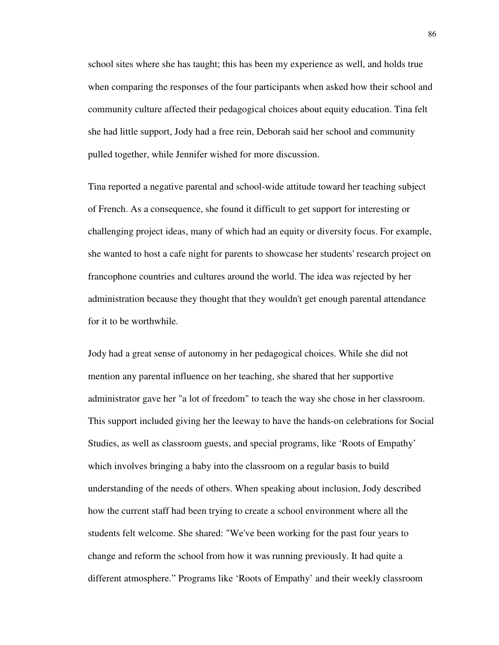school sites where she has taught; this has been my experience as well, and holds true when comparing the responses of the four participants when asked how their school and community culture affected their pedagogical choices about equity education. Tina felt she had little support, Jody had a free rein, Deborah said her school and community pulled together, while Jennifer wished for more discussion.

Tina reported a negative parental and school-wide attitude toward her teaching subject of French. As a consequence, she found it difficult to get support for interesting or challenging project ideas, many of which had an equity or diversity focus. For example, she wanted to host a cafe night for parents to showcase her students' research project on francophone countries and cultures around the world. The idea was rejected by her administration because they thought that they wouldn't get enough parental attendance for it to be worthwhile.

Jody had a great sense of autonomy in her pedagogical choices. While she did not mention any parental influence on her teaching, she shared that her supportive administrator gave her "a lot of freedom" to teach the way she chose in her classroom. This support included giving her the leeway to have the hands-on celebrations for Social Studies, as well as classroom guests, and special programs, like 'Roots of Empathy' which involves bringing a baby into the classroom on a regular basis to build understanding of the needs of others. When speaking about inclusion, Jody described how the current staff had been trying to create a school environment where all the students felt welcome. She shared: "We've been working for the past four years to change and reform the school from how it was running previously. It had quite a different atmosphere." Programs like 'Roots of Empathy' and their weekly classroom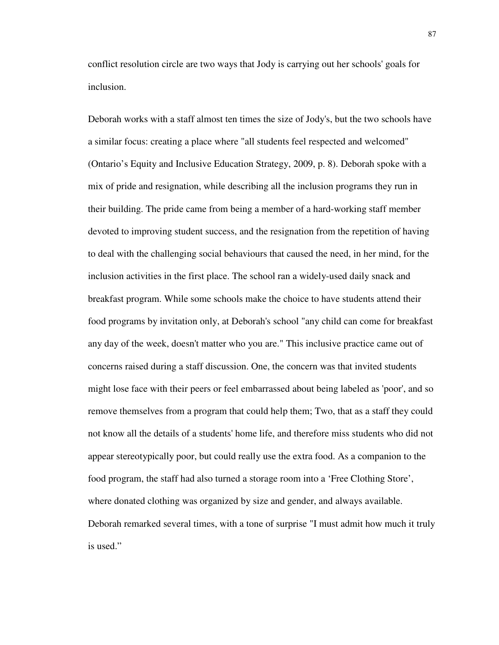conflict resolution circle are two ways that Jody is carrying out her schools' goals for inclusion.

Deborah works with a staff almost ten times the size of Jody's, but the two schools have a similar focus: creating a place where "all students feel respected and welcomed" (Ontario's Equity and Inclusive Education Strategy, 2009, p. 8). Deborah spoke with a mix of pride and resignation, while describing all the inclusion programs they run in their building. The pride came from being a member of a hard-working staff member devoted to improving student success, and the resignation from the repetition of having to deal with the challenging social behaviours that caused the need, in her mind, for the inclusion activities in the first place. The school ran a widely-used daily snack and breakfast program. While some schools make the choice to have students attend their food programs by invitation only, at Deborah's school "any child can come for breakfast any day of the week, doesn't matter who you are." This inclusive practice came out of concerns raised during a staff discussion. One, the concern was that invited students might lose face with their peers or feel embarrassed about being labeled as 'poor', and so remove themselves from a program that could help them; Two, that as a staff they could not know all the details of a students' home life, and therefore miss students who did not appear stereotypically poor, but could really use the extra food. As a companion to the food program, the staff had also turned a storage room into a 'Free Clothing Store', where donated clothing was organized by size and gender, and always available. Deborah remarked several times, with a tone of surprise "I must admit how much it truly is used."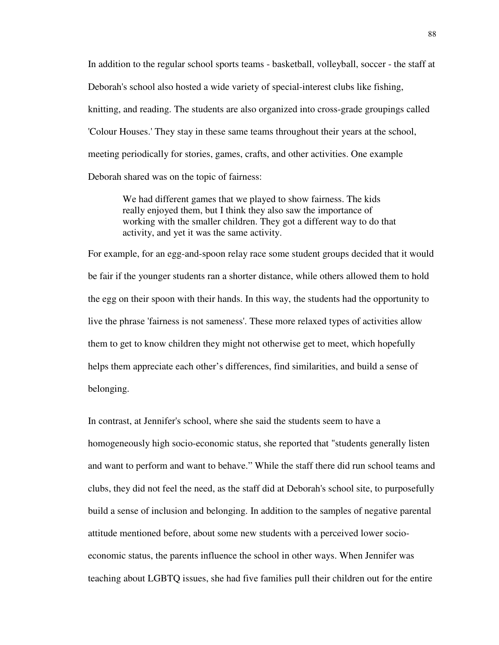In addition to the regular school sports teams - basketball, volleyball, soccer - the staff at Deborah's school also hosted a wide variety of special-interest clubs like fishing, knitting, and reading. The students are also organized into cross-grade groupings called 'Colour Houses.' They stay in these same teams throughout their years at the school, meeting periodically for stories, games, crafts, and other activities. One example Deborah shared was on the topic of fairness:

We had different games that we played to show fairness. The kids really enjoyed them, but I think they also saw the importance of working with the smaller children. They got a different way to do that activity, and yet it was the same activity.

For example, for an egg-and-spoon relay race some student groups decided that it would be fair if the younger students ran a shorter distance, while others allowed them to hold the egg on their spoon with their hands. In this way, the students had the opportunity to live the phrase 'fairness is not sameness'. These more relaxed types of activities allow them to get to know children they might not otherwise get to meet, which hopefully helps them appreciate each other's differences, find similarities, and build a sense of belonging.

In contrast, at Jennifer's school, where she said the students seem to have a homogeneously high socio-economic status, she reported that "students generally listen and want to perform and want to behave." While the staff there did run school teams and clubs, they did not feel the need, as the staff did at Deborah's school site, to purposefully build a sense of inclusion and belonging. In addition to the samples of negative parental attitude mentioned before, about some new students with a perceived lower socioeconomic status, the parents influence the school in other ways. When Jennifer was teaching about LGBTQ issues, she had five families pull their children out for the entire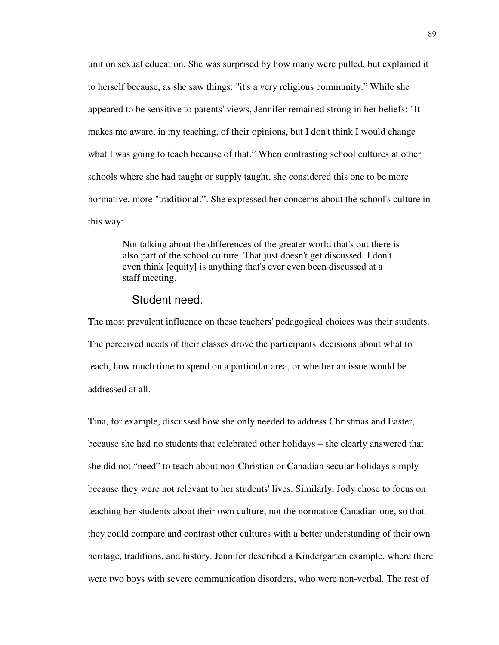unit on sexual education. She was surprised by how many were pulled, but explained it to herself because, as she saw things: "it's a very religious community." While she appeared to be sensitive to parents' views, Jennifer remained strong in her beliefs: "It makes me aware, in my teaching, of their opinions, but I don't think I would change what I was going to teach because of that." When contrasting school cultures at other schools where she had taught or supply taught, she considered this one to be more normative, more "traditional.". She expressed her concerns about the school's culture in this way:

Not talking about the differences of the greater world that's out there is also part of the school culture. That just doesn't get discussed. I don't even think [equity] is anything that's ever even been discussed at a staff meeting.

#### Student need.

The most prevalent influence on these teachers' pedagogical choices was their students. The perceived needs of their classes drove the participants' decisions about what to teach, how much time to spend on a particular area, or whether an issue would be addressed at all.

Tina, for example, discussed how she only needed to address Christmas and Easter, because she had no students that celebrated other holidays – she clearly answered that she did not "need" to teach about non-Christian or Canadian secular holidays simply because they were not relevant to her students' lives. Similarly, Jody chose to focus on teaching her students about their own culture, not the normative Canadian one, so that they could compare and contrast other cultures with a better understanding of their own heritage, traditions, and history. Jennifer described a Kindergarten example, where there were two boys with severe communication disorders, who were non-verbal. The rest of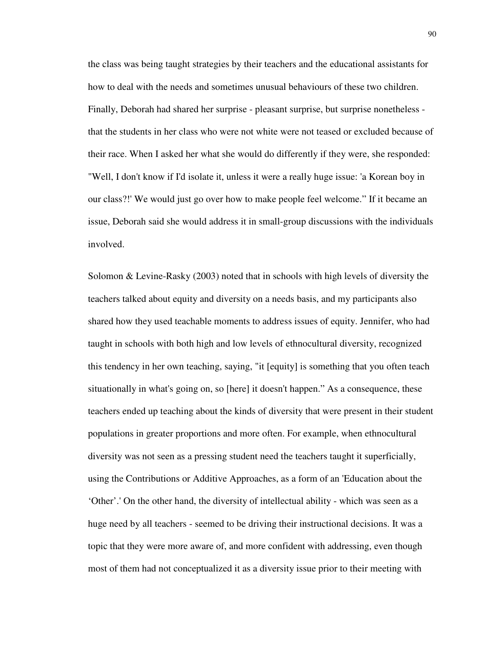the class was being taught strategies by their teachers and the educational assistants for how to deal with the needs and sometimes unusual behaviours of these two children. Finally, Deborah had shared her surprise - pleasant surprise, but surprise nonetheless that the students in her class who were not white were not teased or excluded because of their race. When I asked her what she would do differently if they were, she responded: "Well, I don't know if I'd isolate it, unless it were a really huge issue: 'a Korean boy in our class?!' We would just go over how to make people feel welcome." If it became an issue, Deborah said she would address it in small-group discussions with the individuals involved.

Solomon & Levine-Rasky (2003) noted that in schools with high levels of diversity the teachers talked about equity and diversity on a needs basis, and my participants also shared how they used teachable moments to address issues of equity. Jennifer, who had taught in schools with both high and low levels of ethnocultural diversity, recognized this tendency in her own teaching, saying, "it [equity] is something that you often teach situationally in what's going on, so [here] it doesn't happen." As a consequence, these teachers ended up teaching about the kinds of diversity that were present in their student populations in greater proportions and more often. For example, when ethnocultural diversity was not seen as a pressing student need the teachers taught it superficially, using the Contributions or Additive Approaches, as a form of an 'Education about the 'Other'.' On the other hand, the diversity of intellectual ability - which was seen as a huge need by all teachers - seemed to be driving their instructional decisions. It was a topic that they were more aware of, and more confident with addressing, even though most of them had not conceptualized it as a diversity issue prior to their meeting with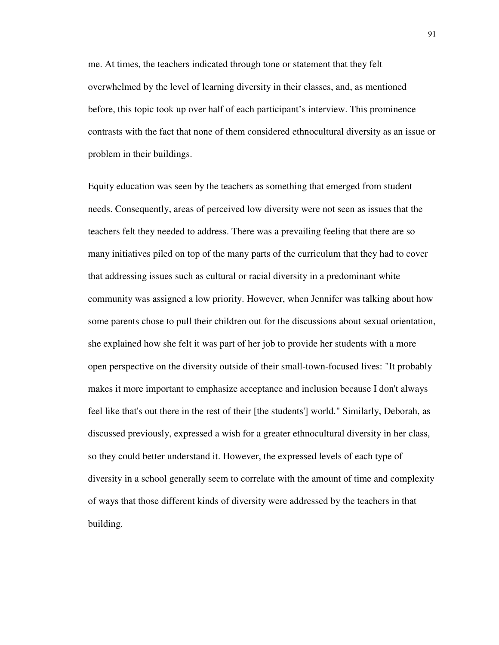me. At times, the teachers indicated through tone or statement that they felt overwhelmed by the level of learning diversity in their classes, and, as mentioned before, this topic took up over half of each participant's interview. This prominence contrasts with the fact that none of them considered ethnocultural diversity as an issue or problem in their buildings.

Equity education was seen by the teachers as something that emerged from student needs. Consequently, areas of perceived low diversity were not seen as issues that the teachers felt they needed to address. There was a prevailing feeling that there are so many initiatives piled on top of the many parts of the curriculum that they had to cover that addressing issues such as cultural or racial diversity in a predominant white community was assigned a low priority. However, when Jennifer was talking about how some parents chose to pull their children out for the discussions about sexual orientation, she explained how she felt it was part of her job to provide her students with a more open perspective on the diversity outside of their small-town-focused lives: "It probably makes it more important to emphasize acceptance and inclusion because I don't always feel like that's out there in the rest of their [the students'] world." Similarly, Deborah, as discussed previously, expressed a wish for a greater ethnocultural diversity in her class, so they could better understand it. However, the expressed levels of each type of diversity in a school generally seem to correlate with the amount of time and complexity of ways that those different kinds of diversity were addressed by the teachers in that building.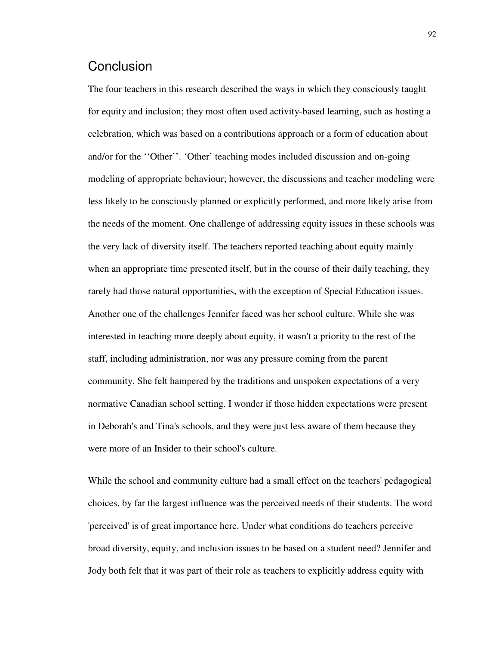## **Conclusion**

The four teachers in this research described the ways in which they consciously taught for equity and inclusion; they most often used activity-based learning, such as hosting a celebration, which was based on a contributions approach or a form of education about and/or for the ''Other''. 'Other' teaching modes included discussion and on-going modeling of appropriate behaviour; however, the discussions and teacher modeling were less likely to be consciously planned or explicitly performed, and more likely arise from the needs of the moment. One challenge of addressing equity issues in these schools was the very lack of diversity itself. The teachers reported teaching about equity mainly when an appropriate time presented itself, but in the course of their daily teaching, they rarely had those natural opportunities, with the exception of Special Education issues. Another one of the challenges Jennifer faced was her school culture. While she was interested in teaching more deeply about equity, it wasn't a priority to the rest of the staff, including administration, nor was any pressure coming from the parent community. She felt hampered by the traditions and unspoken expectations of a very normative Canadian school setting. I wonder if those hidden expectations were present in Deborah's and Tina's schools, and they were just less aware of them because they were more of an Insider to their school's culture.

While the school and community culture had a small effect on the teachers' pedagogical choices, by far the largest influence was the perceived needs of their students. The word 'perceived' is of great importance here. Under what conditions do teachers perceive broad diversity, equity, and inclusion issues to be based on a student need? Jennifer and Jody both felt that it was part of their role as teachers to explicitly address equity with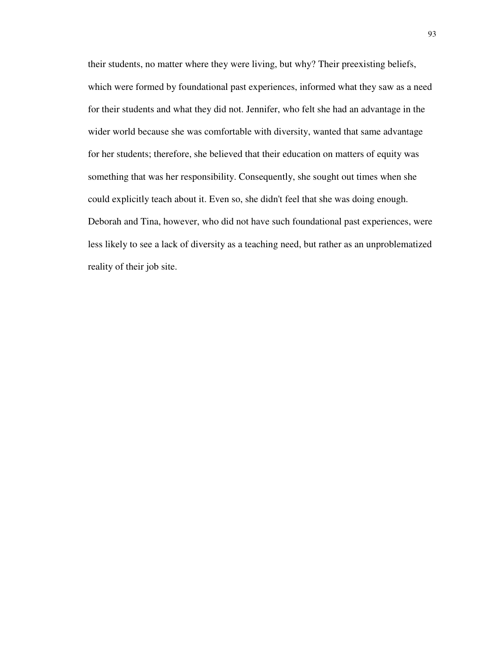their students, no matter where they were living, but why? Their preexisting beliefs, which were formed by foundational past experiences, informed what they saw as a need for their students and what they did not. Jennifer, who felt she had an advantage in the wider world because she was comfortable with diversity, wanted that same advantage for her students; therefore, she believed that their education on matters of equity was something that was her responsibility. Consequently, she sought out times when she could explicitly teach about it. Even so, she didn't feel that she was doing enough. Deborah and Tina, however, who did not have such foundational past experiences, were less likely to see a lack of diversity as a teaching need, but rather as an unproblematized reality of their job site.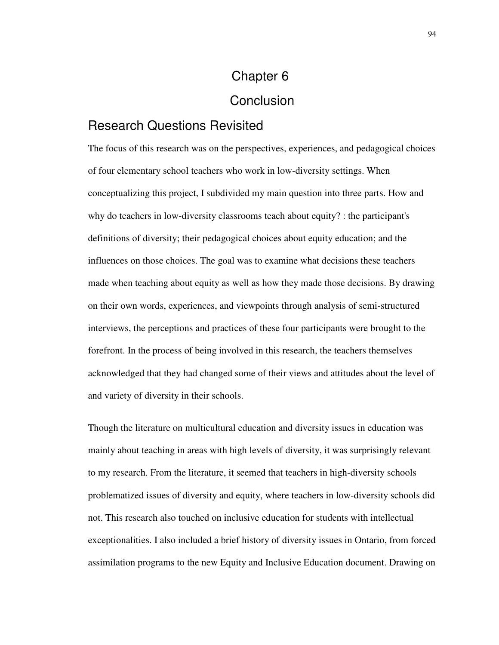# Chapter 6 **Conclusion**

## Research Questions Revisited

The focus of this research was on the perspectives, experiences, and pedagogical choices of four elementary school teachers who work in low-diversity settings. When conceptualizing this project, I subdivided my main question into three parts. How and why do teachers in low-diversity classrooms teach about equity? : the participant's definitions of diversity; their pedagogical choices about equity education; and the influences on those choices. The goal was to examine what decisions these teachers made when teaching about equity as well as how they made those decisions. By drawing on their own words, experiences, and viewpoints through analysis of semi-structured interviews, the perceptions and practices of these four participants were brought to the forefront. In the process of being involved in this research, the teachers themselves acknowledged that they had changed some of their views and attitudes about the level of and variety of diversity in their schools.

Though the literature on multicultural education and diversity issues in education was mainly about teaching in areas with high levels of diversity, it was surprisingly relevant to my research. From the literature, it seemed that teachers in high-diversity schools problematized issues of diversity and equity, where teachers in low-diversity schools did not. This research also touched on inclusive education for students with intellectual exceptionalities. I also included a brief history of diversity issues in Ontario, from forced assimilation programs to the new Equity and Inclusive Education document. Drawing on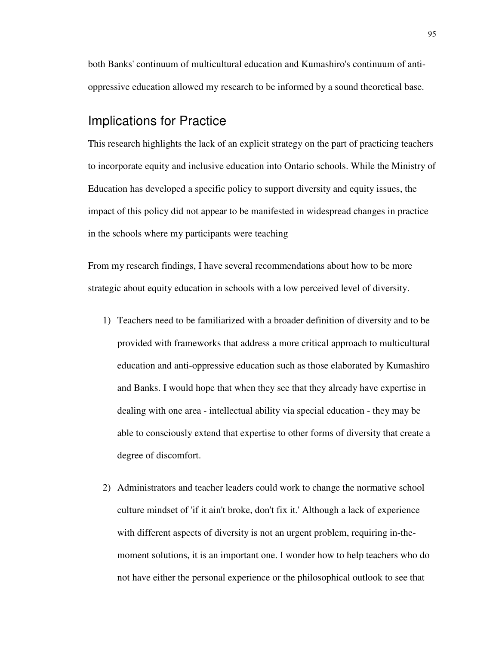both Banks' continuum of multicultural education and Kumashiro's continuum of antioppressive education allowed my research to be informed by a sound theoretical base.

### Implications for Practice

This research highlights the lack of an explicit strategy on the part of practicing teachers to incorporate equity and inclusive education into Ontario schools. While the Ministry of Education has developed a specific policy to support diversity and equity issues, the impact of this policy did not appear to be manifested in widespread changes in practice in the schools where my participants were teaching

From my research findings, I have several recommendations about how to be more strategic about equity education in schools with a low perceived level of diversity.

- 1) Teachers need to be familiarized with a broader definition of diversity and to be provided with frameworks that address a more critical approach to multicultural education and anti-oppressive education such as those elaborated by Kumashiro and Banks. I would hope that when they see that they already have expertise in dealing with one area - intellectual ability via special education - they may be able to consciously extend that expertise to other forms of diversity that create a degree of discomfort.
- 2) Administrators and teacher leaders could work to change the normative school culture mindset of 'if it ain't broke, don't fix it.' Although a lack of experience with different aspects of diversity is not an urgent problem, requiring in-themoment solutions, it is an important one. I wonder how to help teachers who do not have either the personal experience or the philosophical outlook to see that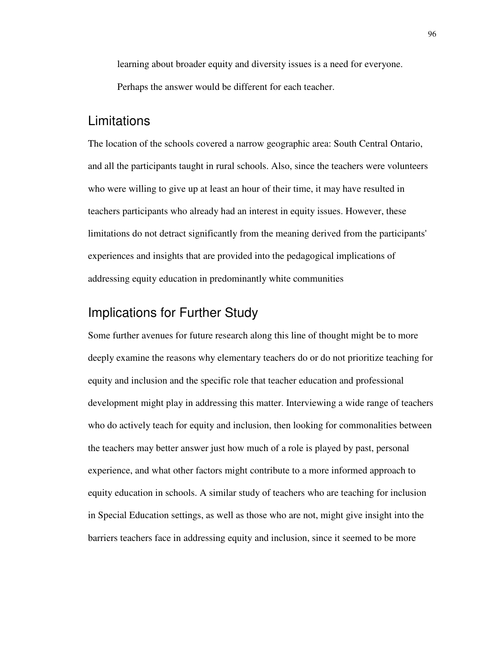learning about broader equity and diversity issues is a need for everyone. Perhaps the answer would be different for each teacher.

#### Limitations

The location of the schools covered a narrow geographic area: South Central Ontario, and all the participants taught in rural schools. Also, since the teachers were volunteers who were willing to give up at least an hour of their time, it may have resulted in teachers participants who already had an interest in equity issues. However, these limitations do not detract significantly from the meaning derived from the participants' experiences and insights that are provided into the pedagogical implications of addressing equity education in predominantly white communities

## Implications for Further Study

Some further avenues for future research along this line of thought might be to more deeply examine the reasons why elementary teachers do or do not prioritize teaching for equity and inclusion and the specific role that teacher education and professional development might play in addressing this matter. Interviewing a wide range of teachers who do actively teach for equity and inclusion, then looking for commonalities between the teachers may better answer just how much of a role is played by past, personal experience, and what other factors might contribute to a more informed approach to equity education in schools. A similar study of teachers who are teaching for inclusion in Special Education settings, as well as those who are not, might give insight into the barriers teachers face in addressing equity and inclusion, since it seemed to be more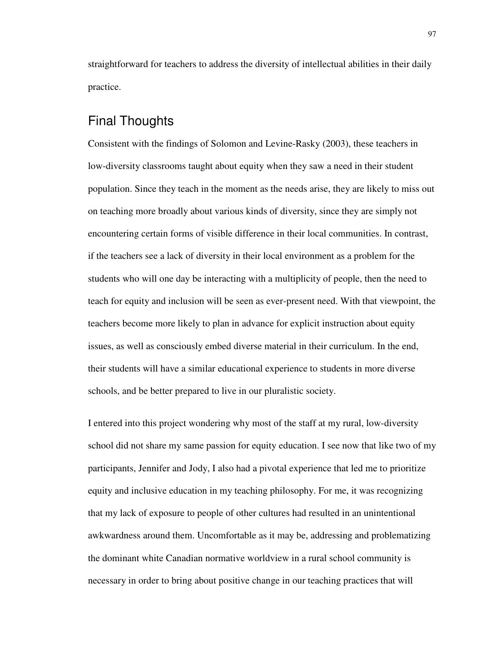straightforward for teachers to address the diversity of intellectual abilities in their daily practice.

## Final Thoughts

Consistent with the findings of Solomon and Levine-Rasky (2003), these teachers in low-diversity classrooms taught about equity when they saw a need in their student population. Since they teach in the moment as the needs arise, they are likely to miss out on teaching more broadly about various kinds of diversity, since they are simply not encountering certain forms of visible difference in their local communities. In contrast, if the teachers see a lack of diversity in their local environment as a problem for the students who will one day be interacting with a multiplicity of people, then the need to teach for equity and inclusion will be seen as ever-present need. With that viewpoint, the teachers become more likely to plan in advance for explicit instruction about equity issues, as well as consciously embed diverse material in their curriculum. In the end, their students will have a similar educational experience to students in more diverse schools, and be better prepared to live in our pluralistic society.

I entered into this project wondering why most of the staff at my rural, low-diversity school did not share my same passion for equity education. I see now that like two of my participants, Jennifer and Jody, I also had a pivotal experience that led me to prioritize equity and inclusive education in my teaching philosophy. For me, it was recognizing that my lack of exposure to people of other cultures had resulted in an unintentional awkwardness around them. Uncomfortable as it may be, addressing and problematizing the dominant white Canadian normative worldview in a rural school community is necessary in order to bring about positive change in our teaching practices that will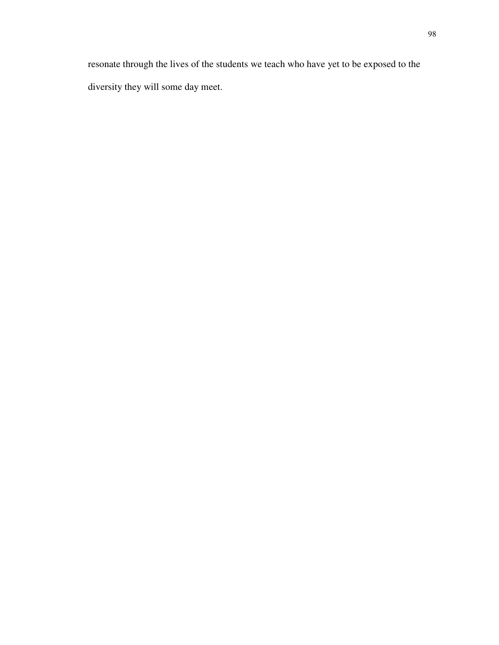resonate through the lives of the students we teach who have yet to be exposed to the diversity they will some day meet.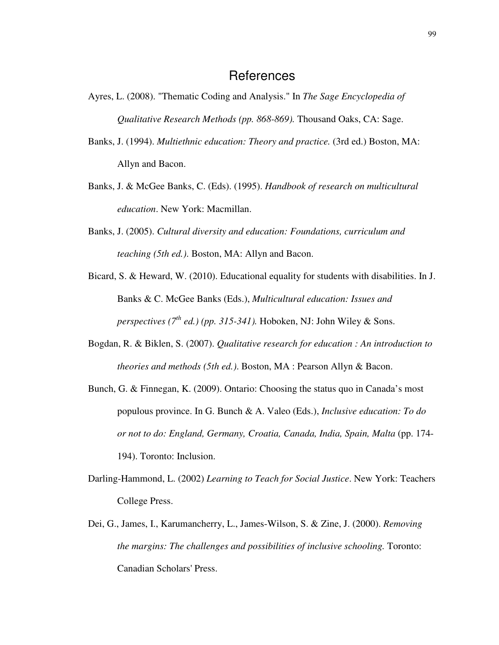#### References

- Ayres, L. (2008). "Thematic Coding and Analysis." In *The Sage Encyclopedia of Qualitative Research Methods (pp. 868-869).* Thousand Oaks, CA: Sage.
- Banks, J. (1994). *Multiethnic education: Theory and practice.* (3rd ed.) Boston, MA: Allyn and Bacon.
- Banks, J. & McGee Banks, C. (Eds). (1995). *Handbook of research on multicultural education*. New York: Macmillan.
- Banks, J. (2005). *Cultural diversity and education: Foundations, curriculum and teaching (5th ed.)*. Boston, MA: Allyn and Bacon.
- Bicard, S. & Heward, W. (2010). Educational equality for students with disabilities. In J. Banks & C. McGee Banks (Eds.), *Multicultural education: Issues and perspectives (7th ed.) (pp. 315-341).* Hoboken, NJ: John Wiley & Sons.
- Bogdan, R. & Biklen, S. (2007). *Qualitative research for education : An introduction to theories and methods (5th ed.)*. Boston, MA : Pearson Allyn & Bacon.
- Bunch, G. & Finnegan, K. (2009). Ontario: Choosing the status quo in Canada's most populous province. In G. Bunch & A. Valeo (Eds.), *Inclusive education: To do or not to do: England, Germany, Croatia, Canada, India, Spain, Malta* (pp. 174- 194). Toronto: Inclusion.
- Darling-Hammond, L. (2002) *Learning to Teach for Social Justice*. New York: Teachers College Press.
- Dei, G., James, I., Karumancherry, L., James-Wilson, S. & Zine, J. (2000). *Removing the margins: The challenges and possibilities of inclusive schooling.* Toronto: Canadian Scholars' Press.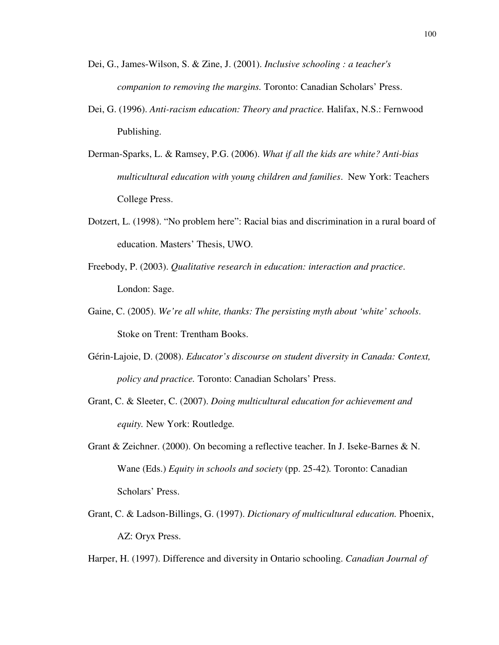- Dei, G., James-Wilson, S. & Zine, J. (2001). *Inclusive schooling : a teacher's companion to removing the margins.* Toronto: Canadian Scholars' Press.
- Dei, G. (1996). *Anti-racism education: Theory and practice.* Halifax, N.S.: Fernwood Publishing.
- Derman-Sparks, L. & Ramsey, P.G. (2006). *What if all the kids are white? Anti-bias multicultural education with young children and families*. New York: Teachers College Press.
- Dotzert, L. (1998). "No problem here": Racial bias and discrimination in a rural board of education. Masters' Thesis, UWO.
- Freebody, P. (2003). *Qualitative research in education: interaction and practice*. London: Sage.
- Gaine, C. (2005). *We're all white, thanks: The persisting myth about 'white' schools*. Stoke on Trent: Trentham Books.
- Gérin-Lajoie, D. (2008). *Educator's discourse on student diversity in Canada: Context, policy and practice.* Toronto: Canadian Scholars' Press.
- Grant, C. & Sleeter, C. (2007). *Doing multicultural education for achievement and equity.* New York: Routledge*.*
- Grant & Zeichner. (2000). On becoming a reflective teacher. In J. Iseke-Barnes & N. Wane (Eds.) *Equity in schools and society* (pp. 25-42)*.* Toronto: Canadian Scholars' Press.
- Grant, C. & Ladson-Billings, G. (1997). *Dictionary of multicultural education.* Phoenix, AZ: Oryx Press.
- Harper, H. (1997). Difference and diversity in Ontario schooling. *Canadian Journal of*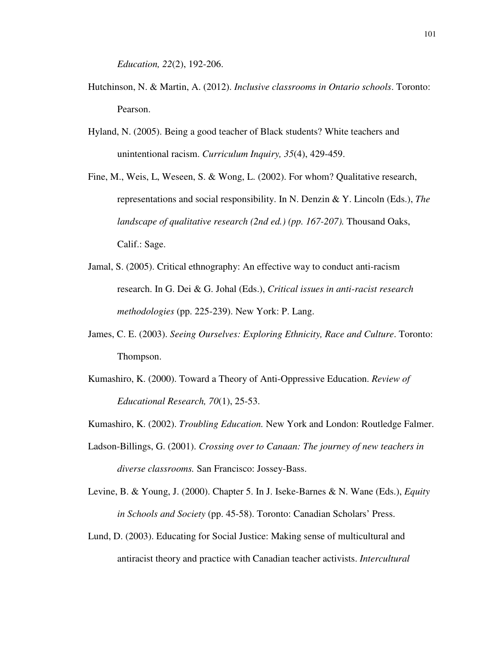*Education, 22*(2), 192-206.

- Hutchinson, N. & Martin, A. (2012). *Inclusive classrooms in Ontario schools*. Toronto: Pearson.
- Hyland, N. (2005). Being a good teacher of Black students? White teachers and unintentional racism. *Curriculum Inquiry, 35*(4), 429-459.
- Fine, M., Weis, L, Weseen, S. & Wong, L. (2002). For whom? Qualitative research, representations and social responsibility. In N. Denzin & Y. Lincoln (Eds.), *The landscape of qualitative research (2nd ed.) (pp. 167-207).* Thousand Oaks, Calif.: Sage.
- Jamal, S. (2005). Critical ethnography: An effective way to conduct anti-racism research. In G. Dei & G. Johal (Eds.), *Critical issues in anti-racist research methodologies* (pp. 225-239). New York: P. Lang.
- James, C. E. (2003). *Seeing Ourselves: Exploring Ethnicity, Race and Culture*. Toronto: Thompson.
- Kumashiro, K. (2000). Toward a Theory of Anti-Oppressive Education. *Review of Educational Research, 70*(1), 25-53.
- Kumashiro, K. (2002). *Troubling Education.* New York and London: Routledge Falmer.
- Ladson-Billings, G. (2001). *Crossing over to Canaan: The journey of new teachers in diverse classrooms.* San Francisco: Jossey-Bass.
- Levine, B. & Young, J. (2000). Chapter 5. In J. Iseke-Barnes & N. Wane (Eds.), *Equity in Schools and Society* (pp. 45-58). Toronto: Canadian Scholars' Press.
- Lund, D. (2003). Educating for Social Justice: Making sense of multicultural and antiracist theory and practice with Canadian teacher activists. *Intercultural*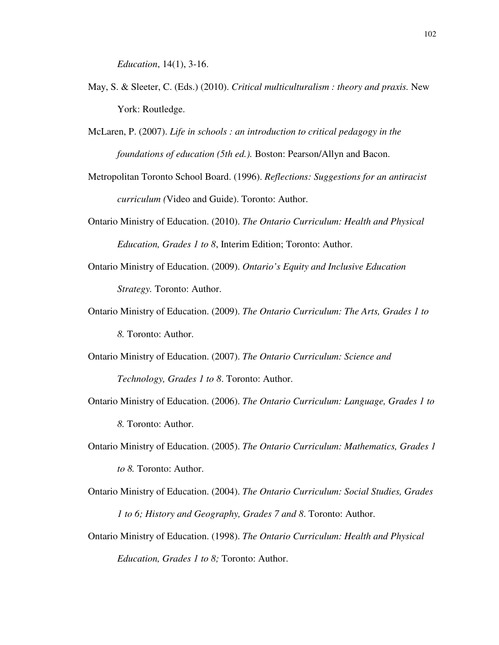*Education*, 14(1), 3-16.

- May, S. & Sleeter, C. (Eds.) (2010). *Critical multiculturalism : theory and praxis.* New York: Routledge.
- McLaren, P. (2007). *Life in schools : an introduction to critical pedagogy in the foundations of education (5th ed.).* Boston: Pearson/Allyn and Bacon.
- Metropolitan Toronto School Board. (1996). *Reflections: Suggestions for an antiracist curriculum (*Video and Guide). Toronto: Author.
- Ontario Ministry of Education. (2010). *The Ontario Curriculum: Health and Physical Education, Grades 1 to 8*, Interim Edition; Toronto: Author.
- Ontario Ministry of Education. (2009). *Ontario's Equity and Inclusive Education Strategy.* Toronto: Author.
- Ontario Ministry of Education. (2009). *The Ontario Curriculum: The Arts, Grades 1 to 8.* Toronto: Author.
- Ontario Ministry of Education. (2007). *The Ontario Curriculum: Science and Technology, Grades 1 to 8*. Toronto: Author.
- Ontario Ministry of Education. (2006). *The Ontario Curriculum: Language, Grades 1 to 8.* Toronto: Author.
- Ontario Ministry of Education. (2005). *The Ontario Curriculum: Mathematics, Grades 1 to 8.* Toronto: Author.
- Ontario Ministry of Education. (2004). *The Ontario Curriculum: Social Studies, Grades 1 to 6; History and Geography, Grades 7 and 8*. Toronto: Author.
- Ontario Ministry of Education. (1998). *The Ontario Curriculum: Health and Physical Education, Grades 1 to 8;* Toronto: Author.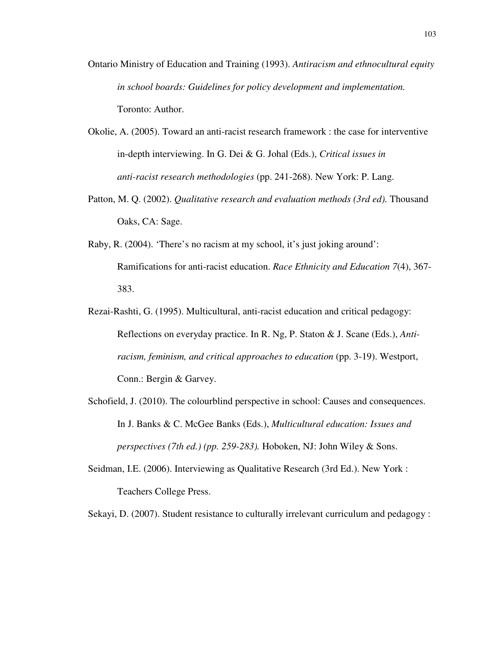- Ontario Ministry of Education and Training (1993). *Antiracism and ethnocultural equity in school boards: Guidelines for policy development and implementation.*  Toronto: Author.
- Okolie, A. (2005). Toward an anti-racist research framework : the case for interventive in-depth interviewing. In G. Dei & G. Johal (Eds.), *Critical issues in anti-racist research methodologies* (pp. 241-268). New York: P. Lang.
- Patton, M. Q. (2002). *Qualitative research and evaluation methods (3rd ed).* Thousand Oaks, CA: Sage.
- Raby, R. (2004). 'There's no racism at my school, it's just joking around': Ramifications for anti-racist education. *Race Ethnicity and Education 7*(4), 367- 383.
- Rezai-Rashti, G. (1995). Multicultural, anti-racist education and critical pedagogy: Reflections on everyday practice. In R. Ng, P. Staton & J. Scane (Eds.), *Antiracism, feminism, and critical approaches to education* (pp. 3-19). Westport, Conn.: Bergin & Garvey.
- Schofield, J. (2010). The colourblind perspective in school: Causes and consequences. In J. Banks & C. McGee Banks (Eds.), *Multicultural education: Issues and perspectives (7th ed.) (pp. 259-283).* Hoboken, NJ: John Wiley & Sons.
- Seidman, I.E. (2006). Interviewing as Qualitative Research (3rd Ed.). New York : Teachers College Press.

Sekayi, D. (2007). Student resistance to culturally irrelevant curriculum and pedagogy :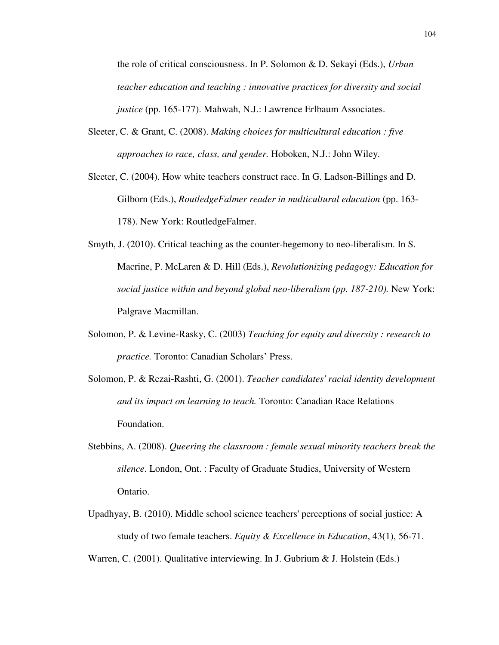the role of critical consciousness. In P. Solomon & D. Sekayi (Eds.), *Urban teacher education and teaching : innovative practices for diversity and social justice* (pp. 165-177). Mahwah, N.J.: Lawrence Erlbaum Associates.

- Sleeter, C. & Grant, C. (2008). *Making choices for multicultural education : five approaches to race, class, and gender.* Hoboken, N.J.: John Wiley.
- Sleeter, C. (2004). How white teachers construct race. In G. Ladson-Billings and D. Gilborn (Eds.), *RoutledgeFalmer reader in multicultural education* (pp. 163- 178). New York: RoutledgeFalmer.
- Smyth, J. (2010). Critical teaching as the counter-hegemony to neo-liberalism. In S. Macrine, P. McLaren & D. Hill (Eds.), *Revolutionizing pedagogy: Education for social justice within and beyond global neo-liberalism (pp. 187-210).* New York: Palgrave Macmillan.
- Solomon, P. & Levine-Rasky, C. (2003) *Teaching for equity and diversity : research to practice.* Toronto: Canadian Scholars' Press.
- Solomon, P. & Rezai-Rashti, G. (2001). *Teacher candidates' racial identity development and its impact on learning to teach.* Toronto: Canadian Race Relations Foundation.
- Stebbins, A. (2008). *Queering the classroom : female sexual minority teachers break the silence*. London, Ont. : Faculty of Graduate Studies, University of Western Ontario.
- Upadhyay, B. (2010). Middle school science teachers' perceptions of social justice: A study of two female teachers. *Equity & Excellence in Education*, 43(1), 56-71.

Warren, C. (2001). Qualitative interviewing. In J. Gubrium & J. Holstein (Eds.)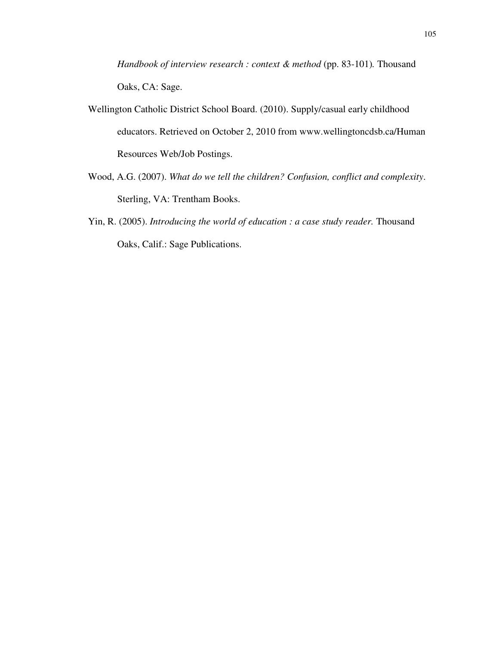*Handbook of interview research : context & method (pp. 83-101). Thousand* Oaks, CA: Sage.

- Wellington Catholic District School Board. (2010). Supply/casual early childhood educators. Retrieved on October 2, 2010 from www.wellingtoncdsb.ca/Human Resources Web/Job Postings.
- Wood, A.G. (2007). *What do we tell the children? Confusion, conflict and complexity*. Sterling, VA: Trentham Books.
- Yin, R. (2005). *Introducing the world of education : a case study reader*. Thousand Oaks, Calif.: Sage Publications.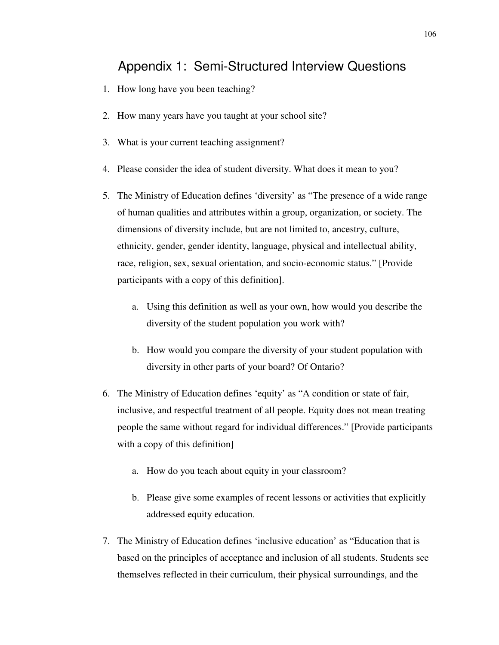## Appendix 1: Semi-Structured Interview Questions

- 1. How long have you been teaching?
- 2. How many years have you taught at your school site?
- 3. What is your current teaching assignment?
- 4. Please consider the idea of student diversity. What does it mean to you?
- 5. The Ministry of Education defines 'diversity' as "The presence of a wide range of human qualities and attributes within a group, organization, or society. The dimensions of diversity include, but are not limited to, ancestry, culture, ethnicity, gender, gender identity, language, physical and intellectual ability, race, religion, sex, sexual orientation, and socio-economic status." [Provide participants with a copy of this definition].
	- a. Using this definition as well as your own, how would you describe the diversity of the student population you work with?
	- b. How would you compare the diversity of your student population with diversity in other parts of your board? Of Ontario?
- 6. The Ministry of Education defines 'equity' as "A condition or state of fair, inclusive, and respectful treatment of all people. Equity does not mean treating people the same without regard for individual differences." [Provide participants with a copy of this definition]
	- a. How do you teach about equity in your classroom?
	- b. Please give some examples of recent lessons or activities that explicitly addressed equity education.
- 7. The Ministry of Education defines 'inclusive education' as "Education that is based on the principles of acceptance and inclusion of all students. Students see themselves reflected in their curriculum, their physical surroundings, and the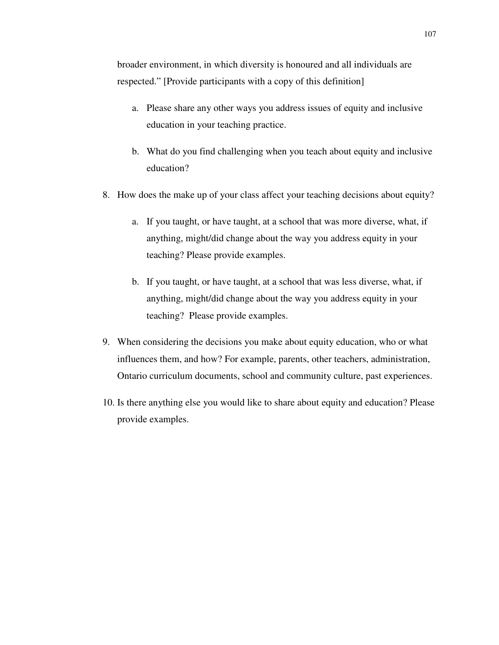broader environment, in which diversity is honoured and all individuals are respected." [Provide participants with a copy of this definition]

- a. Please share any other ways you address issues of equity and inclusive education in your teaching practice.
- b. What do you find challenging when you teach about equity and inclusive education?
- 8. How does the make up of your class affect your teaching decisions about equity?
	- a. If you taught, or have taught, at a school that was more diverse, what, if anything, might/did change about the way you address equity in your teaching? Please provide examples.
	- b. If you taught, or have taught, at a school that was less diverse, what, if anything, might/did change about the way you address equity in your teaching? Please provide examples.
- 9. When considering the decisions you make about equity education, who or what influences them, and how? For example, parents, other teachers, administration, Ontario curriculum documents, school and community culture, past experiences.
- 10. Is there anything else you would like to share about equity and education? Please provide examples.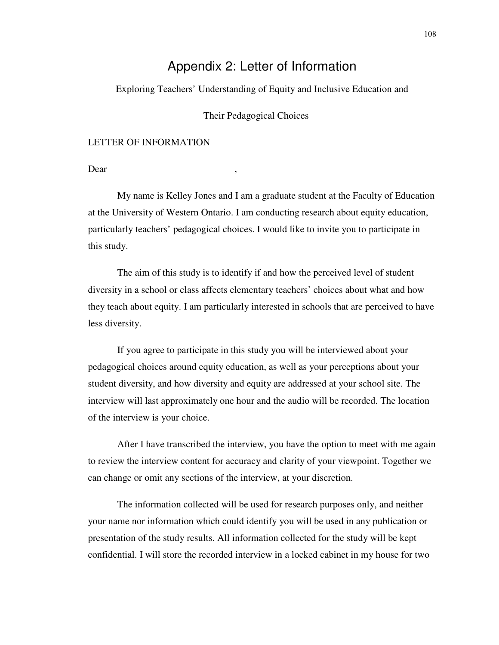## Appendix 2: Letter of Information

Exploring Teachers' Understanding of Equity and Inclusive Education and

Their Pedagogical Choices

## LETTER OF INFORMATION

Dear ,

 My name is Kelley Jones and I am a graduate student at the Faculty of Education at the University of Western Ontario. I am conducting research about equity education, particularly teachers' pedagogical choices. I would like to invite you to participate in this study.

 The aim of this study is to identify if and how the perceived level of student diversity in a school or class affects elementary teachers' choices about what and how they teach about equity. I am particularly interested in schools that are perceived to have less diversity.

 If you agree to participate in this study you will be interviewed about your pedagogical choices around equity education, as well as your perceptions about your student diversity, and how diversity and equity are addressed at your school site. The interview will last approximately one hour and the audio will be recorded. The location of the interview is your choice.

 After I have transcribed the interview, you have the option to meet with me again to review the interview content for accuracy and clarity of your viewpoint. Together we can change or omit any sections of the interview, at your discretion.

 The information collected will be used for research purposes only, and neither your name nor information which could identify you will be used in any publication or presentation of the study results. All information collected for the study will be kept confidential. I will store the recorded interview in a locked cabinet in my house for two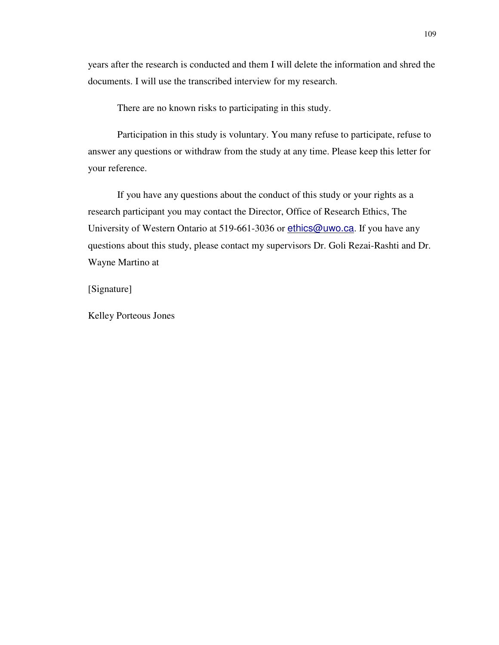years after the research is conducted and them I will delete the information and shred the documents. I will use the transcribed interview for my research.

There are no known risks to participating in this study.

 Participation in this study is voluntary. You many refuse to participate, refuse to answer any questions or withdraw from the study at any time. Please keep this letter for your reference.

 If you have any questions about the conduct of this study or your rights as a research participant you may contact the Director, Office of Research Ethics, The University of Western Ontario at 519-661-3036 or ethics@uwo.ca. If you have any questions about this study, please contact my supervisors Dr. Goli Rezai-Rashti and Dr. Wayne Martino at

[Signature]

Kelley Porteous Jones